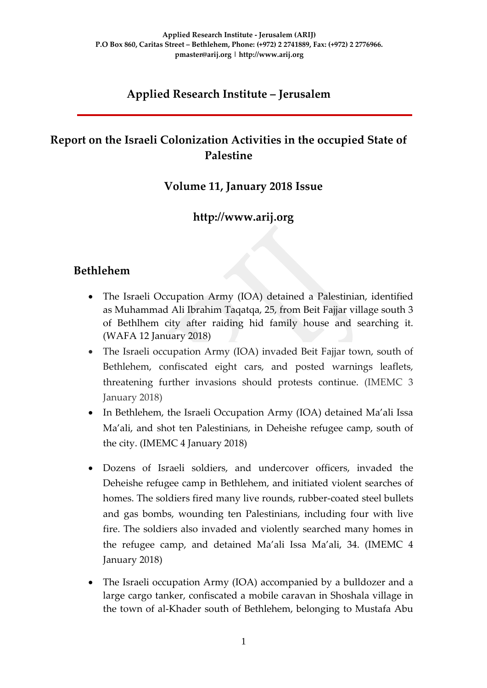# **Applied Research Institute – Jerusalem**

## **Report on the Israeli Colonization Activities in the occupied State of Palestine**

#### **Volume 11, January 2018 Issue**

### **http://www.arij.org**

### **Bethlehem**

- The Israeli Occupation Army (IOA) detained a Palestinian, identified as Muhammad Ali Ibrahim Taqatqa, 25, from Beit Fajjar village south 3 of Bethlhem city after raiding hid family house and searching it. (WAFA 12 January 2018)
- The Israeli occupation Army (IOA) invaded Beit Fajjar town, south of Bethlehem, confiscated eight cars, and posted warnings leaflets, threatening further invasions should protests continue. (IMEMC 3 January 2018)
- In Bethlehem, the Israeli Occupation Army (IOA) detained Ma'ali Issa [Ma'ali, and shot ten Palestinians,](http://imemc.org/article/army-injures-10-and-abducts-one-palestinian-in-bethlehem-five-near-nablus-and-jenin/) in Deheishe refugee camp, south of the city. (IMEMC 4 January 2018)
- Dozens of Israeli soldiers, and undercover officers, invaded the Deheishe refugee camp in Bethlehem, and initiated violent searches of homes. The soldiers fired many live rounds, rubber-coated steel bullets and gas bombs, wounding ten Palestinians, including four with live fire. The soldiers also invaded and violently searched many homes in the refugee camp, and detained Ma'ali Issa Ma'ali, 34. (IMEMC 4 January 2018)
- The Israeli occupation Army (IOA) accompanied by a bulldozer and a large cargo tanker, confiscated a mobile caravan in Shoshala village in the town of al-Khader south of Bethlehem, belonging to Mustafa Abu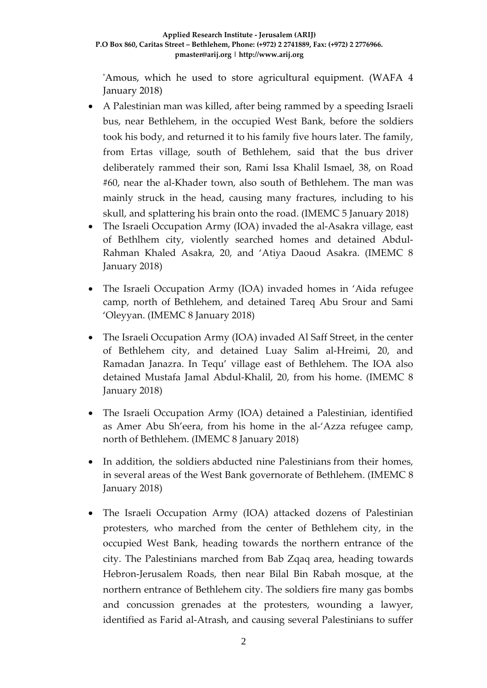'Amous, which he used to store agricultural equipment. (WAFA 4 January 2018)

- A Palestinian man was killed, after being rammed by a speeding Israeli bus, near Bethlehem, in the occupied West Bank, before the soldiers took his body, and returned it to his family five hours later. The family, from Ertas village, south of Bethlehem, said that the bus driver deliberately rammed their son, Rami Issa Khalil Ismael, 38, on Road #60, near the al-Khader town, also south of Bethlehem. The man was mainly struck in the head, causing many fractures, including to his skull, and splattering his brain onto the road. (IMEMC 5 January 2018)
- The Israeli Occupation Army (IOA) invaded the al-Asakra village, east of Bethlhem city, violently searched homes and detained Abdul-Rahman Khaled Asakra, 20, and 'Atiya Daoud Asakra. (IMEMC 8 January 2018)
- The Israeli Occupation Army (IOA) invaded homes in 'Aida refugee camp, north of Bethlehem, and detained Tareq Abu Srour and Sami 'Oleyyan. (IMEMC 8 January 2018)
- The Israeli Occupation Army (IOA) invaded Al Saff Street, in the center of Bethlehem city, and detained Luay Salim al-Hreimi, 20, and Ramadan Janazra. In Tequ' village east of Bethlehem. The IOA also detained Mustafa Jamal Abdul-Khalil, 20, from his home. (IMEMC 8 January 2018)
- The Israeli Occupation Army (IOA) detained a Palestinian, identified as Amer Abu Sh'eera, from his home in the al-'Azza refugee camp, north of Bethlehem. (IMEMC 8 January 2018)
- In addition, the soldiers abducted nine Palestinians from their homes, in several areas of the West Bank governorate of Bethlehem. (IMEMC 8 January 2018)
- The Israeli Occupation Army (IOA) attacked dozens of Palestinian protesters, who marched from the center of Bethlehem city, in the occupied West Bank, heading towards the northern entrance of the city. The Palestinians marched from Bab Zqaq area, heading towards Hebron-Jerusalem Roads, then near Bilal Bin Rabah mosque, at the northern entrance of Bethlehem city. The soldiers fire many gas bombs and concussion grenades at the protesters, wounding a lawyer, identified as Farid al-Atrash, and causing several Palestinians to suffer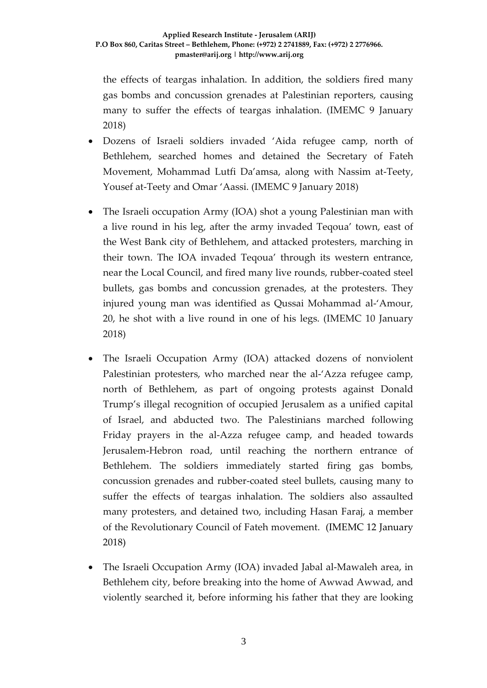the effects of teargas inhalation. In addition, the soldiers fired many gas bombs and concussion grenades at Palestinian reporters, causing many to suffer the effects of teargas inhalation. (IMEMC 9 January 2018)

- Dozens of Israeli soldiers invaded 'Aida refugee camp, north of Bethlehem, searched homes and detained the Secretary of Fateh Movement, Mohammad Lutfi Da'amsa, along with Nassim at-Teety, Yousef at-Teety and Omar 'Aassi. (IMEMC 9 January 2018)
- The Israeli occupation Army (IOA) shot a young Palestinian man with a live round in his leg, after the army invaded Teqoua' town, east of the West Bank city of Bethlehem, and attacked protesters, marching in their town. The IOA invaded Teqoua' through its western entrance, near the Local Council, and fired many live rounds, rubber-coated steel bullets, gas bombs and concussion grenades, at the protesters. They injured young man was identified as Qussai Mohammad al-'Amour, 20, he shot with a live round in one of his legs. (IMEMC 10 January 2018)
- The Israeli Occupation Army (IOA) attacked dozens of nonviolent Palestinian protesters, who marched near the al-'Azza refugee camp, north of Bethlehem, as part of ongoing protests against Donald Trump's illegal recognition of occupied Jerusalem as a unified capital of Israel, and abducted two. The Palestinians marched following Friday prayers in the al-Azza refugee camp, and headed towards Jerusalem-Hebron road, until reaching the northern entrance of Bethlehem. The soldiers immediately started firing gas bombs, concussion grenades and rubber-coated steel bullets, causing many to suffer the effects of teargas inhalation. The soldiers also assaulted many protesters, and detained two, including Hasan Faraj, a member of the Revolutionary Council of Fateh movement. (IMEMC 12 January 2018)
- The Israeli Occupation Army (IOA) invaded Jabal al-Mawaleh area, in Bethlehem city, before breaking into the home of Awwad Awwad, and violently searched it, before informing his father that they are looking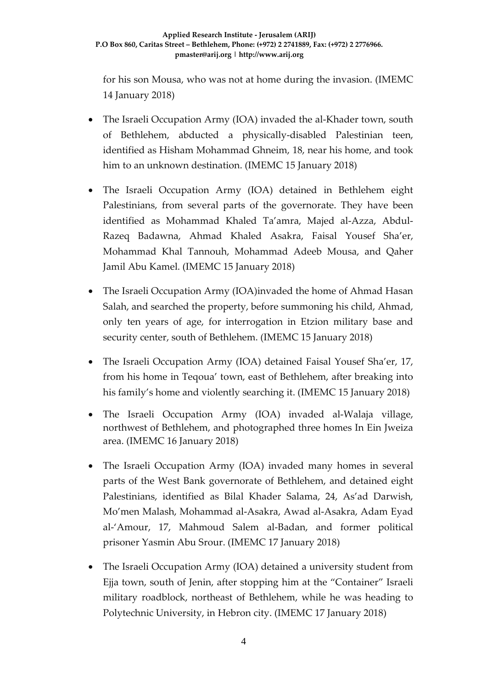for his son Mousa, who was not at home during the invasion. (IMEMC 14 January 2018)

- The Israeli Occupation Army (IOA) invaded the al-Khader town, south of Bethlehem, abducted a physically-disabled Palestinian teen, identified as Hisham Mohammad Ghneim, 18, near his home, and took him to an unknown destination. (IMEMC 15 January 2018)
- The Israeli Occupation Army (IOA) detained in Bethlehem eight Palestinians, from several parts of the governorate. They have been identified as Mohammad Khaled Ta'amra, Majed al-Azza, Abdul-Razeq Badawna, Ahmad Khaled Asakra, Faisal Yousef Sha'er, Mohammad Khal Tannouh, Mohammad Adeeb Mousa, and Qaher Jamil Abu Kamel. (IMEMC 15 January 2018)
- The Israeli Occupation Army (IOA)invaded the home of Ahmad Hasan Salah, and searched the property, before summoning his child, Ahmad, only ten years of age, for interrogation in Etzion military base and security center, south of Bethlehem. (IMEMC 15 January 2018)
- The Israeli Occupation Army (IOA) detained Faisal Yousef Sha'er, 17, from his home in Teqoua' town, east of Bethlehem, after breaking into his family's home and violently searching it. (IMEMC 15 January 2018)
- The Israeli Occupation Army (IOA) invaded al-Walaja village, northwest of Bethlehem, and photographed three homes In Ein Jweiza area. (IMEMC 16 January 2018)
- The Israeli Occupation Army (IOA) invaded many homes in several parts of the West Bank governorate of Bethlehem, and detained eight Palestinians, identified as Bilal Khader Salama, 24, As'ad Darwish, Mo'men Malash, Mohammad al-Asakra, Awad al-Asakra, Adam Eyad al-'Amour, 17, Mahmoud Salem al-Badan, and former political prisoner Yasmin Abu Srour. (IMEMC 17 January 2018)
- The Israeli Occupation Army (IOA) detained a university student from Ejja town, south of Jenin, after stopping him at the "Container" Israeli military roadblock, northeast of Bethlehem, while he was heading to Polytechnic University, in Hebron city. (IMEMC 17 January 2018)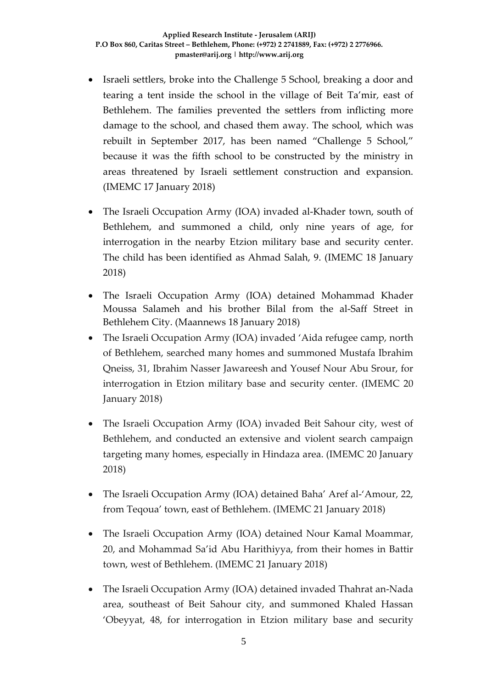- Israeli settlers, broke into the Challenge 5 School, breaking a door and tearing a tent inside the school in the village of Beit Ta'mir, east of Bethlehem. The families prevented the settlers from inflicting more damage to the school, and chased them away. The school, which was rebuilt in September 2017, has been named "Challenge 5 School," because it was the fifth school to be constructed by the ministry in areas threatened by Israeli settlement construction and expansion. (IMEMC 17 January 2018)
- The Israeli Occupation Army (IOA) invaded al-Khader town, south of Bethlehem, and summoned a child, only nine years of age, for interrogation in the nearby Etzion military base and security center. The child has been identified as Ahmad Salah, 9. (IMEMC 18 January 2018)
- The Israeli Occupation Army (IOA) detained Mohammad Khader Moussa Salameh and his brother Bilal from the al-Saff Street in Bethlehem City. (Maannews 18 January 2018)
- The Israeli Occupation Army (IOA) invaded 'Aida refugee camp, north of Bethlehem, searched many homes and summoned Mustafa Ibrahim Qneiss, 31, Ibrahim Nasser Jawareesh and Yousef Nour Abu Srour, for interrogation in Etzion military base and security center. (IMEMC 20 January 2018)
- The Israeli Occupation Army (IOA) invaded Beit Sahour city, west of Bethlehem, and conducted an extensive and violent search campaign targeting many homes, especially in Hindaza area. (IMEMC 20 January 2018)
- The Israeli Occupation Army (IOA) detained Baha' Aref al-'Amour, 22, from Teqoua' town, east of Bethlehem. (IMEMC 21 January 2018)
- The Israeli Occupation Army (IOA) detained Nour Kamal Moammar, 20, and Mohammad Sa'id Abu Harithiyya, from their homes in Battir town, west of Bethlehem. (IMEMC 21 January 2018)
- The Israeli Occupation Army (IOA) detained invaded Thahrat an-Nada area, southeast of Beit Sahour city, and summoned Khaled Hassan 'Obeyyat, 48, for interrogation in Etzion military base and security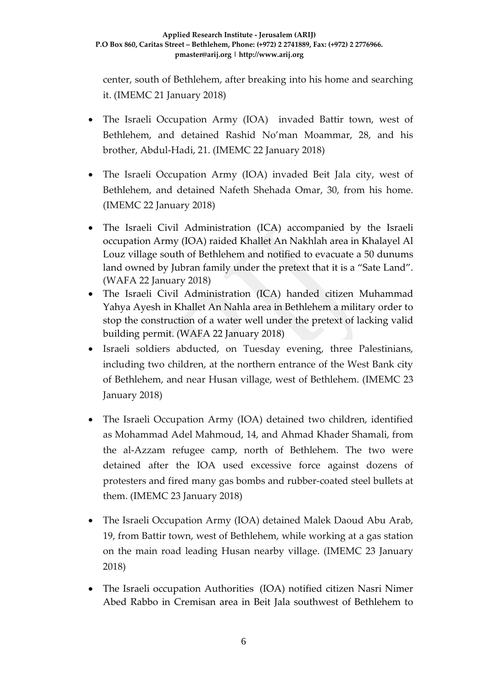center, south of Bethlehem, after breaking into his home and searching it. (IMEMC 21 January 2018)

- The Israeli Occupation Army (IOA) invaded Battir town, west of Bethlehem, and detained Rashid No'man Moammar, 28, and his brother, Abdul-Hadi, 21. (IMEMC 22 January 2018)
- The Israeli Occupation Army (IOA) invaded Beit Jala city, west of Bethlehem, and detained Nafeth Shehada Omar, 30, from his home. (IMEMC 22 January 2018)
- The Israeli Civil Administration (ICA) accompanied by the Israeli occupation Army (IOA) raided Khallet An Nakhlah area in Khalayel Al Louz village south of Bethlehem and notified to evacuate a 50 dunums land owned by Jubran family under the pretext that it is a "Sate Land". (WAFA 22 January 2018)
- The Israeli Civil Administration (ICA) handed citizen Muhammad Yahya Ayesh in Khallet An Nahla area in Bethlehem a military order to stop the construction of a water well under the pretext of lacking valid building permit. (WAFA 22 January 2018)
- Israeli soldiers abducted, on Tuesday evening, three Palestinians, including two children, at the northern entrance of the West Bank city of Bethlehem, and near Husan village, west of Bethlehem. (IMEMC 23 January 2018)
- The Israeli Occupation Army (IOA) detained two children, identified as Mohammad Adel Mahmoud, 14, and Ahmad Khader Shamali, from the al-Azzam refugee camp, north of Bethlehem. The two were detained after the IOA used excessive force against dozens of protesters and fired many gas bombs and rubber-coated steel bullets at them. (IMEMC 23 January 2018)
- The Israeli Occupation Army (IOA) detained Malek Daoud Abu Arab, 19, from Battir town, west of Bethlehem, while working at a gas station on the main road leading Husan nearby village. (IMEMC 23 January 2018)
- The Israeli occupation Authorities (IOA) notified citizen Nasri Nimer Abed Rabbo in Cremisan area in Beit Jala southwest of Bethlehem to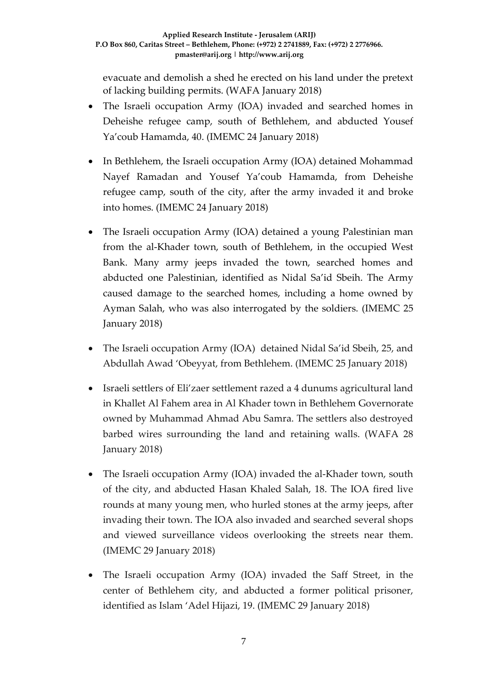evacuate and demolish a shed he erected on his land under the pretext of lacking building permits. (WAFA January 2018)

- The Israeli occupation Army (IOA) invaded and searched homes in Deheishe refugee camp, south of Bethlehem, and abducted Yousef Ya'coub Hamamda, 40. (IMEMC 24 January 2018)
- In Bethlehem, the Israeli occupation Army (IOA) detained Mohammad Nayef Ramadan and Yousef Ya'coub Hamamda, from Deheishe refugee camp, south of the city, after the army invaded it and broke into homes. (IMEMC 24 January 2018)
- The Israeli occupation Army (IOA) detained a young Palestinian man from the al-Khader town, south of Bethlehem, in the occupied West Bank. Many army jeeps invaded the town, searched homes and abducted one Palestinian, identified as Nidal Sa'id Sbeih. The Army caused damage to the searched homes, including a home owned by Ayman Salah, who was also interrogated by the soldiers. (IMEMC 25 January 2018)
- The Israeli occupation Army (IOA) detained Nidal Sa'id Sbeih, 25, and Abdullah Awad 'Obeyyat, from Bethlehem. (IMEMC 25 January 2018)
- Israeli settlers of Eli'zaer settlement razed a 4 dunums agricultural land in Khallet Al Fahem area in Al Khader town in Bethlehem Governorate owned by Muhammad Ahmad Abu Samra. The settlers also destroyed barbed wires surrounding the land and retaining walls. (WAFA 28 January 2018)
- The Israeli occupation Army (IOA) invaded the al-Khader town, south of the city, and abducted Hasan Khaled Salah, 18. The IOA fired live rounds at many young men, who hurled stones at the army jeeps, after invading their town. The IOA also invaded and searched several shops and viewed surveillance videos overlooking the streets near them. (IMEMC 29 January 2018)
- The Israeli occupation Army (IOA) invaded the Saff Street, in the center of Bethlehem city, and abducted a former political prisoner, identified as Islam 'Adel Hijazi, 19. (IMEMC 29 January 2018)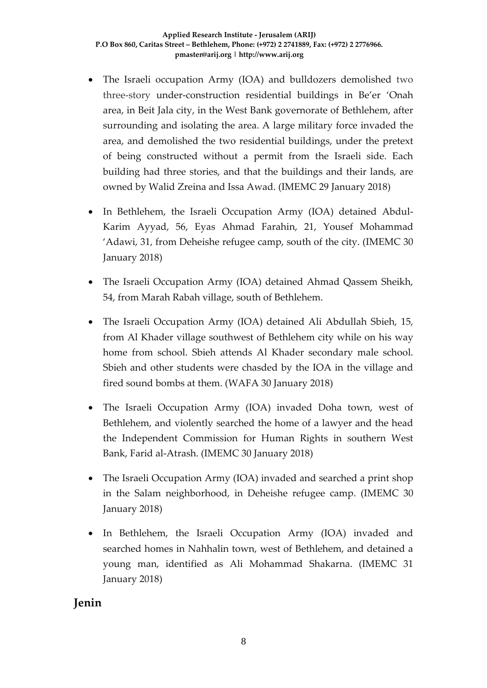- The Israeli occupation Army (IOA) and bulldozers demolished two three-story under-construction residential buildings in Be'er 'Onah area, in Beit Jala city, in the West Bank governorate of Bethlehem, after surrounding and isolating the area. A large military force invaded the area, and demolished the two residential buildings, under the pretext of being constructed without a permit from the Israeli side. Each building had three stories, and that the buildings and their lands, are owned by Walid Zreina and Issa Awad. (IMEMC 29 January 2018)
- In Bethlehem, the Israeli Occupation Army (IOA) detained Abdul-Karim Ayyad, 56, Eyas Ahmad Farahin, 21, Yousef Mohammad 'Adawi, 31, from Deheishe refugee camp, south of the city. (IMEMC 30 January 2018)
- The Israeli Occupation Army (IOA) detained Ahmad Qassem Sheikh, 54, from Marah Rabah village, south of Bethlehem.
- The Israeli Occupation Army (IOA) detained Ali Abdullah Sbieh, 15, from Al Khader village southwest of Bethlehem city while on his way home from school. Sbieh attends Al Khader secondary male school. Sbieh and other students were chasded by the IOA in the village and fired sound bombs at them. (WAFA 30 January 2018)
- The Israeli Occupation Army (IOA) invaded Doha town, west of Bethlehem, and violently searched the home of a lawyer and the head the Independent Commission for Human Rights in southern West Bank, Farid al-Atrash. (IMEMC 30 January 2018)
- The Israeli Occupation Army (IOA) invaded and searched a print shop in the Salam neighborhood, in Deheishe refugee camp. (IMEMC 30 January 2018)
- In Bethlehem, the Israeli Occupation Army (IOA) invaded and searched homes in Nahhalin town, west of Bethlehem, and detained a young man, identified as Ali Mohammad Shakarna. (IMEMC 31 January 2018)

## **Jenin**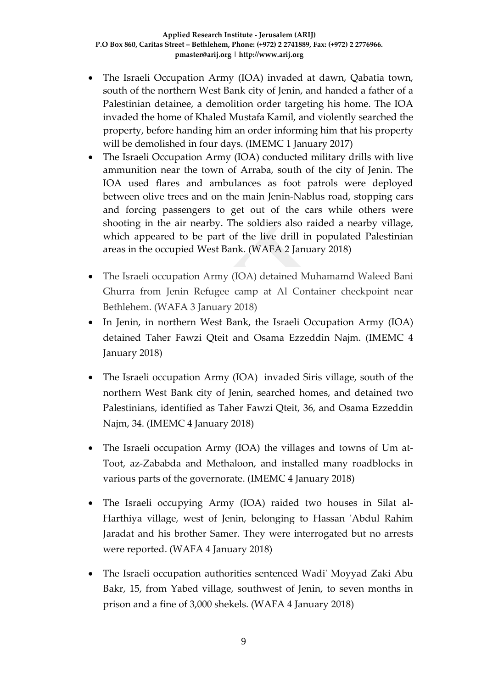- The Israeli Occupation Army (IOA) invaded at dawn, Qabatia town, south of the northern West Bank city of Jenin, and handed a father of a Palestinian detainee, a demolition order targeting his home. The IOA invaded the home of Khaled Mustafa Kamil, and violently searched the property, before handing him an order informing him that his property will be demolished in four days. (IMEMC 1 January 2017)
- The Israeli Occupation Army (IOA) conducted military drills with live ammunition near the town of Arraba, south of the city of Jenin. The IOA used flares and ambulances as foot patrols were deployed between olive trees and on the main Jenin-Nablus road, stopping cars and forcing passengers to get out of the cars while others were shooting in the air nearby. The soldiers also raided a nearby village, which appeared to be part of the live drill in populated Palestinian areas in the occupied West Bank. (WAFA 2 January 2018)
- The Israeli occupation Army (IOA) detained Muhamamd Waleed Bani Ghurra from Jenin Refugee camp at Al Container checkpoint near Bethlehem. (WAFA 3 January 2018)
- In Jenin, in northern West Bank, the Israeli Occupation Army (IOA) detained Taher Fawzi Qteit and Osama Ezzeddin Najm. (IMEMC 4 January 2018)
- The Israeli occupation Army (IOA) invaded Siris village, south of the northern West Bank city of Jenin, searched homes, and detained two Palestinians, identified as Taher Fawzi Qteit, 36, and Osama Ezzeddin Najm, 34. (IMEMC 4 January 2018)
- The Israeli occupation Army (IOA) the villages and towns of Um at-Toot, az-Zababda and Methaloon, and installed many roadblocks in various parts of the governorate. (IMEMC 4 January 2018)
- The Israeli occupying Army (IOA) raided two houses in Silat al-Harthiya village, west of Jenin, belonging to Hassan 'Abdul Rahim Jaradat and his brother Samer. They were interrogated but no arrests were reported. (WAFA 4 January 2018)
- The Israeli occupation authorities sentenced Wadi' Moyyad Zaki Abu Bakr, 15, from Yabed village, southwest of Jenin, to seven months in prison and a fine of 3,000 shekels. (WAFA 4 January 2018)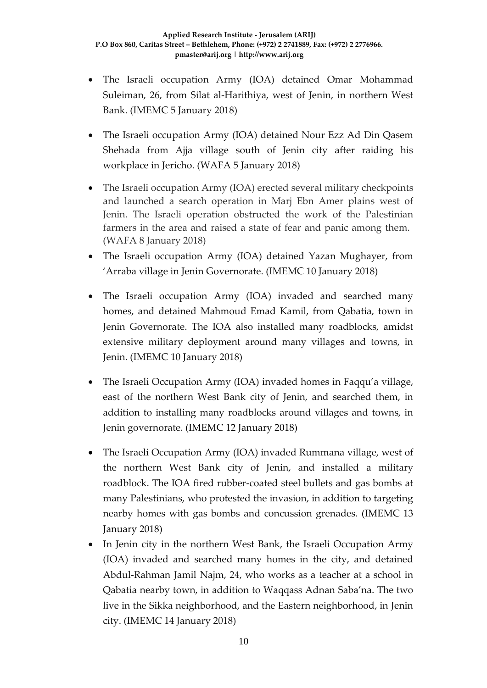- The Israeli occupation Army (IOA) detained Omar Mohammad Suleiman, 26, from Silat al-Harithiya, west of Jenin, in northern West Bank. (IMEMC 5 January 2018)
- The Israeli occupation Army (IOA) detained Nour Ezz Ad Din Qasem Shehada from Ajja village south of Jenin city after raiding his workplace in Jericho. (WAFA 5 January 2018)
- The Israeli occupation Army (IOA) erected several military checkpoints and launched a search operation in Marj Ebn Amer plains west of Jenin. The Israeli operation obstructed the work of the Palestinian farmers in the area and raised a state of fear and panic among them. (WAFA 8 January 2018)
- The Israeli occupation Army (IOA) detained Yazan Mughayer, from 'Arraba village in Jenin Governorate. (IMEMC 10 January 2018)
- The Israeli occupation Army (IOA) invaded and searched many homes, and detained Mahmoud Emad Kamil, from Qabatia, town in Jenin Governorate. The IOA also installed many roadblocks, amidst extensive military deployment around many villages and towns, in Jenin. (IMEMC 10 January 2018)
- The Israeli Occupation Army (IOA) invaded homes in Faqqu'a village, east of the northern West Bank city of Jenin, and searched them, in addition to installing many roadblocks around villages and towns, in Jenin governorate. (IMEMC 12 January 2018)
- The Israeli Occupation Army (IOA) invaded Rummana village, west of the northern West Bank city of Jenin, and installed a military roadblock. The IOA fired rubber-coated steel bullets and gas bombs at many Palestinians, who protested the invasion, in addition to targeting nearby homes with gas bombs and concussion grenades. (IMEMC 13 January 2018)
- In Jenin city in the northern West Bank, the Israeli Occupation Army (IOA) invaded and searched many homes in the city, and detained Abdul-Rahman Jamil Najm, 24, who works as a teacher at a school in Qabatia nearby town, in addition to Waqqass Adnan Saba'na. The two live in the Sikka neighborhood, and the Eastern neighborhood, in Jenin city. (IMEMC 14 January 2018)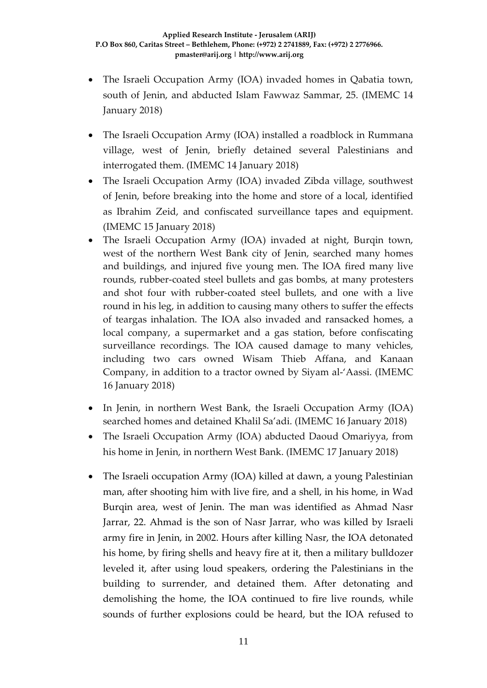- The Israeli Occupation Army (IOA) invaded homes in Qabatia town, south of Jenin, and abducted Islam Fawwaz Sammar, 25. (IMEMC 14 January 2018)
- The Israeli Occupation Army (IOA) installed a roadblock in Rummana village, west of Jenin, briefly detained several Palestinians and interrogated them. (IMEMC 14 January 2018)
- The Israeli Occupation Army (IOA) invaded Zibda village, southwest of Jenin, before breaking into the home and store of a local, identified as Ibrahim Zeid, and confiscated surveillance tapes and equipment. (IMEMC 15 January 2018)
- The Israeli Occupation Army (IOA) invaded at night, Burqin town, west of the northern West Bank city of Jenin, searched many homes and buildings, and injured five young men. The IOA fired many live rounds, rubber-coated steel bullets and gas bombs, at many protesters and shot four with rubber-coated steel bullets, and one with a live round in his leg, in addition to causing many others to suffer the effects of teargas inhalation. The IOA also invaded and ransacked homes, a local company, a supermarket and a gas station, before confiscating surveillance recordings. The IOA caused damage to many vehicles, including two cars owned Wisam Thieb Affana, and Kanaan Company, in addition to a tractor owned by Siyam al-'Aassi. (IMEMC 16 January 2018)
- In Jenin, in northern West Bank, the Israeli Occupation Army (IOA) searched homes and detained Khalil Sa'adi. (IMEMC 16 January 2018)
- The Israeli Occupation Army (IOA) abducted Daoud Omariyya, from his home in Jenin, in northern West Bank. (IMEMC 17 January 2018)
- The Israeli occupation Army (IOA) killed at dawn, a young Palestinian man, after shooting him with live fire, and a shell, in his home, in Wad Burqin area, west of Jenin. The man was identified as Ahmad Nasr Jarrar, 22. Ahmad is the son of Nasr Jarrar, who was killed by Israeli army fire in Jenin, in 2002. Hours after killing Nasr, the IOA detonated his home, by firing shells and heavy fire at it, then a military bulldozer leveled it, after using loud speakers, ordering the Palestinians in the building to surrender, and detained them. After detonating and demolishing the home, the IOA continued to fire live rounds, while sounds of further explosions could be heard, but the IOA refused to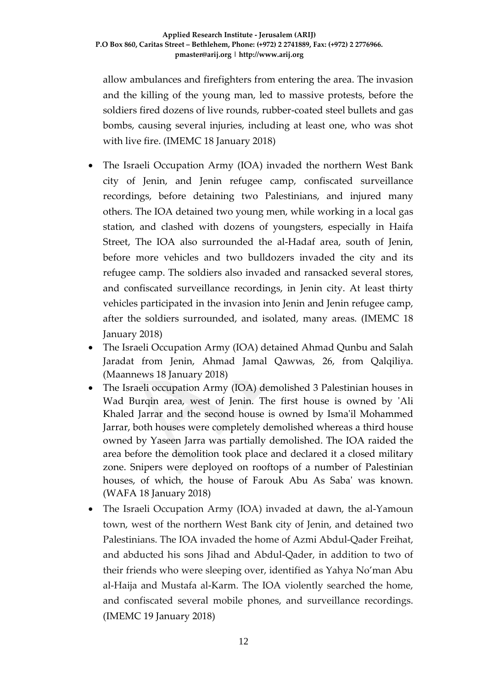allow ambulances and firefighters from entering the area. The invasion and the killing of the young man, led to massive protests, before the soldiers fired dozens of live rounds, rubber-coated steel bullets and gas bombs, causing several injuries, including at least one, who was shot with live fire. (IMEMC 18 January 2018)

- The Israeli Occupation Army (IOA) invaded the northern West Bank city of Jenin, and Jenin refugee camp, confiscated surveillance recordings, before detaining two Palestinians, and injured many others. The IOA detained two young men, while working in a local gas station, and clashed with dozens of youngsters, especially in Haifa Street, The IOA also surrounded the al-Hadaf area, south of Jenin, before more vehicles and two bulldozers invaded the city and its refugee camp. The soldiers also invaded and ransacked several stores, and confiscated surveillance recordings, in Jenin city. At least thirty vehicles participated in the invasion into Jenin and Jenin refugee camp, after the soldiers surrounded, and isolated, many areas. (IMEMC 18 January 2018)
- The Israeli Occupation Army (IOA) detained Ahmad Qunbu and Salah Jaradat from Jenin, Ahmad Jamal Qawwas, 26, from Qalqiliya. (Maannews 18 January 2018)
- The Israeli occupation Army (IOA) demolished 3 Palestinian houses in Wad Burqin area, west of Jenin. The first house is owned by 'Ali Khaled Jarrar and the second house is owned by Isma'il Mohammed Jarrar, both houses were completely demolished whereas a third house owned by Yaseen Jarra was partially demolished. The IOA raided the area before the demolition took place and declared it a closed military zone. Snipers were deployed on rooftops of a number of Palestinian houses, of which, the house of Farouk Abu As Saba' was known. (WAFA 18 January 2018)
- The Israeli Occupation Army (IOA) invaded at dawn, the al-Yamoun town, west of the northern West Bank city of Jenin, and detained two Palestinians. The IOA invaded the home of Azmi Abdul-Qader Freihat, and abducted his sons Jihad and Abdul-Qader, in addition to two of their friends who were sleeping over, identified as Yahya No'man Abu al-Haija and Mustafa al-Karm. The IOA violently searched the home, and confiscated several mobile phones, and surveillance recordings. (IMEMC 19 January 2018)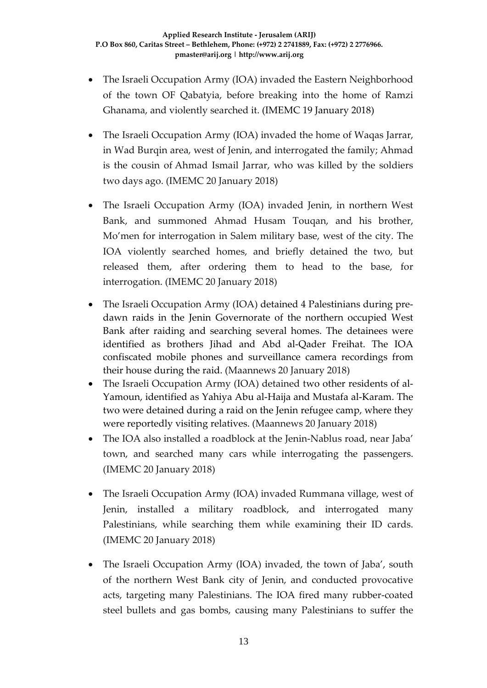- The Israeli Occupation Army (IOA) invaded the Eastern Neighborhood of the town OF Qabatyia, before breaking into the home of Ramzi Ghanama, and violently searched it. (IMEMC 19 January 2018)
- The Israeli Occupation Army (IOA) invaded the home of Waqas Jarrar, in Wad Burqin area, west of Jenin, and interrogated the family; Ahmad is the cousin of Ahmad Ismail Jarrar, who was killed by the soldiers two days ago. (IMEMC 20 January 2018)
- The Israeli Occupation Army (IOA) invaded Jenin, in northern West Bank, and summoned Ahmad Husam Touqan, and his brother, Mo'men for interrogation in Salem military base, west of the city. The IOA violently searched homes, and briefly detained the two, but released them, after ordering them to head to the base, for interrogation. (IMEMC 20 January 2018)
- The Israeli Occupation Army (IOA) detained 4 Palestinians during predawn raids in the Jenin Governorate of the northern occupied West Bank after raiding and searching several homes. The detainees were identified as brothers Jihad and Abd al-Qader Freihat. The IOA confiscated mobile phones and surveillance camera recordings from their house during the raid. (Maannews 20 January 2018)
- The Israeli Occupation Army (IOA) detained two other residents of al-Yamoun, identified as Yahiya Abu al-Haija and Mustafa al-Karam. The two were detained during a raid on the Jenin refugee camp, where they were reportedly visiting relatives. (Maannews 20 January 2018)
- The IOA also installed a roadblock at the Jenin-Nablus road, near Jaba' town, and searched many cars while interrogating the passengers. (IMEMC 20 January 2018)
- The Israeli Occupation Army (IOA) invaded Rummana village, west of Jenin, installed a military roadblock, and interrogated many Palestinians, while searching them while examining their ID cards. (IMEMC 20 January 2018)
- The Israeli Occupation Army (IOA) invaded, the town of Jaba', south of the northern West Bank city of Jenin, and conducted provocative acts, targeting many Palestinians. The IOA fired many rubber-coated steel bullets and gas bombs, causing many Palestinians to suffer the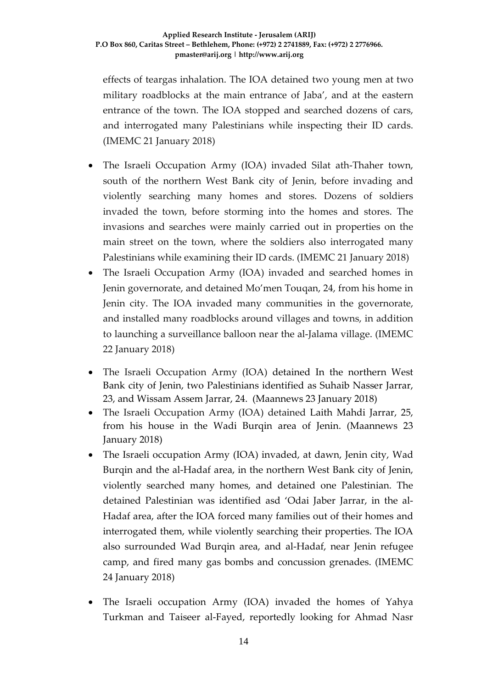effects of teargas inhalation. The IOA detained two young men at two military roadblocks at the main entrance of Jaba', and at the eastern entrance of the town. The IOA stopped and searched dozens of cars, and interrogated many Palestinians while inspecting their ID cards. (IMEMC 21 January 2018)

- The Israeli Occupation Army (IOA) invaded Silat ath-Thaher town, south of the northern West Bank city of Jenin, before invading and violently searching many homes and stores. Dozens of soldiers invaded the town, before storming into the homes and stores. The invasions and searches were mainly carried out in properties on the main street on the town, where the soldiers also interrogated many Palestinians while examining their ID cards. (IMEMC 21 January 2018)
- The Israeli Occupation Army (IOA) invaded and searched homes in Jenin governorate, and detained Mo'men Touqan, 24, from his home in Jenin city. The IOA invaded many communities in the governorate, and installed many roadblocks around villages and towns, in addition to launching a surveillance balloon near the al-Jalama village. (IMEMC 22 January 2018)
- The Israeli Occupation Army (IOA) detained In the northern West Bank city of Jenin, two Palestinians identified as Suhaib Nasser Jarrar, 23, and Wissam Assem Jarrar, 24. (Maannews 23 January 2018)
- The Israeli Occupation Army (IOA) detained Laith Mahdi Jarrar, 25, from his house in the Wadi Burqin area of Jenin. (Maannews 23 January 2018)
- The Israeli occupation Army (IOA) invaded, at dawn, Jenin city, Wad Burqin and the al-Hadaf area, in the northern West Bank city of Jenin, violently searched many homes, and detained one Palestinian. The detained Palestinian was identified asd 'Odai Jaber Jarrar, in the al-Hadaf area, after the IOA forced many families out of their homes and interrogated them, while violently searching their properties. The IOA also surrounded Wad Burqin area, and al-Hadaf, near Jenin refugee camp, and fired many gas bombs and concussion grenades. (IMEMC 24 January 2018)
- The Israeli occupation Army (IOA) invaded the homes of Yahya Turkman and Taiseer al-Fayed, reportedly looking for Ahmad Nasr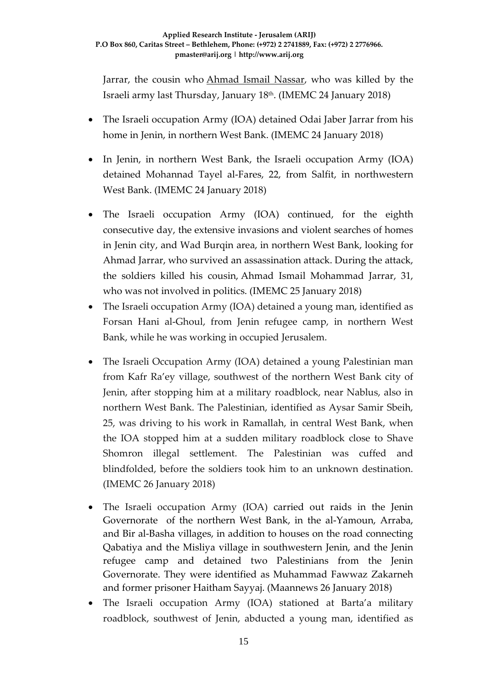Jarrar, the cousin who [Ahmad Ismail Nassar,](http://imemc.org/article/israeli-forces-kill-palestinian-civilian-and-demolish-3-houses-in-wide-scale-military-operation-in-jenin/) who was killed by the Israeli army last Thursday, January 18th. (IMEMC 24 January 2018)

- The Israeli occupation Army (IOA) detained Odai Jaber Jarrar from his home in Jenin, in northern West Bank. (IMEMC 24 January 2018)
- In Jenin, in northern West Bank, the Israeli occupation Army (IOA) detained Mohannad Tayel al-Fares, 22, from Salfit, in northwestern West Bank. (IMEMC 24 January 2018)
- The Israeli occupation Army (IOA) continued, for the eighth consecutive day, the extensive invasions and violent searches of homes in Jenin city, and Wad Burqin area, in northern West Bank, looking for Ahmad Jarrar, who survived an assassination attack. During the attack, the soldiers killed his cousin, Ahmad Ismail Mohammad Jarrar, 31, who was not involved in politics. (IMEMC 25 January 2018)
- The Israeli occupation Army (IOA) detained a young man, identified as Forsan Hani al-Ghoul, from Jenin refugee camp, in northern West Bank, while he was working in occupied Jerusalem.
- The Israeli Occupation Army (IOA) detained a young Palestinian man from Kafr Ra'ey village, southwest of the northern West Bank city of Jenin, after stopping him at a military roadblock, near Nablus, also in northern West Bank. The Palestinian, identified as Aysar Samir Sbeih, 25, was driving to his work in Ramallah, in central West Bank, when the IOA stopped him at a sudden military roadblock close to Shave Shomron illegal settlement. The Palestinian was cuffed and blindfolded, before the soldiers took him to an unknown destination. (IMEMC 26 January 2018)
- The Israeli occupation Army (IOA) carried out raids in the Jenin Governorate of the northern West Bank, in the al-Yamoun, Arraba, and Bir al-Basha villages, in addition to houses on the road connecting Qabatiya and the Misliya village in southwestern Jenin, and the Jenin refugee camp and detained two Palestinians from the Jenin Governorate. They were identified as Muhammad Fawwaz Zakarneh and former prisoner Haitham Sayyaj. (Maannews 26 January 2018)
- The Israeli occupation Army (IOA) stationed at Barta'a military roadblock, southwest of Jenin, abducted a young man, identified as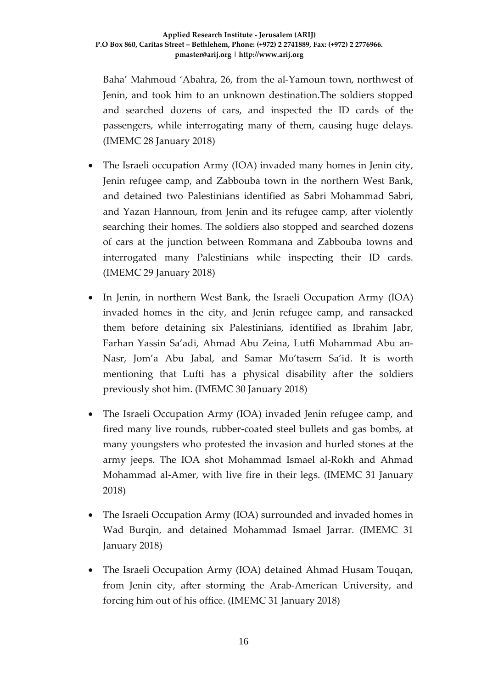Baha' Mahmoud 'Abahra, 26, from the al-Yamoun town, northwest of Jenin, and took him to an unknown destination.The soldiers stopped and searched dozens of cars, and inspected the ID cards of the passengers, while interrogating many of them, causing huge delays. (IMEMC 28 January 2018)

- The Israeli occupation Army (IOA) invaded many homes in Jenin city, Jenin refugee camp, and Zabbouba town in the northern West Bank, and detained two Palestinians identified as Sabri Mohammad Sabri, and Yazan Hannoun, from Jenin and its refugee camp, after violently searching their homes. The soldiers also stopped and searched dozens of cars at the junction between Rommana and Zabbouba towns and interrogated many Palestinians while inspecting their ID cards. (IMEMC 29 January 2018)
- In Jenin, in northern West Bank, the Israeli Occupation Army (IOA) invaded homes in the city, and Jenin refugee camp, and ransacked them before detaining six Palestinians, identified as Ibrahim Jabr, Farhan Yassin Sa'adi, Ahmad Abu Zeina, Lutfi Mohammad Abu an-Nasr, Jom'a Abu Jabal, and Samar Mo'tasem Sa'id. It is worth mentioning that Lufti has a physical disability after the soldiers previously shot him. (IMEMC 30 January 2018)
- The Israeli Occupation Army (IOA) invaded Jenin refugee camp, and fired many live rounds, rubber-coated steel bullets and gas bombs, at many youngsters who protested the invasion and hurled stones at the army jeeps. The IOA shot Mohammad Ismael al-Rokh and Ahmad Mohammad al-Amer, with live fire in their legs. (IMEMC 31 January 2018)
- The Israeli Occupation Army (IOA) surrounded and invaded homes in Wad Burqin, and detained Mohammad Ismael Jarrar. (IMEMC 31 January 2018)
- The Israeli Occupation Army (IOA) detained Ahmad Husam Touqan, from Jenin city, after storming the Arab-American University, and forcing him out of his office. (IMEMC 31 January 2018)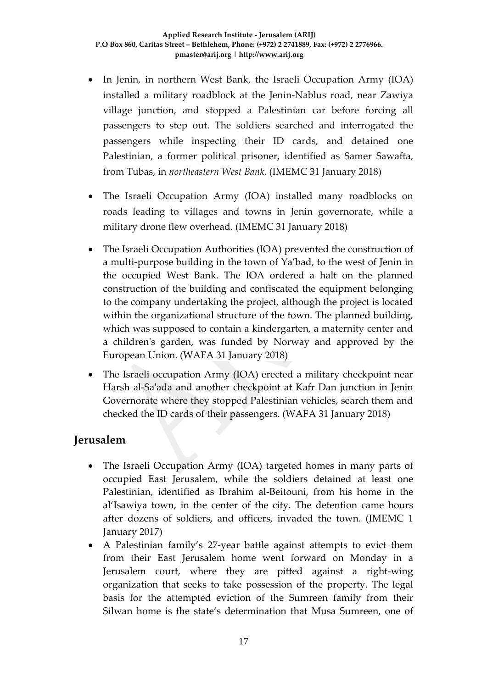- In Jenin, in northern West Bank, the Israeli Occupation Army (IOA) installed a military roadblock at the Jenin-Nablus road, near Zawiya village junction, and stopped a Palestinian car before forcing all passengers to step out. The soldiers searched and interrogated the passengers while inspecting their ID cards, and detained one Palestinian, a former political prisoner, identified as Samer Sawafta, from Tubas, in *northeastern West Bank.* (IMEMC 31 January 2018)
- The Israeli Occupation Army (IOA) installed many roadblocks on roads leading to villages and towns in Jenin governorate, while a military drone flew overhead. (IMEMC 31 January 2018)
- The Israeli Occupation Authorities (IOA) prevented the construction of a multi-purpose building in the town of Ya'bad, to the west of Jenin in the occupied West Bank. The IOA ordered a halt on the planned construction of the building and confiscated the equipment belonging to the company undertaking the project, although the project is located within the organizational structure of the town. The planned building, which was supposed to contain a kindergarten, a maternity center and a children's garden, was funded by Norway and approved by the European Union. (WAFA 31 January 2018)
- The Israeli occupation Army (IOA) erected a military checkpoint near Harsh al-Sa'ada and another checkpoint at Kafr Dan junction in Jenin Governorate where they stopped Palestinian vehicles, search them and checked the ID cards of their passengers. (WAFA 31 January 2018)

### **Jerusalem**

- The Israeli Occupation Army (IOA) targeted homes in many parts of occupied East Jerusalem, while the soldiers detained at least one Palestinian, identified as Ibrahim al-Beitouni, from his home in the al'Isawiya town, in the center of the city. The detention came hours after dozens of soldiers, and officers, invaded the town. (IMEMC 1 January 2017)
- A Palestinian family's 27-year battle against attempts to evict them from their East Jerusalem home went forward on Monday in a Jerusalem court, where they are pitted against a right-wing organization that seeks to take possession of the property. The legal basis for the attempted eviction of the Sumreen family from their Silwan home is the state's determination that Musa Sumreen, one of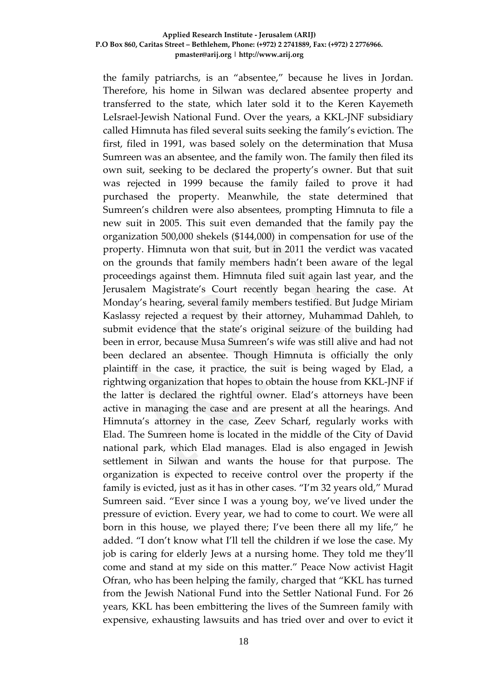#### **Applied Research Institute - Jerusalem (ARIJ) P.O Box 860, Caritas Street – Bethlehem, Phone: (+972) 2 2741889, Fax: (+972) 2 2776966. pmaster@arij.org | http://www.arij.org**

the family patriarchs, is an "absentee," because he lives in Jordan. Therefore, his home in Silwan was declared absentee property and transferred to the state, which later sold it to the Keren Kayemeth LeIsrael-Jewish National Fund. Over the years, a KKL-JNF subsidiary called Himnuta has filed several suits seeking the family's eviction. The first, filed in 1991, was based solely on the determination that Musa Sumreen was an absentee, and the family won. The family then filed its own suit, seeking to be declared the property's owner. But that suit was rejected in 1999 because the family failed to prove it had purchased the property. Meanwhile, the state determined that Sumreen's children were also absentees, prompting Himnuta to file a new suit in 2005. This suit even demanded that the family pay the organization 500,000 shekels (\$144,000) in compensation for use of the property. Himnuta won that suit, but in 2011 the verdict was vacated on the grounds that family members hadn't been aware of the legal proceedings against them. Himnuta filed suit again last year, and the Jerusalem Magistrate's Court recently began hearing the case. At Monday's hearing, several family members testified. But Judge Miriam Kaslassy rejected a request by their attorney, Muhammad Dahleh, to submit evidence that the state's original seizure of the building had been in error, because Musa Sumreen's wife was still alive and had not been declared an absentee. Though Himnuta is officially the only plaintiff in the case, it practice, the suit is being waged by Elad, a rightwing organization that hopes to obtain the house from KKL-JNF if the latter is declared the rightful owner. Elad's attorneys have been active in managing the case and are present at all the hearings. And Himnuta's attorney in the case, Zeev Scharf, regularly works with Elad. The Sumreen home is located in the middle of the City of David national park, which Elad manages. Elad is also engaged in Jewish settlement in Silwan and wants the house for that purpose. The organization is expected to receive control over the property if the family is evicted, just as it has in other cases. "I'm 32 years old," Murad Sumreen said. "Ever since I was a young boy, we've lived under the pressure of eviction. Every year, we had to come to court. We were all born in this house, we played there; I've been there all my life," he added. "I don't know what I'll tell the children if we lose the case. My job is caring for elderly Jews at a nursing home. They told me they'll come and stand at my side on this matter." Peace Now activist Hagit Ofran, who has been helping the family, charged that "KKL has turned from the Jewish National Fund into the Settler National Fund. For 26 years, KKL has been embittering the lives of the Sumreen family with expensive, exhausting lawsuits and has tried over and over to evict it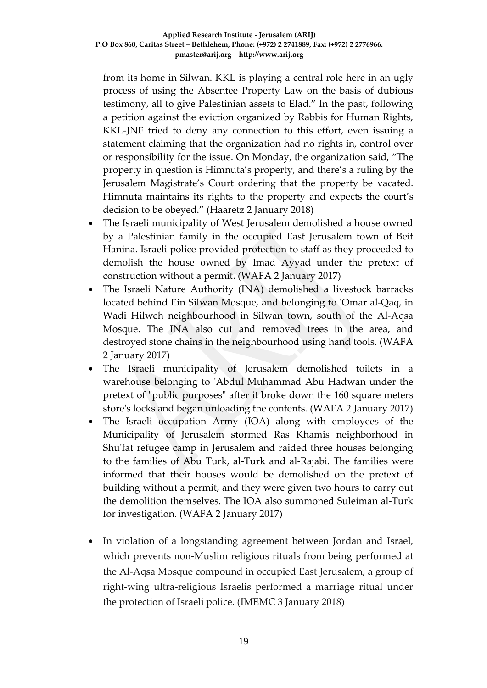from its home in Silwan. KKL is playing a central role here in an ugly process of using the Absentee Property Law on the basis of dubious testimony, all to give Palestinian assets to Elad." In the past, following a petition against the eviction organized by Rabbis for Human Rights, KKL-JNF tried to deny any connection to this effort, even issuing a statement claiming that the organization had no rights in, control over or responsibility for the issue. On Monday, the organization said, "The property in question is Himnuta's property, and there's a ruling by the Jerusalem Magistrate's Court ordering that the property be vacated. Himnuta maintains its rights to the property and expects the court's decision to be obeyed." (Haaretz 2 January 2018)

- The Israeli municipality of West Jerusalem demolished a house owned by a Palestinian family in the occupied East Jerusalem town of Beit Hanina. Israeli police provided protection to staff as they proceeded to demolish the house owned by Imad Ayyad under the pretext of construction without a permit. (WAFA 2 January 2017)
- The Israeli Nature Authority (INA) demolished a livestock barracks located behind Ein Silwan Mosque, and belonging to 'Omar al-Qaq, in Wadi Hilweh neighbourhood in Silwan town, south of the Al-Aqsa Mosque. The INA also cut and removed trees in the area, and destroyed stone chains in the neighbourhood using hand tools. (WAFA 2 January 2017)
- The Israeli municipality of Jerusalem demolished toilets in a warehouse belonging to 'Abdul Muhammad Abu Hadwan under the pretext of "public purposes" after it broke down the 160 square meters store's locks and began unloading the contents. (WAFA 2 January 2017)
- The Israeli occupation Army (IOA) along with employees of the Municipality of Jerusalem stormed Ras Khamis neighborhood in Shu'fat refugee camp in Jerusalem and raided three houses belonging to the families of Abu Turk, al-Turk and al-Rajabi. The families were informed that their houses would be demolished on the pretext of building without a permit, and they were given two hours to carry out the demolition themselves. The IOA also summoned Suleiman al-Turk for investigation. (WAFA 2 January 2017)
- In violation of a longstanding agreement between Jordan and Israel, which prevents non-Muslim religious rituals from being performed at the Al-Aqsa Mosque compound in occupied East Jerusalem, a group of right-wing ultra-religious Israelis performed a marriage ritual under the protection of Israeli police. (IMEMC 3 January 2018)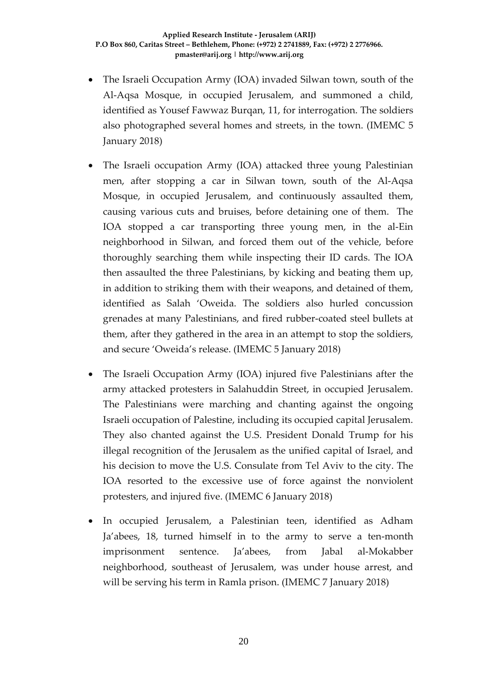- The Israeli Occupation Army (IOA) invaded Silwan town, south of the Al-Aqsa Mosque, in occupied Jerusalem, and summoned a child, identified as Yousef Fawwaz Burqan, 11, for interrogation. The soldiers also photographed several homes and streets, in the town. (IMEMC 5 January 2018)
- The Israeli occupation Army (IOA) attacked three young Palestinian men, after stopping a car in Silwan town, south of the Al-Aqsa Mosque, in occupied Jerusalem, and continuously assaulted them, causing various cuts and bruises, before detaining one of them. The IOA stopped a car transporting three young men, in the al-Ein neighborhood in Silwan, and forced them out of the vehicle, before thoroughly searching them while inspecting their ID cards. The IOA then assaulted the three Palestinians, by kicking and beating them up, in addition to striking them with their weapons, and detained of them, identified as Salah 'Oweida. The soldiers also hurled concussion grenades at many Palestinians, and fired rubber-coated steel bullets at them, after they gathered in the area in an attempt to stop the soldiers, and secure 'Oweida's release. (IMEMC 5 January 2018)
- The Israeli Occupation Army (IOA) injured five Palestinians after the army attacked protesters in Salahuddin Street, in occupied Jerusalem. The Palestinians were marching and chanting against the ongoing Israeli occupation of Palestine, including its occupied capital Jerusalem. They also chanted against the U.S. President Donald Trump for his illegal recognition of the Jerusalem as the unified capital of Israel, and his decision to move the U.S. Consulate from Tel Aviv to the city. The IOA resorted to the excessive use of force against the nonviolent protesters, and injured five. (IMEMC 6 January 2018)
- In occupied Jerusalem, a Palestinian teen, identified as Adham Ja'abees, 18, turned himself in to the army to serve a ten-month imprisonment sentence. Ja'abees, from Jabal al-Mokabber neighborhood, southeast of Jerusalem, was under house arrest, and will be serving his term in Ramla prison. (IMEMC 7 January 2018)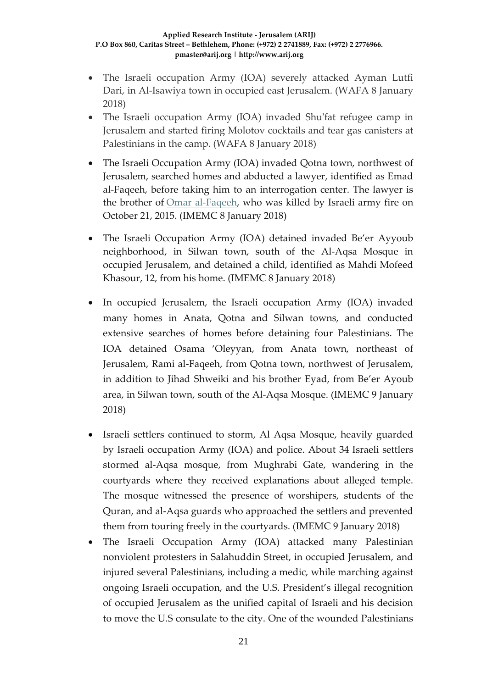#### **Applied Research Institute - Jerusalem (ARIJ) P.O Box 860, Caritas Street – Bethlehem, Phone: (+972) 2 2741889, Fax: (+972) 2 2776966. pmaster@arij.org | http://www.arij.org**

- The Israeli occupation Army (IOA) severely attacked Ayman Lutfi Dari, in Al-Isawiya town in occupied east Jerusalem. (WAFA 8 January 2018)
- The Israeli occupation Army (IOA) invaded Shu'fat refugee camp in Jerusalem and started firing Molotov cocktails and tear gas canisters at Palestinians in the camp. (WAFA 8 January 2018)
- The Israeli Occupation Army (IOA) invaded Qotna town, northwest of Jerusalem, searched homes and abducted a lawyer, identified as Emad al-Faqeeh, before taking him to an interrogation center. The lawyer is the brother of [Omar al-Faqeeh,](http://imemc.org/article/73483/) who was killed by Israeli army fire on October 21, 2015. (IMEMC 8 January 2018)
- The Israeli Occupation Army (IOA) detained invaded Be'er Ayyoub neighborhood, in Silwan town, south of the Al-Aqsa Mosque in occupied Jerusalem, and detained a child, identified as Mahdi Mofeed Khasour, 12, from his home. (IMEMC 8 January 2018)
- In occupied Jerusalem, the Israeli occupation Army (IOA) invaded many homes in Anata, Qotna and Silwan towns, and conducted extensive searches of homes before detaining four Palestinians. The IOA detained Osama 'Oleyyan, from Anata town, northeast of Jerusalem, Rami al-Faqeeh, from Qotna town, northwest of Jerusalem, in addition to Jihad Shweiki and his brother Eyad, from Be'er Ayoub area, in Silwan town, south of the Al-Aqsa Mosque. (IMEMC 9 January 2018)
- Israeli settlers continued to storm, Al Aqsa Mosque, heavily guarded by Israeli occupation Army (IOA) and police. About 34 Israeli settlers stormed al-Aqsa mosque, from Mughrabi Gate, wandering in the courtyards where they received explanations about alleged temple. The mosque witnessed the presence of worshipers, students of the Quran, and al-Aqsa guards who approached the settlers and prevented them from touring freely in the courtyards. (IMEMC 9 January 2018)
- The Israeli Occupation Army (IOA) attacked many Palestinian nonviolent protesters in Salahuddin Street, in occupied Jerusalem, and injured several Palestinians, including a medic, while marching against ongoing Israeli occupation, and the U.S. President's illegal recognition of occupied Jerusalem as the unified capital of Israeli and his decision to move the U.S consulate to the city. One of the wounded Palestinians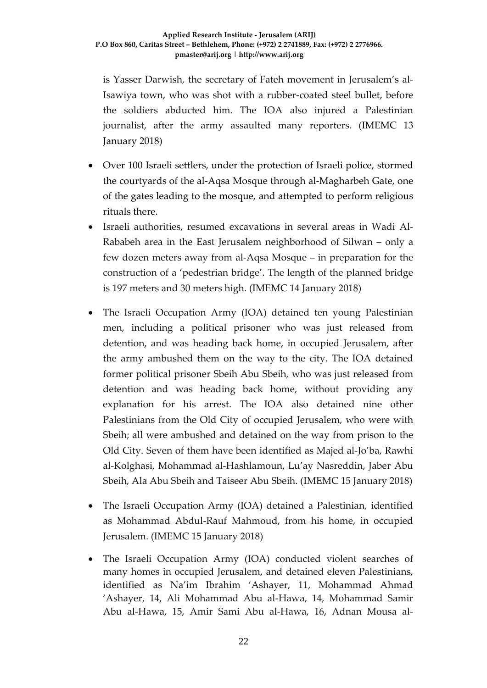is Yasser Darwish, the secretary of Fateh movement in Jerusalem's al-Isawiya town, who was shot with a rubber-coated steel bullet, before the soldiers abducted him. The IOA also injured a Palestinian journalist, after the army assaulted many reporters. (IMEMC 13 January 2018)

- Over 100 Israeli settlers, under the protection of Israeli police, stormed the courtyards of the al-Aqsa Mosque through al-Magharbeh Gate, one of the gates leading to the mosque, and attempted to perform religious rituals there.
- Israeli authorities, resumed excavations in several areas in Wadi Al-Rababeh area in the East Jerusalem neighborhood of Silwan – only a few dozen meters away from al-Aqsa Mosque – in preparation for the construction of a 'pedestrian bridge'. The length of the planned bridge is 197 meters and 30 meters high. (IMEMC 14 January 2018)
- The Israeli Occupation Army (IOA) detained ten young Palestinian men, including a political prisoner who was just released from detention, and was heading back home, in occupied Jerusalem, after the army ambushed them on the way to the city. The IOA detained former political prisoner Sbeih Abu Sbeih, who was just released from detention and was heading back home, without providing any explanation for his arrest. The IOA also detained nine other Palestinians from the Old City of occupied Jerusalem, who were with Sbeih; all were ambushed and detained on the way from prison to the Old City. Seven of them have been identified as Majed al-Jo'ba, Rawhi al-Kolghasi, Mohammad al-Hashlamoun, Lu'ay Nasreddin, Jaber Abu Sbeih, Ala Abu Sbeih and Taiseer Abu Sbeih. (IMEMC 15 January 2018)
- The Israeli Occupation Army (IOA) detained a Palestinian, identified as Mohammad Abdul-Rauf Mahmoud, from his home, in occupied Jerusalem. (IMEMC 15 January 2018)
- The Israeli Occupation Army (IOA) conducted violent searches of many homes in occupied Jerusalem, and detained eleven Palestinians, identified as Na'im Ibrahim 'Ashayer, 11, Mohammad Ahmad 'Ashayer, 14, Ali Mohammad Abu al-Hawa, 14, Mohammad Samir Abu al-Hawa, 15, Amir Sami Abu al-Hawa, 16, Adnan Mousa al-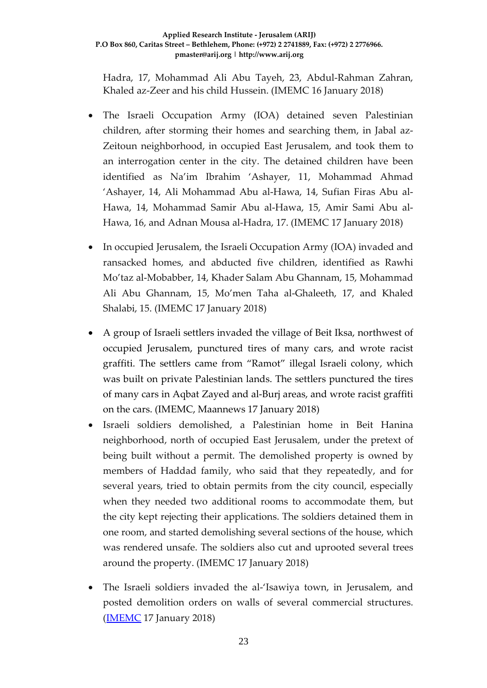Hadra, 17, Mohammad Ali Abu Tayeh, 23, Abdul-Rahman Zahran, Khaled az-Zeer and his child Hussein. (IMEMC 16 January 2018)

- The Israeli Occupation Army (IOA) detained seven Palestinian children, after storming their homes and searching them, in Jabal az-Zeitoun neighborhood, in occupied East Jerusalem, and took them to an interrogation center in the city. The detained children have been identified as Na'im Ibrahim 'Ashayer, 11, Mohammad Ahmad 'Ashayer, 14, Ali Mohammad Abu al-Hawa, 14, Sufian Firas Abu al-Hawa, 14, Mohammad Samir Abu al-Hawa, 15, Amir Sami Abu al-Hawa, 16, and Adnan Mousa al-Hadra, 17. (IMEMC 17 January 2018)
- In occupied Jerusalem, the Israeli Occupation Army (IOA) invaded and ransacked homes, and abducted five children, identified as Rawhi Mo'taz al-Mobabber, 14, Khader Salam Abu Ghannam, 15, Mohammad Ali Abu Ghannam, 15, Mo'men Taha al-Ghaleeth, 17, and Khaled Shalabi, 15. (IMEMC 17 January 2018)
- A group of Israeli settlers invaded the village of Beit Iksa, northwest of occupied Jerusalem, punctured tires of many cars, and wrote racist graffiti. The settlers came from "Ramot" illegal Israeli colony, which was built on private Palestinian lands. The settlers punctured the tires of many cars in Aqbat Zayed and al-Burj areas, and wrote racist graffiti on the cars. (IMEMC, Maannews 17 January 2018)
- Israeli soldiers demolished, a Palestinian home in Beit Hanina neighborhood, north of occupied East Jerusalem, under the pretext of being built without a permit. The demolished property is owned by members of Haddad family, who said that they repeatedly, and for several years, tried to obtain permits from the city council, especially when they needed two additional rooms to accommodate them, but the city kept rejecting their applications. The soldiers detained them in one room, and started demolishing several sections of the house, which was rendered unsafe. The soldiers also cut and uprooted several trees around the property. (IMEMC 17 January 2018)
- The Israeli soldiers invaded the al-'Isawiya town, in Jerusalem, and posted demolition orders on walls of several commercial structures. [\(IMEMC](http://imemc.org/article/israeli-soldiers-demolish-a-home-in-jerusalem-2/) 17 January 2018)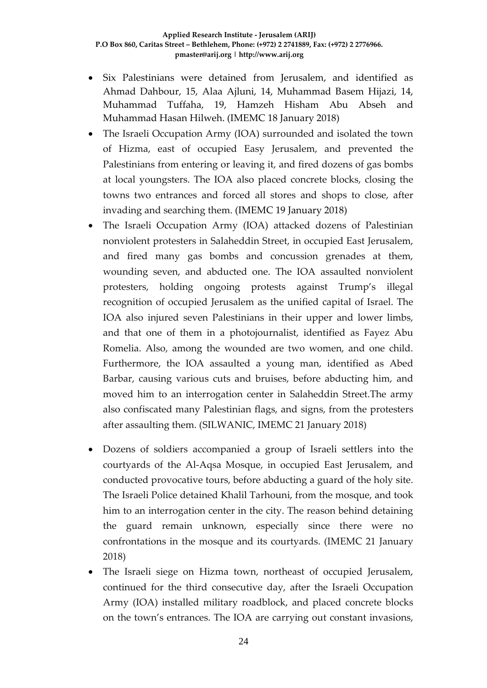- Six Palestinians were detained from Jerusalem, and identified as Ahmad Dahbour, 15, Alaa Ajluni, 14, Muhammad Basem Hijazi, 14, Muhammad Tuffaha, 19, Hamzeh Hisham Abu Abseh and Muhammad Hasan Hilweh. (IMEMC 18 January 2018)
- The Israeli Occupation Army (IOA) surrounded and isolated the town of Hizma, east of occupied Easy Jerusalem, and prevented the Palestinians from entering or leaving it, and fired dozens of gas bombs at local youngsters. The IOA also placed concrete blocks, closing the towns two entrances and forced all stores and shops to close, after invading and searching them. (IMEMC 19 January 2018)
- The Israeli Occupation Army (IOA) attacked dozens of Palestinian nonviolent protesters in Salaheddin Street, in occupied East Jerusalem, and fired many gas bombs and concussion grenades at them, wounding seven, and abducted one. The IOA assaulted nonviolent protesters, holding ongoing protests against Trump's illegal recognition of occupied Jerusalem as the unified capital of Israel. The IOA also injured seven Palestinians in their upper and lower limbs, and that one of them in a photojournalist, identified as Fayez Abu Romelia. Also, among the wounded are two women, and one child. Furthermore, the IOA assaulted a young man, identified as Abed Barbar, causing various cuts and bruises, before abducting him, and moved him to an interrogation center in Salaheddin Street.The army also confiscated many Palestinian flags, and signs, from the protesters after assaulting them. (SILWANIC, IMEMC 21 January 2018)
- Dozens of soldiers accompanied a group of Israeli settlers into the courtyards of the Al-Aqsa Mosque, in occupied East Jerusalem, and conducted provocative tours, before abducting a guard of the holy site. The Israeli Police detained Khalil Tarhouni, from the mosque, and took him to an interrogation center in the city. The reason behind detaining the guard remain unknown, especially since there were no confrontations in the mosque and its courtyards. (IMEMC 21 January 2018)
- The Israeli siege on Hizma town, northeast of occupied Jerusalem, continued for the third consecutive day, after the Israeli Occupation Army (IOA) installed military roadblock, and placed concrete blocks on the town's entrances. The IOA are carrying out constant invasions,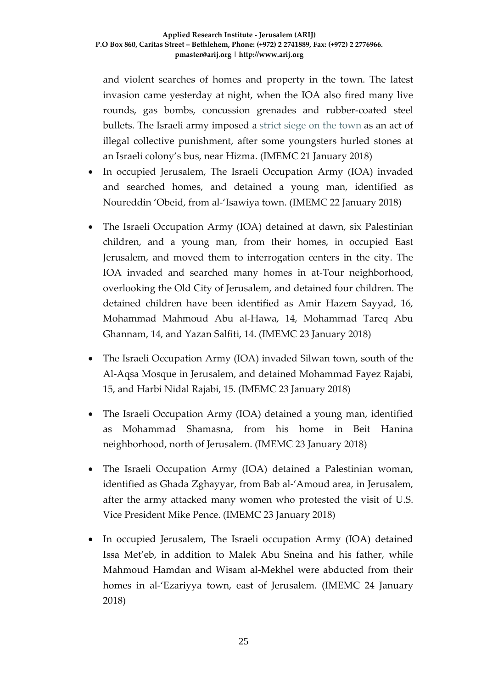and violent searches of homes and property in the town. The latest invasion came yesterday at night, when the IOA also fired many live rounds, gas bombs, concussion grenades and rubber-coated steel bullets. The Israeli army imposed a [strict siege on the town](http://imemc.org/article/israeli-soldiers-isolate-hizma-town-near-jerusalem/) as an act of illegal collective punishment, after some youngsters hurled stones at an Israeli colony's bus, near Hizma. (IMEMC 21 January 2018)

- In occupied Jerusalem, The Israeli Occupation Army (IOA) invaded and searched homes, and detained a young man, identified as Noureddin 'Obeid, from al-'Isawiya town. (IMEMC 22 January 2018)
- The Israeli Occupation Army (IOA) detained at dawn, six Palestinian children, and a young man, from their homes, in occupied East Jerusalem, and moved them to interrogation centers in the city. The IOA invaded and searched many homes in at-Tour neighborhood, overlooking the Old City of Jerusalem, and detained four children. The detained children have been identified as Amir Hazem Sayyad, 16, Mohammad Mahmoud Abu al-Hawa, 14, Mohammad Tareq Abu Ghannam, 14, and Yazan Salfiti, 14. (IMEMC 23 January 2018)
- The Israeli Occupation Army (IOA) invaded Silwan town, south of the Al-Aqsa Mosque in Jerusalem, and detained Mohammad Fayez Rajabi, 15, and Harbi Nidal Rajabi, 15. (IMEMC 23 January 2018)
- The Israeli Occupation Army (IOA) detained a young man, identified as Mohammad Shamasna, from his home in Beit Hanina neighborhood, north of Jerusalem. (IMEMC 23 January 2018)
- The Israeli Occupation Army (IOA) detained a Palestinian woman, identified as Ghada Zghayyar, from Bab al-'Amoud area, in Jerusalem, after the army attacked many women who protested the visit of U.S. Vice President Mike Pence. (IMEMC 23 January 2018)
- In occupied Jerusalem, The Israeli occupation Army (IOA) detained Issa Met'eb, in addition to Malek Abu Sneina and his father, while Mahmoud Hamdan and Wisam al-Mekhel were abducted from their homes in al-'Ezariyya town, east of Jerusalem. (IMEMC 24 January 2018)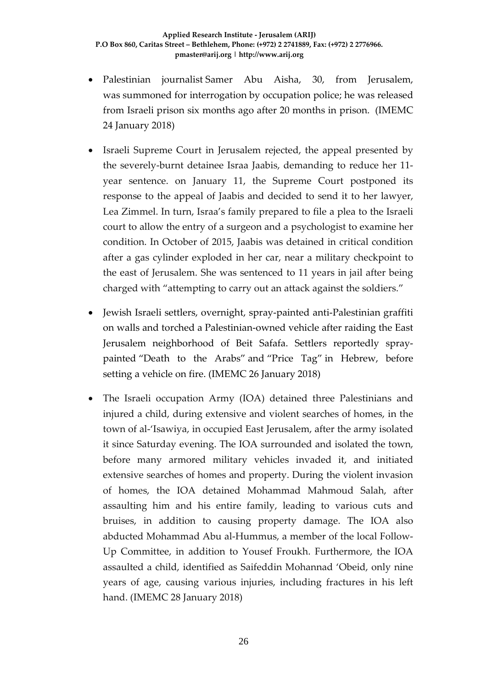- Palestinian journalist [Samer Abu Aisha,](http://samidoun.net/2016/10/jerusalemite-activist-samer-abu-aisha-sentenced-to-20-months-in-israeli-prison/) 30, from Jerusalem, was [summoned for interrogation](http://asramedia.ps/post/5915) by occupation police; he was released from Israeli prison six months ago after 20 months in prison. (IMEMC 24 January 2018)
- Israeli Supreme Court in Jerusalem rejected, the appeal presented by the severely-burnt detainee Israa Jaabis, demanding to reduce her 11 year sentence. on January 11, the Supreme Court postponed its response to the appeal of Jaabis and decided to send it to her lawyer, Lea Zimmel. In turn, Israa's family prepared to file a plea to the Israeli court to allow the entry of a surgeon and a psychologist to examine her condition. In October of 2015, Jaabis was detained in critical condition after a gas cylinder exploded in her car, near a military checkpoint to the east of Jerusalem. She was sentenced to 11 years in jail after being charged with "attempting to carry out an attack against the soldiers."
- Jewish Israeli settlers, overnight, spray-painted anti-Palestinian graffiti on walls and torched a Palestinian-owned vehicle after raiding the East Jerusalem neighborhood of Beit Safafa. Settlers reportedly spraypainted "Death to the Arabs" and "Price Tag" in Hebrew, before setting a vehicle on fire. (IMEMC 26 January 2018)
- The Israeli occupation Army (IOA) detained three Palestinians and injured a child, during extensive and violent searches of homes, in the town of al-'Isawiya, in occupied East Jerusalem, after the army isolated it since Saturday evening. The IOA surrounded and isolated the town, before many armored military vehicles invaded it, and initiated extensive searches of homes and property. During the violent invasion of homes, the IOA detained Mohammad Mahmoud Salah, after assaulting him and his entire family, leading to various cuts and bruises, in addition to causing property damage. The IOA also abducted Mohammad Abu al-Hummus, a member of the local Follow-Up Committee, in addition to Yousef Froukh. Furthermore, the IOA assaulted a child, identified as Saifeddin Mohannad 'Obeid, only nine years of age, causing various injuries, including fractures in his left hand. (IMEMC 28 January 2018)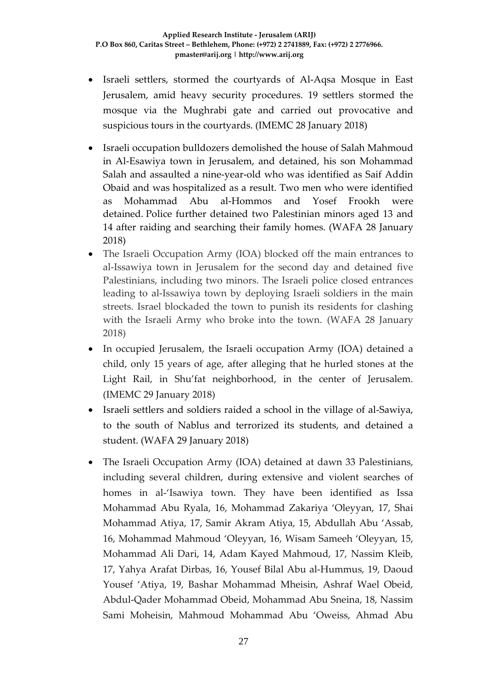- Israeli settlers, stormed the courtyards of Al-Aqsa Mosque in East Jerusalem, amid heavy security procedures. 19 settlers stormed the mosque via the Mughrabi gate and carried out provocative and suspicious tours in the courtyards. (IMEMC 28 January 2018)
- Israeli occupation bulldozers demolished the house of Salah Mahmoud in Al-Esawiya town in Jerusalem, and detained, his son Mohammad Salah and assaulted a nine-year-old who was identified as Saif Addin Obaid and was hospitalized as a result. Two men who were identified as Mohammad Abu al-Hommos and Yosef Frookh were detained. Police further detained two Palestinian minors aged 13 and 14 after raiding and searching their family homes. (WAFA 28 January 2018)
- The Israeli Occupation Army (IOA) blocked off the main entrances to al-Issawiya town in Jerusalem for the second day and detained five Palestinians, including two minors. The Israeli police closed entrances leading to al-Issawiya town by deploying Israeli soldiers in the main streets. Israel blockaded the town to punish its residents for clashing with the Israeli Army who broke into the town. (WAFA 28 January 2018)
- In occupied Jerusalem, the Israeli occupation Army (IOA) detained a child, only 15 years of age, after alleging that he hurled stones at the Light Rail, in Shu'fat neighborhood, in the center of Jerusalem. (IMEMC 29 January 2018)
- Israeli settlers and soldiers raided a school in the village of al-Sawiya, to the south of Nablus and terrorized its students, and detained a student. (WAFA 29 January 2018)
- The Israeli Occupation Army (IOA) detained at dawn 33 Palestinians, including several children, during extensive and violent searches of homes in al-'Isawiya town. They have been identified as Issa Mohammad Abu Ryala, 16, Mohammad Zakariya 'Oleyyan, 17, Shai Mohammad Atiya, 17, Samir Akram Atiya, 15, Abdullah Abu 'Assab, 16, Mohammad Mahmoud 'Oleyyan, 16, Wisam Sameeh 'Oleyyan, 15, Mohammad Ali Dari, 14, Adam Kayed Mahmoud, 17, Nassim Kleib, 17, Yahya Arafat Dirbas, 16, Yousef Bilal Abu al-Hummus, 19, Daoud Yousef 'Atiya, 19, Bashar Mohammad Mheisin, Ashraf Wael Obeid, Abdul-Qader Mohammad Obeid, Mohammad Abu Sneina, 18, Nassim Sami Moheisin, Mahmoud Mohammad Abu 'Oweiss, Ahmad Abu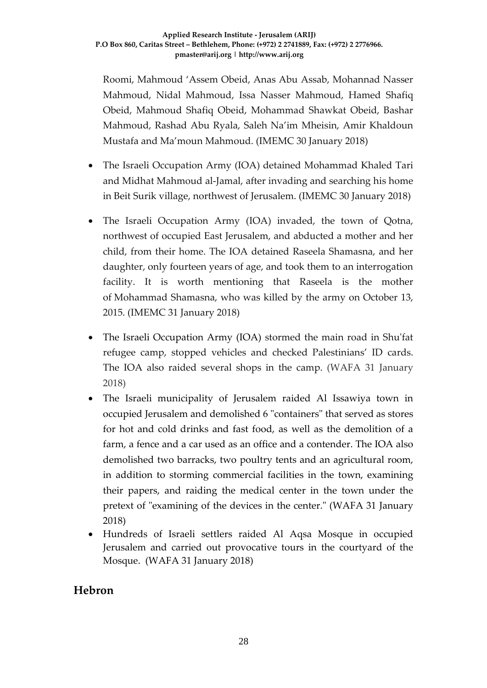Roomi, Mahmoud 'Assem Obeid, Anas Abu Assab, Mohannad Nasser Mahmoud, Nidal Mahmoud, Issa Nasser Mahmoud, Hamed Shafiq Obeid, Mahmoud Shafiq Obeid, Mohammad Shawkat Obeid, Bashar Mahmoud, Rashad Abu Ryala, Saleh Na'im Mheisin, Amir Khaldoun Mustafa and Ma'moun Mahmoud. (IMEMC 30 January 2018)

- The Israeli Occupation Army (IOA) detained Mohammad Khaled Tari and Midhat Mahmoud al-Jamal, after invading and searching his home in Beit Surik village, northwest of Jerusalem. (IMEMC 30 January 2018)
- The Israeli Occupation Army (IOA) invaded, the town of Qotna, northwest of occupied East Jerusalem, and abducted a mother and her child, from their home. The IOA detained Raseela Shamasna, and her daughter, only fourteen years of age, and took them to an interrogation facility. It is worth mentioning that Raseela is the mother of Mohammad Shamasna, who was killed by the army on October 13, 2015. (IMEMC 31 January 2018)
- The Israeli Occupation Army (IOA) stormed the main road in Shu'fat refugee camp, stopped vehicles and checked Palestinians' ID cards. The IOA also raided several shops in the camp. (WAFA 31 January 2018)
- The Israeli municipality of Jerusalem raided Al Issawiya town in occupied Jerusalem and demolished 6 "containers" that served as stores for hot and cold drinks and fast food, as well as the demolition of a farm, a fence and a car used as an office and a contender. The IOA also demolished two barracks, two poultry tents and an agricultural room, in addition to storming commercial facilities in the town, examining their papers, and raiding the medical center in the town under the pretext of "examining of the devices in the center." (WAFA 31 January 2018)
- Hundreds of Israeli settlers raided Al Aqsa Mosque in occupied Jerusalem and carried out provocative tours in the courtyard of the Mosque. (WAFA 31 January 2018)

## **Hebron**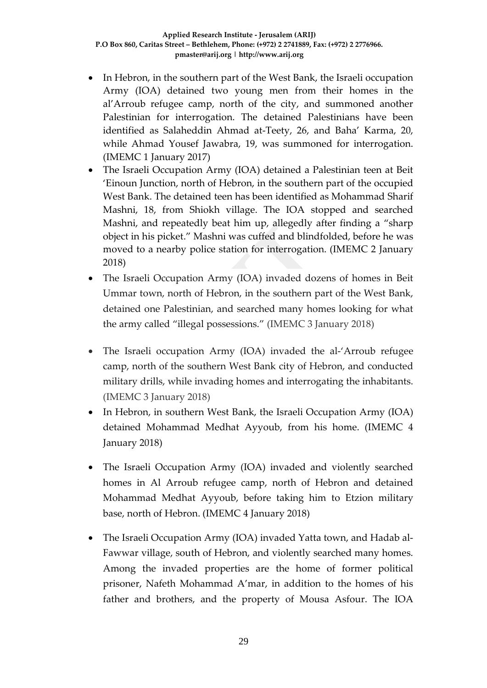- In Hebron, in the southern part of the West Bank, the Israeli occupation Army (IOA) detained two young men from their homes in the al'Arroub refugee camp, north of the city, and summoned another Palestinian for interrogation. The detained Palestinians have been identified as Salaheddin Ahmad at-Teety, 26, and Baha' Karma, 20, while Ahmad Yousef Jawabra, 19, was summoned for interrogation. (IMEMC 1 January 2017)
- The Israeli Occupation Army (IOA) detained a Palestinian teen at Beit 'Einoun Junction, north of Hebron, in the southern part of the occupied West Bank. The detained teen has been identified as Mohammad Sharif Mashni, 18, from Shiokh village. The IOA stopped and searched Mashni, and repeatedly beat him up, allegedly after finding a "sharp object in his picket." Mashni was cuffed and blindfolded, before he was moved to a nearby police station for interrogation. (IMEMC 2 January 2018)
- The Israeli Occupation Army (IOA) invaded dozens of homes in Beit Ummar town, north of Hebron, in the southern part of the West Bank, detained one Palestinian, and searched many homes looking for what the army called "illegal possessions." (IMEMC 3 January 2018)
- The Israeli occupation Army (IOA) invaded the al-'Arroub refugee camp, north of the southern West Bank city of Hebron, and conducted military drills, while invading homes and interrogating the inhabitants. (IMEMC 3 January 2018)
- In Hebron, in southern West Bank, the Israeli Occupation Army (IOA) detained Mohammad Medhat Ayyoub, from his home. (IMEMC 4 January 2018)
- The Israeli Occupation Army (IOA) invaded and violently searched homes in Al Arroub refugee camp, north of Hebron and detained Mohammad Medhat Ayyoub, before taking him to Etzion military base, north of Hebron. (IMEMC 4 January 2018)
- The Israeli Occupation Army (IOA) invaded Yatta town, and Hadab al-Fawwar village, south of Hebron, and violently searched many homes. Among the invaded properties are the home of former political prisoner, Nafeth Mohammad A'mar, in addition to the homes of his father and brothers, and the property of Mousa Asfour. The IOA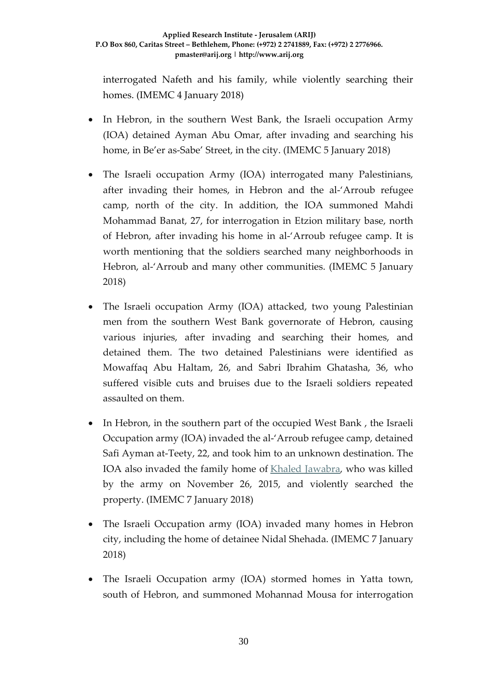interrogated Nafeth and his family, while violently searching their homes. (IMEMC 4 January 2018)

- In Hebron, in the southern West Bank, the Israeli occupation Army (IOA) detained Ayman Abu Omar, after invading and searching his home, in Be'er as-Sabe' Street, in the city. (IMEMC 5 January 2018)
- The Israeli occupation Army (IOA) interrogated many Palestinians, after invading their homes, in Hebron and the al-'Arroub refugee camp, north of the city. In addition, the IOA summoned Mahdi Mohammad Banat, 27, for interrogation in Etzion military base, north of Hebron, after invading his home in al-'Arroub refugee camp. It is worth mentioning that the soldiers searched many neighborhoods in Hebron, al-'Arroub and many other communities. (IMEMC 5 January 2018)
- The Israeli occupation Army (IOA) attacked, two young Palestinian men from the southern West Bank governorate of Hebron, causing various injuries, after invading and searching their homes, and detained them. The two detained Palestinians were identified as Mowaffaq Abu Haltam, 26, and Sabri Ibrahim Ghatasha, 36, who suffered visible cuts and bruises due to the Israeli soldiers repeated assaulted on them.
- In Hebron, in the southern part of the occupied West Bank , the Israeli Occupation army (IOA) invaded the al-'Arroub refugee camp, detained Safi Ayman at-Teety, 22, and took him to an unknown destination. The IOA also invaded the family home of [Khaled Jawabra,](http://imemc.org/article/74021/) who was killed by the army on November 26, 2015, and violently searched the property. (IMEMC 7 January 2018)
- The Israeli Occupation army (IOA) invaded many homes in Hebron city, including the home of detainee Nidal Shehada. (IMEMC 7 January 2018)
- The Israeli Occupation army (IOA) stormed homes in Yatta town, south of Hebron, and summoned Mohannad Mousa for interrogation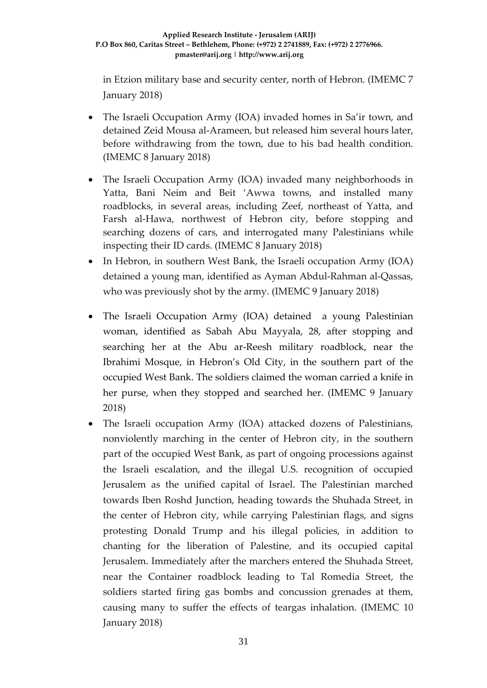in Etzion military base and security center, north of Hebron. (IMEMC 7 January 2018)

- The Israeli Occupation Army (IOA) invaded homes in Sa'ir town, and detained Zeid Mousa al-Arameen, but released him several hours later, before withdrawing from the town, due to his bad health condition. (IMEMC 8 January 2018)
- The Israeli Occupation Army (IOA) invaded many neighborhoods in Yatta, Bani Neim and Beit 'Awwa towns, and installed many roadblocks, in several areas, including Zeef, northeast of Yatta, and Farsh al-Hawa, northwest of Hebron city, before stopping and searching dozens of cars, and interrogated many Palestinians while inspecting their ID cards. (IMEMC 8 January 2018)
- In Hebron, in southern West Bank, the Israeli occupation Army (IOA) detained a young man, identified as Ayman Abdul-Rahman al-Qassas, who was previously shot by the army. (IMEMC 9 January 2018)
- The Israeli Occupation Army (IOA) detained a young Palestinian woman, identified as Sabah Abu Mayyala, 28, after stopping and searching her at the Abu ar-Reesh military roadblock, near the Ibrahimi Mosque, in Hebron's Old City, in the southern part of the occupied West Bank. The soldiers claimed the woman carried a knife in her purse, when they stopped and searched her. (IMEMC 9 January 2018)
- The Israeli occupation Army (IOA) attacked dozens of Palestinians, nonviolently marching in the center of Hebron city, in the southern part of the occupied West Bank, as part of ongoing processions against the Israeli escalation, and the illegal U.S. recognition of occupied Jerusalem as the unified capital of Israel. The Palestinian marched towards Iben Roshd Junction, heading towards the Shuhada Street, in the center of Hebron city, while carrying Palestinian flags, and signs protesting Donald Trump and his illegal policies, in addition to chanting for the liberation of Palestine, and its occupied capital Jerusalem. Immediately after the marchers entered the Shuhada Street, near the Container roadblock leading to Tal Romedia Street, the soldiers started firing gas bombs and concussion grenades at them, causing many to suffer the effects of teargas inhalation. (IMEMC 10 January 2018)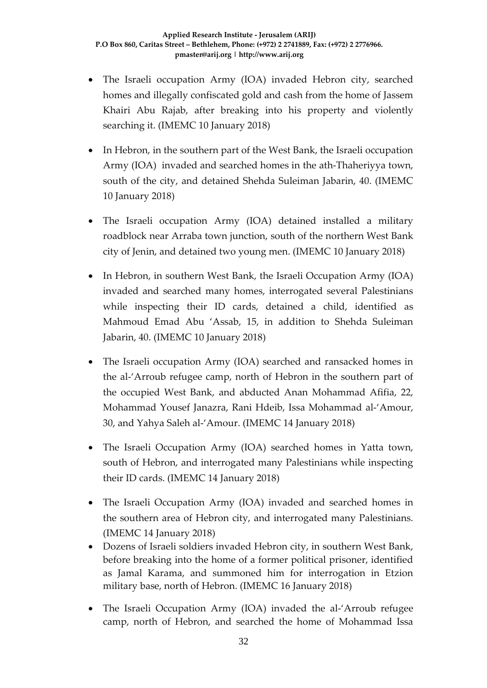- The Israeli occupation Army (IOA) invaded Hebron city, searched homes and illegally confiscated gold and cash from the home of Jassem Khairi Abu Rajab, after breaking into his property and violently searching it. (IMEMC 10 January 2018)
- In Hebron, in the southern part of the West Bank, the Israeli occupation Army (IOA) invaded and searched homes in the ath-Thaheriyya town, south of the city, and detained Shehda Suleiman Jabarin, 40. (IMEMC 10 January 2018)
- The Israeli occupation Army (IOA) detained installed a military roadblock near Arraba town junction, south of the northern West Bank city of Jenin, and detained two young men. (IMEMC 10 January 2018)
- In Hebron, in southern West Bank, the Israeli Occupation Army (IOA) invaded and searched many homes, interrogated several Palestinians while inspecting their ID cards, detained a child, identified as Mahmoud Emad Abu 'Assab, 15, in addition to Shehda Suleiman Jabarin, 40. (IMEMC 10 January 2018)
- The Israeli occupation Army (IOA) searched and ransacked homes in the al-'Arroub refugee camp, north of Hebron in the southern part of the occupied West Bank, and abducted Anan Mohammad Afifia, 22, Mohammad Yousef Janazra, Rani Hdeib, Issa Mohammad al-'Amour, 30, and Yahya Saleh al-'Amour. (IMEMC 14 January 2018)
- The Israeli Occupation Army (IOA) searched homes in Yatta town, south of Hebron, and interrogated many Palestinians while inspecting their ID cards. (IMEMC 14 January 2018)
- The Israeli Occupation Army (IOA) invaded and searched homes in the southern area of Hebron city, and interrogated many Palestinians. (IMEMC 14 January 2018)
- Dozens of Israeli soldiers invaded Hebron city, in southern West Bank, before breaking into the home of a former political prisoner, identified as Jamal Karama, and summoned him for interrogation in Etzion military base, north of Hebron. (IMEMC 16 January 2018)
- The Israeli Occupation Army (IOA) invaded the al-'Arroub refugee camp, north of Hebron, and searched the home of Mohammad Issa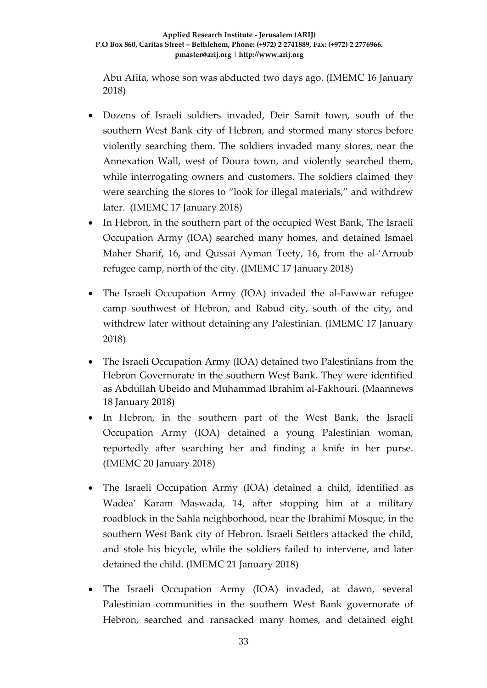Abu Afifa, whose son was abducted two days ago. (IMEMC 16 January 2018)

- Dozens of Israeli soldiers invaded, Deir Samit town, south of the southern West Bank city of Hebron, and stormed many stores before violently searching them. The soldiers invaded many stores, near the Annexation Wall, west of Doura town, and violently searched them, while interrogating owners and customers. The soldiers claimed they were searching the stores to "look for illegal materials," and withdrew later. (IMEMC 17 January 2018)
- In Hebron, in the southern part of the occupied West Bank, The Israeli Occupation Army (IOA) searched many homes, and detained Ismael Maher Sharif, 16, and Qussai Ayman Teety, 16, from the al-'Arroub refugee camp, north of the city. (IMEMC 17 January 2018)
- The Israeli Occupation Army (IOA) invaded the al-Fawwar refugee camp southwest of Hebron, and Rabud city, south of the city, and withdrew later without detaining any Palestinian. (IMEMC 17 January 2018)
- The Israeli Occupation Army (IOA) detained two Palestinians from the Hebron Governorate in the southern West Bank. They were identified as Abdullah Ubeido and Muhammad Ibrahim al-Fakhouri. (Maannews 18 January 2018)
- In Hebron, in the southern part of the West Bank, the Israeli Occupation Army (IOA) detained a young Palestinian woman, reportedly after searching her and finding a knife in her purse. (IMEMC 20 January 2018)
- The Israeli Occupation Army (IOA) detained a child, identified as Wadea' Karam Maswada, 14, after stopping him at a military roadblock in the Sahla neighborhood, near the Ibrahimi Mosque, in the southern West Bank city of Hebron. Israeli Settlers attacked the child, and stole his bicycle, while the soldiers failed to intervene, and later detained the child. (IMEMC 21 January 2018)
- The Israeli Occupation Army (IOA) invaded, at dawn, several Palestinian communities in the southern West Bank governorate of Hebron, searched and ransacked many homes, and detained eight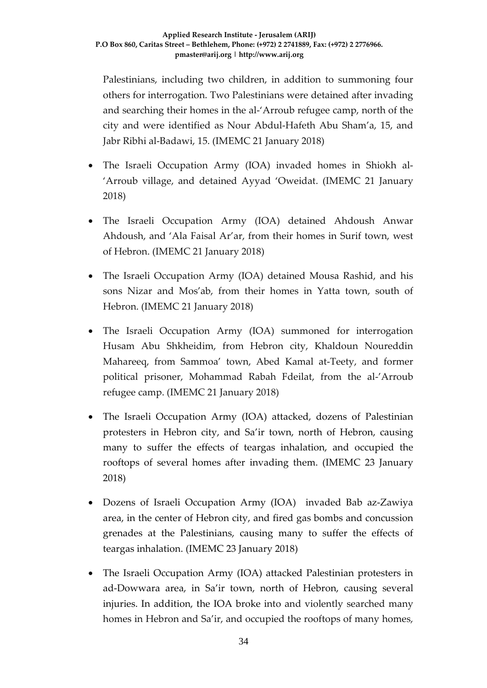Palestinians, including two children, in addition to summoning four others for interrogation. Two Palestinians were detained after invading and searching their homes in the al-'Arroub refugee camp, north of the city and were identified as Nour Abdul-Hafeth Abu Sham'a, 15, and Jabr Ribhi al-Badawi, 15. (IMEMC 21 January 2018)

- The Israeli Occupation Army (IOA) invaded homes in Shiokh al- 'Arroub village, and detained Ayyad 'Oweidat. (IMEMC 21 January 2018)
- The Israeli Occupation Army (IOA) detained Ahdoush Anwar Ahdoush, and 'Ala Faisal Ar'ar, from their homes in Surif town, west of Hebron. (IMEMC 21 January 2018)
- The Israeli Occupation Army (IOA) detained Mousa Rashid, and his sons Nizar and Mos'ab, from their homes in Yatta town, south of Hebron. (IMEMC 21 January 2018)
- The Israeli Occupation Army (IOA) summoned for interrogation Husam Abu Shkheidim, from Hebron city, Khaldoun Noureddin Mahareeq, from Sammoa' town, Abed Kamal at-Teety, and former political prisoner, Mohammad Rabah Fdeilat, from the al-'Arroub refugee camp. (IMEMC 21 January 2018)
- The Israeli Occupation Army (IOA) attacked, dozens of Palestinian protesters in Hebron city, and Sa'ir town, north of Hebron, causing many to suffer the effects of teargas inhalation, and occupied the rooftops of several homes after invading them. (IMEMC 23 January 2018)
- Dozens of Israeli Occupation Army (IOA) invaded Bab az-Zawiya area, in the center of Hebron city, and fired gas bombs and concussion grenades at the Palestinians, causing many to suffer the effects of teargas inhalation. (IMEMC 23 January 2018)
- The Israeli Occupation Army (IOA) attacked Palestinian protesters in ad-Dowwara area, in Sa'ir town, north of Hebron, causing several injuries. In addition, the IOA broke into and violently searched many homes in Hebron and Sa'ir, and occupied the rooftops of many homes,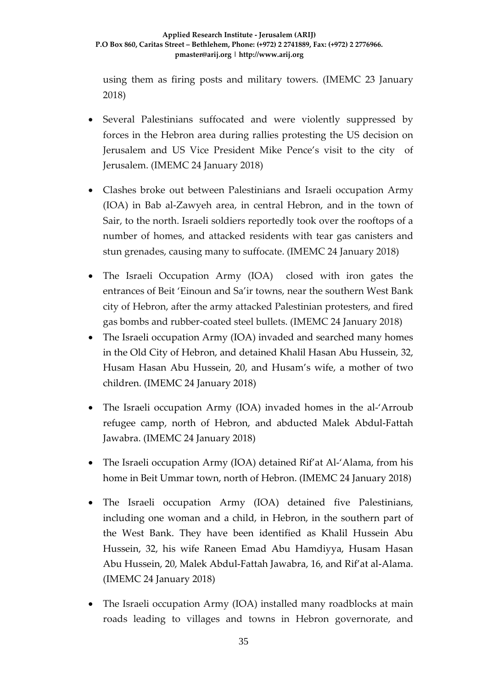using them as firing posts and military towers. (IMEMC 23 January 2018)

- Several Palestinians suffocated and were violently suppressed by forces in the Hebron area during rallies protesting the US decision on Jerusalem and US Vice President Mike Pence's visit to the city of Jerusalem. (IMEMC 24 January 2018)
- Clashes broke out between Palestinians and Israeli occupation Army (IOA) in Bab al-Zawyeh area, in central Hebron, and in the town of Sair, to the north. Israeli soldiers reportedly took over the rooftops of a number of homes, and attacked residents with tear gas canisters and stun grenades, causing many to suffocate. (IMEMC 24 January 2018)
- The Israeli Occupation Army (IOA) closed with iron gates the entrances of Beit 'Einoun and Sa'ir towns, near the southern West Bank city of Hebron, after the army attacked Palestinian protesters, and fired gas bombs and rubber-coated steel bullets. (IMEMC 24 January 2018)
- The Israeli occupation Army (IOA) invaded and searched many homes in the Old City of Hebron, and detained Khalil Hasan Abu Hussein, 32, Husam Hasan Abu Hussein, 20, and Husam's wife, a mother of two children. (IMEMC 24 January 2018)
- The Israeli occupation Army (IOA) invaded homes in the al-'Arroub refugee camp, north of Hebron, and abducted Malek Abdul-Fattah Jawabra. (IMEMC 24 January 2018)
- The Israeli occupation Army (IOA) detained Rif'at Al-'Alama, from his home in Beit Ummar town, north of Hebron. (IMEMC 24 January 2018)
- The Israeli occupation Army (IOA) detained five Palestinians, including one woman and a child, in Hebron, in the southern part of the West Bank. They have been identified as Khalil Hussein Abu Hussein, 32, his wife Raneen Emad Abu Hamdiyya, Husam Hasan Abu Hussein, 20, Malek Abdul-Fattah Jawabra, 16, and Rif'at al-Alama. (IMEMC 24 January 2018)
- The Israeli occupation Army (IOA) installed many roadblocks at main roads leading to villages and towns in Hebron governorate, and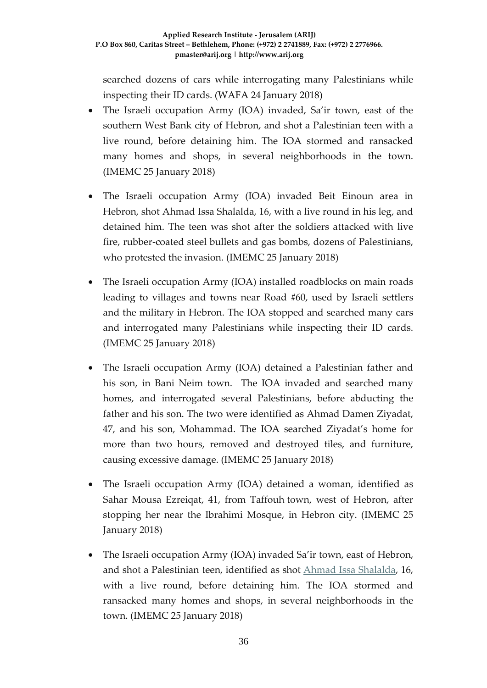searched dozens of cars while interrogating many Palestinians while inspecting their ID cards. (WAFA 24 January 2018)

- The Israeli occupation Army (IOA) invaded, Sa'ir town, east of the southern West Bank city of Hebron, and shot a Palestinian teen with a live round, before detaining him. The IOA stormed and ransacked many homes and shops, in several neighborhoods in the town. (IMEMC 25 January 2018)
- The Israeli occupation Army (IOA) invaded Beit Einoun area in Hebron, shot Ahmad Issa Shalalda, 16, with a live round in his leg, and detained him. The teen was shot after the soldiers attacked with live fire, rubber-coated steel bullets and gas bombs, dozens of Palestinians, who protested the invasion. (IMEMC 25 January 2018)
- The Israeli occupation Army (IOA) installed roadblocks on main roads leading to villages and towns near Road #60, used by Israeli settlers and the military in Hebron. The IOA stopped and searched many cars and interrogated many Palestinians while inspecting their ID cards. (IMEMC 25 January 2018)
- The Israeli occupation Army (IOA) detained a Palestinian father and his son, in Bani Neim town. The IOA invaded and searched many homes, and interrogated several Palestinians, before abducting the father and his son. The two were identified as Ahmad Damen Ziyadat, 47, and his son, Mohammad. The IOA searched Ziyadat's home for more than two hours, removed and destroyed tiles, and furniture, causing excessive damage. (IMEMC 25 January 2018)
- The Israeli occupation Army (IOA) detained a woman, identified as Sahar Mousa Ezreiqat, 41, from Taffouh town, west of Hebron, after stopping her near the Ibrahimi Mosque, in Hebron city. (IMEMC 25 January 2018)
- The Israeli occupation Army (IOA) invaded Sa'ir town, east of Hebron, and shot a Palestinian teen, identified as shot [Ahmad Issa Shalalda,](http://imemc.org/article/soldiers-shoot-and-abduct-a-teenage-boy-near-hebron/) 16, with a live round, before detaining him. The IOA stormed and ransacked many homes and shops, in several neighborhoods in the town. (IMEMC 25 January 2018)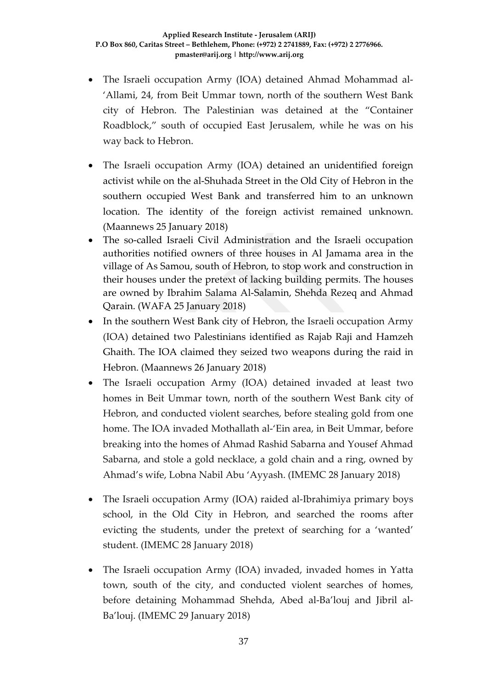- The Israeli occupation Army (IOA) detained Ahmad Mohammad al- 'Allami, 24, from Beit Ummar town, north of the southern West Bank city of Hebron. The Palestinian was detained at the "Container Roadblock," south of occupied East Jerusalem, while he was on his way back to Hebron.
- The Israeli occupation Army (IOA) detained an unidentified foreign activist while on the al-Shuhada Street in the Old City of Hebron in the southern occupied West Bank and transferred him to an unknown location. The identity of the foreign activist remained unknown. (Maannews 25 January 2018)
- The so-called Israeli Civil Administration and the Israeli occupation authorities notified owners of three houses in Al Jamama area in the village of As Samou, south of Hebron, to stop work and construction in their houses under the pretext of lacking building permits. The houses are owned by Ibrahim Salama Al-Salamin, Shehda Rezeq and Ahmad Qarain. (WAFA 25 January 2018)
- In the southern West Bank city of Hebron, the Israeli occupation Army (IOA) detained two Palestinians identified as Rajab Raji and Hamzeh Ghaith. The IOA claimed they seized two weapons during the raid in Hebron. (Maannews 26 January 2018)
- The Israeli occupation Army (IOA) detained invaded at least two homes in Beit Ummar town, north of the southern West Bank city of Hebron, and conducted violent searches, before stealing gold from one home. The IOA invaded Mothallath al-'Ein area, in Beit Ummar, before breaking into the homes of Ahmad Rashid Sabarna and Yousef Ahmad Sabarna, and stole a gold necklace, a gold chain and a ring, owned by Ahmad's wife, Lobna Nabil Abu 'Ayyash. (IMEMC 28 January 2018)
- The Israeli occupation Army (IOA) raided al-Ibrahimiya primary boys school, in the Old City in Hebron, and searched the rooms after evicting the students, under the pretext of searching for a 'wanted' student. (IMEMC 28 January 2018)
- The Israeli occupation Army (IOA) invaded, invaded homes in Yatta town, south of the city, and conducted violent searches of homes, before detaining Mohammad Shehda, Abed al-Ba'louj and Jibril al-Ba'louj. (IMEMC 29 January 2018)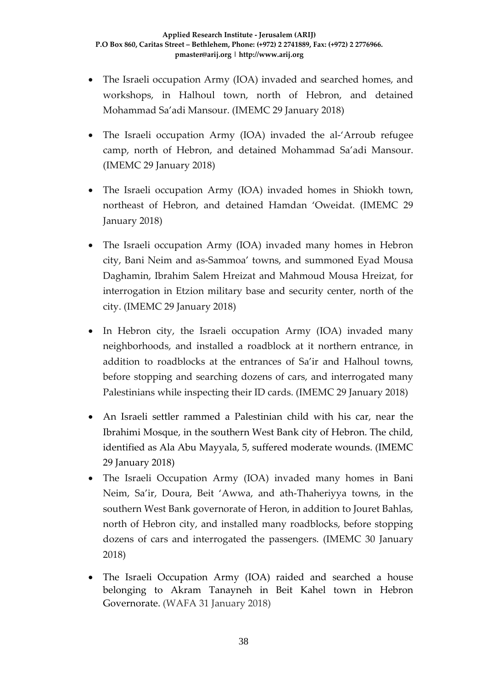- The Israeli occupation Army (IOA) invaded and searched homes, and workshops, in Halhoul town, north of Hebron, and detained Mohammad Sa'adi Mansour. (IMEMC 29 January 2018)
- The Israeli occupation Army (IOA) invaded the al-'Arroub refugee camp, north of Hebron, and detained Mohammad Sa'adi Mansour. (IMEMC 29 January 2018)
- The Israeli occupation Army (IOA) invaded homes in Shiokh town, northeast of Hebron, and detained Hamdan 'Oweidat. (IMEMC 29 January 2018)
- The Israeli occupation Army (IOA) invaded many homes in Hebron city, Bani Neim and as-Sammoa' towns, and summoned Eyad Mousa Daghamin, Ibrahim Salem Hreizat and Mahmoud Mousa Hreizat, for interrogation in Etzion military base and security center, north of the city. (IMEMC 29 January 2018)
- In Hebron city, the Israeli occupation Army (IOA) invaded many neighborhoods, and installed a roadblock at it northern entrance, in addition to roadblocks at the entrances of Sa'ir and Halhoul towns, before stopping and searching dozens of cars, and interrogated many Palestinians while inspecting their ID cards. (IMEMC 29 January 2018)
- An Israeli settler rammed a Palestinian child with his car, near the Ibrahimi Mosque, in the southern West Bank city of Hebron. The child, identified as Ala Abu Mayyala, 5, suffered moderate wounds. (IMEMC 29 January 2018)
- The Israeli Occupation Army (IOA) invaded many homes in Bani Neim, Sa'ir, Doura, Beit 'Awwa, and ath-Thaheriyya towns, in the southern West Bank governorate of Heron, in addition to Jouret Bahlas, north of Hebron city, and installed many roadblocks, before stopping dozens of cars and interrogated the passengers. (IMEMC 30 January 2018)
- The Israeli Occupation Army (IOA) raided and searched a house belonging to Akram Tanayneh in Beit Kahel town in Hebron Governorate. (WAFA 31 January 2018)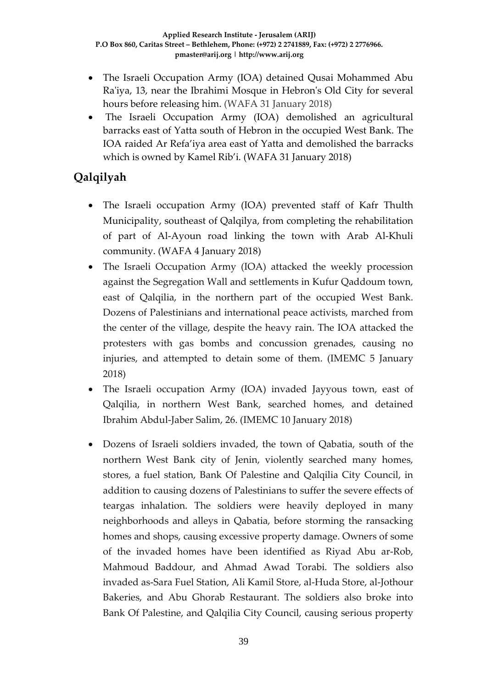- The Israeli Occupation Army (IOA) detained Qusai Mohammed Abu Ra'iya, 13, near the Ibrahimi Mosque in Hebron's Old City for several hours before releasing him. (WAFA 31 January 2018)
- The Israeli Occupation Army (IOA) demolished an agricultural barracks east of Yatta south of Hebron in the occupied West Bank. The IOA raided Ar Refa'iya area east of Yatta and demolished the barracks which is owned by Kamel Rib'i. (WAFA 31 January 2018)

# **Qalqilyah**

- The Israeli occupation Army (IOA) prevented staff of Kafr Thulth Municipality, southeast of Qalqilya, from completing the rehabilitation of part of Al-Ayoun road linking the town with Arab Al-Khuli community. (WAFA 4 January 2018)
- The Israeli Occupation Army (IOA) attacked the weekly procession against the Segregation Wall and settlements in Kufur Qaddoum town, east of Qalqilia, in the northern part of the occupied West Bank. Dozens of Palestinians and international peace activists, marched from the center of the village, despite the heavy rain. The IOA attacked the protesters with gas bombs and concussion grenades, causing no injuries, and attempted to detain some of them. (IMEMC 5 January 2018)
- The Israeli occupation Army (IOA) invaded Jayyous town, east of Qalqilia, in northern West Bank, searched homes, and detained Ibrahim Abdul-Jaber Salim, 26. (IMEMC 10 January 2018)
- Dozens of Israeli soldiers invaded, the town of Qabatia, south of the northern West Bank city of Jenin, violently searched many homes, stores, a fuel station, Bank Of Palestine and Qalqilia City Council, in addition to causing dozens of Palestinians to suffer the severe effects of teargas inhalation. The soldiers were heavily deployed in many neighborhoods and alleys in Qabatia, before storming the ransacking homes and shops, causing excessive property damage. Owners of some of the invaded homes have been identified as Riyad Abu ar-Rob, Mahmoud Baddour, and Ahmad Awad Torabi. The soldiers also invaded as-Sara Fuel Station, Ali Kamil Store, al-Huda Store, al-Jothour Bakeries, and Abu Ghorab Restaurant. The soldiers also broke into Bank Of Palestine, and Qalqilia City Council, causing serious property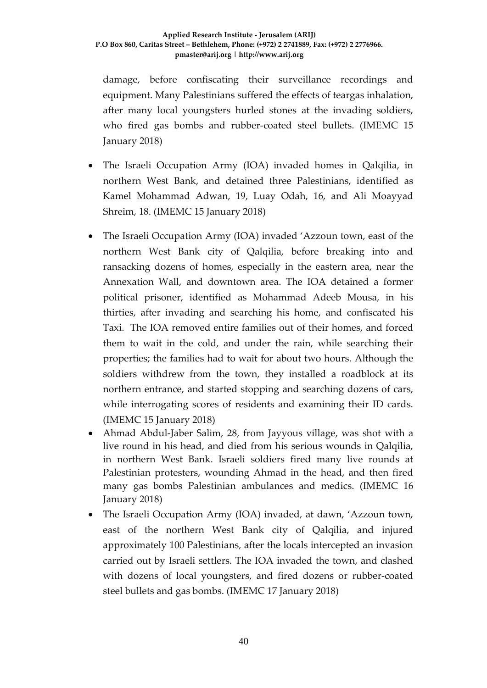damage, before confiscating their surveillance recordings and equipment. Many Palestinians suffered the effects of teargas inhalation, after many local youngsters hurled stones at the invading soldiers, who fired gas bombs and rubber-coated steel bullets. (IMEMC 15 January 2018)

- The Israeli Occupation Army (IOA) invaded homes in Qalqilia, in northern West Bank, and detained three Palestinians, identified as Kamel Mohammad Adwan, 19, Luay Odah, 16, and Ali Moayyad Shreim, 18. (IMEMC 15 January 2018)
- The Israeli Occupation Army (IOA) invaded 'Azzoun town, east of the northern West Bank city of Qalqilia, before breaking into and ransacking dozens of homes, especially in the eastern area, near the Annexation Wall, and downtown area. The IOA detained a former political prisoner, identified as Mohammad Adeeb Mousa, in his thirties, after invading and searching his home, and confiscated his Taxi. The IOA removed entire families out of their homes, and forced them to wait in the cold, and under the rain, while searching their properties; the families had to wait for about two hours. Although the soldiers withdrew from the town, they installed a roadblock at its northern entrance, and started stopping and searching dozens of cars, while interrogating scores of residents and examining their ID cards. (IMEMC 15 January 2018)
- Ahmad Abdul-Jaber Salim, 28, from Jayyous village, was shot with a live round in his head, and died from his serious wounds in Qalqilia, in northern West Bank. Israeli soldiers fired many live rounds at Palestinian protesters, wounding Ahmad in the head, and then fired many gas bombs Palestinian ambulances and medics. (IMEMC 16 January 2018)
- The Israeli Occupation Army (IOA) invaded, at dawn, 'Azzoun town, east of the northern West Bank city of Qalqilia, and injured approximately 100 Palestinians, after the locals intercepted an invasion carried out by Israeli settlers. The IOA invaded the town, and clashed with dozens of local youngsters, and fired dozens or rubber-coated steel bullets and gas bombs. (IMEMC 17 January 2018)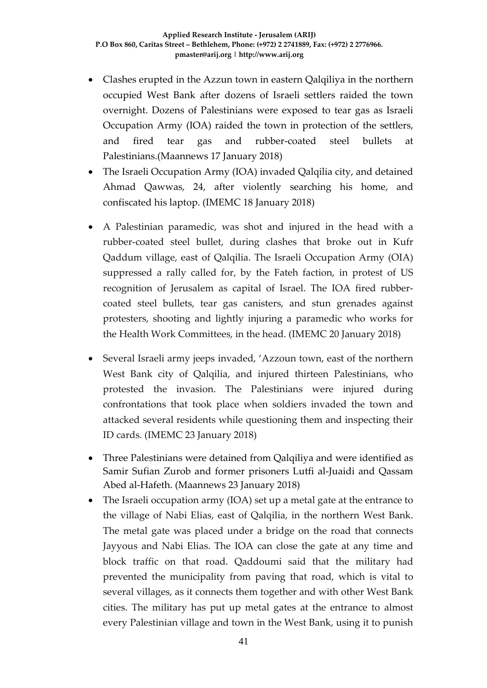- Clashes erupted in the Azzun town in eastern Qalqiliya in the northern occupied West Bank after dozens of Israeli settlers raided the town overnight. Dozens of Palestinians were exposed to tear gas as Israeli Occupation Army (IOA) raided the town in protection of the settlers, and fired tear gas and rubber-coated steel bullets at Palestinians.(Maannews 17 January 2018)
- The Israeli Occupation Army (IOA) invaded Qalqilia city, and detained Ahmad Qawwas, 24, after violently searching his home, and confiscated his laptop. (IMEMC 18 January 2018)
- A Palestinian paramedic, was shot and injured in the head with a rubber-coated steel bullet, during clashes that broke out in Kufr Qaddum village, east of Qalqilia. The Israeli Occupation Army (OIA) suppressed a rally called for, by the Fateh faction, in protest of US recognition of Jerusalem as capital of Israel. The IOA fired rubbercoated steel bullets, tear gas canisters, and stun grenades against protesters, shooting and lightly injuring a paramedic who works for the Health Work Committees, in the head. (IMEMC 20 January 2018)
- Several Israeli army jeeps invaded, 'Azzoun town, east of the northern West Bank city of Qalqilia, and injured thirteen Palestinians, who protested the invasion. The Palestinians were injured during confrontations that took place when soldiers invaded the town and attacked several residents while questioning them and inspecting their ID cards. (IMEMC 23 January 2018)
- Three Palestinians were detained from Qalqiliya and were identified as Samir Sufian Zurob and former prisoners Lutfi al-Juaidi and Qassam Abed al-Hafeth. (Maannews 23 January 2018)
- The Israeli occupation army (IOA) set up a metal gate at the entrance to the village of Nabi Elias, east of Qalqilia, in the northern West Bank. The metal gate was placed under a bridge on the road that connects Jayyous and Nabi Elias. The IOA can close the gate at any time and block traffic on that road. Qaddoumi said that the military had prevented the municipality from paving that road, which is vital to several villages, as it connects them together and with other West Bank cities. The military has put up metal gates at the entrance to almost every Palestinian village and town in the West Bank, using it to punish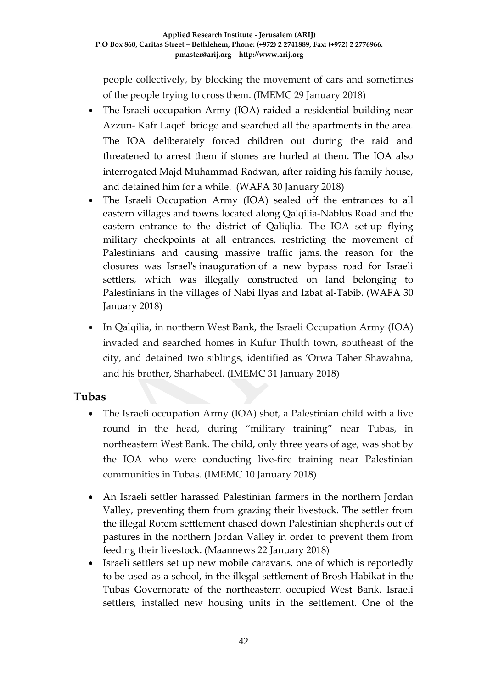people collectively, by blocking the movement of cars and sometimes of the people trying to cross them. (IMEMC 29 January 2018)

- The Israeli occupation Army (IOA) raided a residential building near Azzun- Kafr Laqef bridge and searched all the apartments in the area. The IOA deliberately forced children out during the raid and threatened to arrest them if stones are hurled at them. The IOA also interrogated Majd Muhammad Radwan, after raiding his family house, and detained him for a while. (WAFA 30 January 2018)
- The Israeli Occupation Army (IOA) sealed off the entrances to all eastern villages and towns located along Qalqilia-Nablus Road and the eastern entrance to the district of Qaliqlia. The IOA set-up flying military checkpoints at all entrances, restricting the movement of Palestinians and causing massive traffic jams. the reason for the closures was Israel's inauguration of a new bypass road for Israeli settlers, which was illegally constructed on land belonging to Palestinians in the villages of Nabi Ilyas and Izbat al-Tabib. (WAFA 30 January 2018)
- In Qalqilia, in northern West Bank, the Israeli Occupation Army (IOA) invaded and searched homes in Kufur Thulth town, southeast of the city, and detained two siblings, identified as 'Orwa Taher Shawahna, and his brother, Sharhabeel. (IMEMC 31 January 2018)

## **Tubas**

- The Israeli occupation Army (IOA) shot, a Palestinian child with a live round in the head, during "military training" near Tubas, in northeastern West Bank. The child, only three years of age, was shot by the IOA who were conducting live-fire training near Palestinian communities in Tubas. (IMEMC 10 January 2018)
- An Israeli settler harassed Palestinian farmers in the northern Jordan Valley, preventing them from grazing their livestock. The settler from the illegal Rotem settlement chased down Palestinian shepherds out of pastures in the northern Jordan Valley in order to prevent them from feeding their livestock. (Maannews 22 January 2018)
- Israeli settlers set up new mobile caravans, one of which is reportedly to be used as a school, in the illegal settlement of Brosh Habikat in the Tubas Governorate of the northeastern occupied West Bank. Israeli settlers, installed new housing units in the settlement. One of the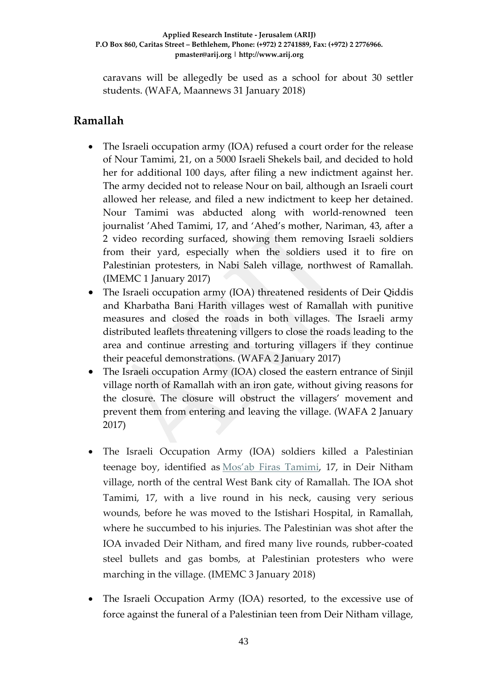caravans will be allegedly be used as a school for about 30 settler students. (WAFA, Maannews 31 January 2018)

## **Ramallah**

- The Israeli occupation army (IOA) refused a court order for the release of Nour Tamimi, 21, on a 5000 Israeli Shekels bail, and decided to hold her for additional 100 days, after filing a new indictment against her. The army decided not to release Nour on bail, although an Israeli court allowed her release, and filed a new indictment to keep her detained. Nour Tamimi was abducted along with world-renowned teen journalist 'Ahed Tamimi, 17, and 'Ahed's mother, Nariman, 43, after a 2 video recording surfaced, showing them removing Israeli soldiers from their yard, especially when the soldiers used it to fire on Palestinian protesters, in Nabi Saleh village, northwest of Ramallah. (IMEMC 1 January 2017)
- The Israeli occupation army (IOA) threatened residents of Deir Qiddis and Kharbatha Bani Harith villages west of Ramallah with punitive measures and closed the roads in both villages. The Israeli army distributed leaflets threatening villgers to close the roads leading to the area and continue arresting and torturing villagers if they continue their peaceful demonstrations. (WAFA 2 January 2017)
- The Israeli occupation Army (IOA) closed the eastern entrance of Sinjil village north of Ramallah with an iron gate, without giving reasons for the closure. The closure will obstruct the villagers' movement and prevent them from entering and leaving the village. (WAFA 2 January 2017)
- The Israeli Occupation Army (IOA) soldiers killed a Palestinian teenage boy, identified as [Mos'ab Firas Tamimi,](http://imemc.org/article/israeli-soldiers-kill-a-palestinian-teen-near-ramallah-2/) 17, in Deir Nitham village, north of the central West Bank city of Ramallah. The IOA shot Tamimi, 17, with a live round in his neck, causing very serious wounds, before he was moved to the Istishari Hospital, in Ramallah, where he succumbed to his injuries. The Palestinian was shot after the IOA invaded Deir Nitham, and fired many live rounds, rubber-coated steel bullets and gas bombs, at Palestinian protesters who were marching in the village. (IMEMC 3 January 2018)
- The Israeli Occupation Army (IOA) resorted, to the excessive use of force against the funeral of a Palestinian teen from Deir Nitham village,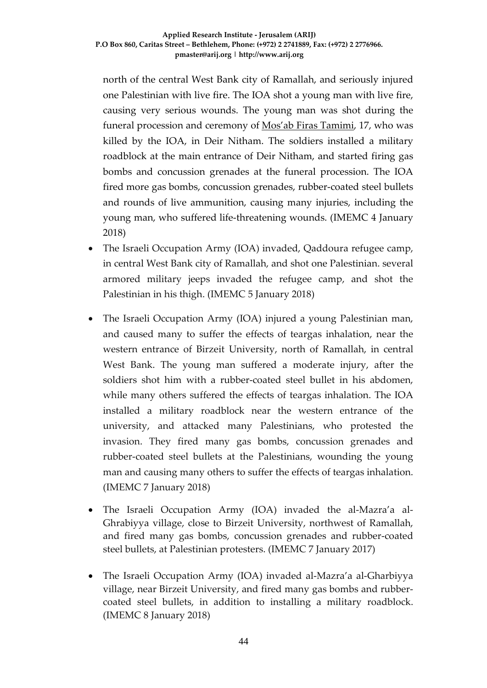north of the central West Bank city of Ramallah, and seriously injured one Palestinian with live fire. The IOA shot a young man with live fire, causing very serious wounds. The young man was shot during the funeral procession and ceremony of [Mos'ab Firas Tamimi,](http://imemc.org/article/israeli-soldiers-kill-a-palestinian-teen-near-ramallah-2/) 17, who was killed by the IOA, in Deir Nitham. The soldiers installed a military roadblock at the main entrance of Deir Nitham, and started firing gas bombs and concussion grenades at the funeral procession. The IOA fired more gas bombs, concussion grenades, rubber-coated steel bullets and rounds of live ammunition, causing many injuries, including the young man, who suffered life-threatening wounds. (IMEMC 4 January 2018)

- The Israeli Occupation Army (IOA) invaded, Qaddoura refugee camp, in central West Bank city of Ramallah, and shot one Palestinian. several armored military jeeps invaded the refugee camp, and shot the Palestinian in his thigh. (IMEMC 5 January 2018)
- The Israeli Occupation Army (IOA) injured a young Palestinian man, and caused many to suffer the effects of teargas inhalation, near the western entrance of Birzeit University, north of Ramallah, in central West Bank. The young man suffered a moderate injury, after the soldiers shot him with a rubber-coated steel bullet in his abdomen, while many others suffered the effects of teargas inhalation. The IOA installed a military roadblock near the western entrance of the university, and attacked many Palestinians, who protested the invasion. They fired many gas bombs, concussion grenades and rubber-coated steel bullets at the Palestinians, wounding the young man and causing many others to suffer the effects of teargas inhalation. (IMEMC 7 January 2018)
- The Israeli Occupation Army (IOA) invaded the al-Mazra'a al-Ghrabiyya village, close to Birzeit University, northwest of Ramallah, and fired many gas bombs, concussion grenades and rubber-coated steel bullets, at Palestinian protesters. (IMEMC 7 January 2017)
- The Israeli Occupation Army (IOA) invaded al-Mazra'a al-Gharbiyya village, near Birzeit University, and fired many gas bombs and rubbercoated steel bullets, in addition to installing a military roadblock. (IMEMC 8 January 2018)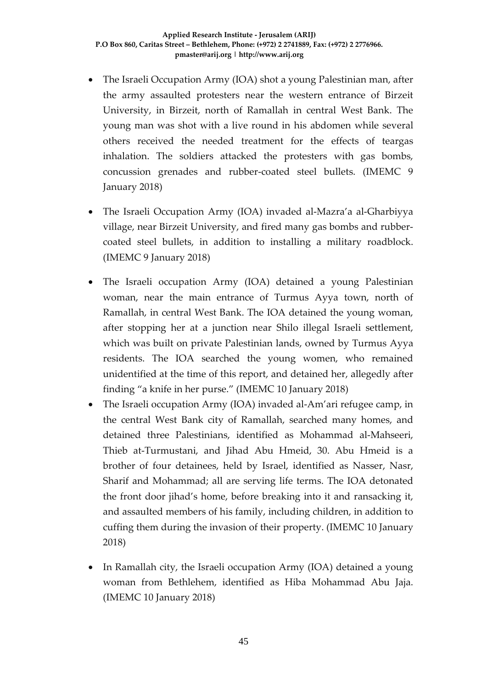- The Israeli Occupation Army (IOA) shot a young Palestinian man, after the army assaulted protesters near the western entrance of Birzeit University, in Birzeit, north of Ramallah in central West Bank. The young man was shot with a live round in his abdomen while several others received the needed treatment for the effects of teargas inhalation. The soldiers attacked the protesters with gas bombs, concussion grenades and rubber-coated steel bullets. (IMEMC 9 January 2018)
- The Israeli Occupation Army (IOA) invaded al-Mazra'a al-Gharbiyya village, near Birzeit University, and fired many gas bombs and rubbercoated steel bullets, in addition to installing a military roadblock. (IMEMC 9 January 2018)
- The Israeli occupation Army (IOA) detained a young Palestinian woman, near the main entrance of Turmus Ayya town, north of Ramallah, in central West Bank. The IOA detained the young woman, after stopping her at a junction near Shilo illegal Israeli settlement, which was built on private Palestinian lands, owned by Turmus Ayya residents. The IOA searched the young women, who remained unidentified at the time of this report, and detained her, allegedly after finding "a knife in her purse." (IMEMC 10 January 2018)
- The Israeli occupation Army (IOA) invaded al-Am'ari refugee camp, in the central West Bank city of Ramallah, searched many homes, and detained three Palestinians, identified as Mohammad al-Mahseeri, Thieb at-Turmustani, and Jihad Abu Hmeid, 30. Abu Hmeid is a brother of four detainees, held by Israel, identified as Nasser, Nasr, Sharif and Mohammad; all are serving life terms. The IOA detonated the front door jihad's home, before breaking into it and ransacking it, and assaulted members of his family, including children, in addition to cuffing them during the invasion of their property. (IMEMC 10 January 2018)
- In Ramallah city, the Israeli occupation Army (IOA) detained a young woman from Bethlehem, identified as Hiba Mohammad Abu Jaja. (IMEMC 10 January 2018)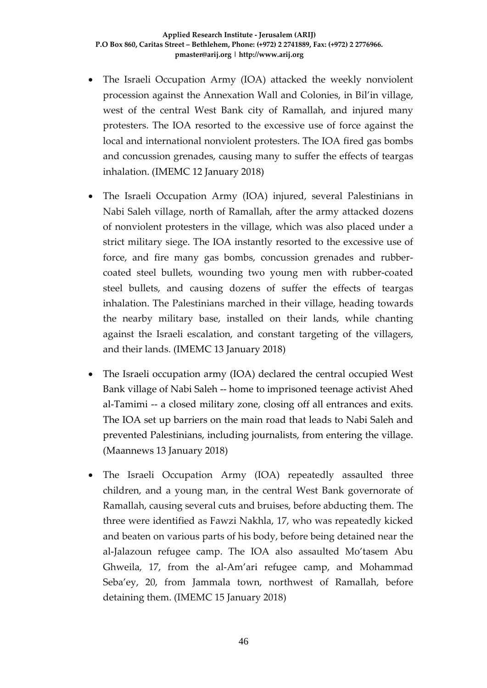- The Israeli Occupation Army (IOA) attacked the weekly nonviolent procession against the Annexation Wall and Colonies, in Bil'in village, west of the central West Bank city of Ramallah, and injured many protesters. The IOA resorted to the excessive use of force against the local and international nonviolent protesters. The IOA fired gas bombs and concussion grenades, causing many to suffer the effects of teargas inhalation. (IMEMC 12 January 2018)
- The Israeli Occupation Army (IOA) injured, several Palestinians in Nabi Saleh village, north of Ramallah, after the army attacked dozens of nonviolent protesters in the village, which was also placed under a strict military siege. The IOA instantly resorted to the excessive use of force, and fire many gas bombs, concussion grenades and rubbercoated steel bullets, wounding two young men with rubber-coated steel bullets, and causing dozens of suffer the effects of teargas inhalation. The Palestinians marched in their village, heading towards the nearby military base, installed on their lands, while chanting against the Israeli escalation, and constant targeting of the villagers, and their lands. (IMEMC 13 January 2018)
- The Israeli occupation army (IOA) declared the central occupied West Bank village of Nabi Saleh -- home to imprisoned teenage activist Ahed al-Tamimi -- a closed military zone, closing off all entrances and exits. The IOA set up barriers on the main road that leads to Nabi Saleh and prevented Palestinians, including journalists, from entering the village. (Maannews 13 January 2018)
- The Israeli Occupation Army (IOA) repeatedly assaulted three children, and a young man, in the central West Bank governorate of Ramallah, causing several cuts and bruises, before abducting them. The three were identified as Fawzi Nakhla, 17, who was repeatedly kicked and beaten on various parts of his body, before being detained near the al-Jalazoun refugee camp. The IOA also assaulted Mo'tasem Abu Ghweila, 17, from the al-Am'ari refugee camp, and Mohammad Seba'ey, 20, from Jammala town, northwest of Ramallah, before detaining them. (IMEMC 15 January 2018)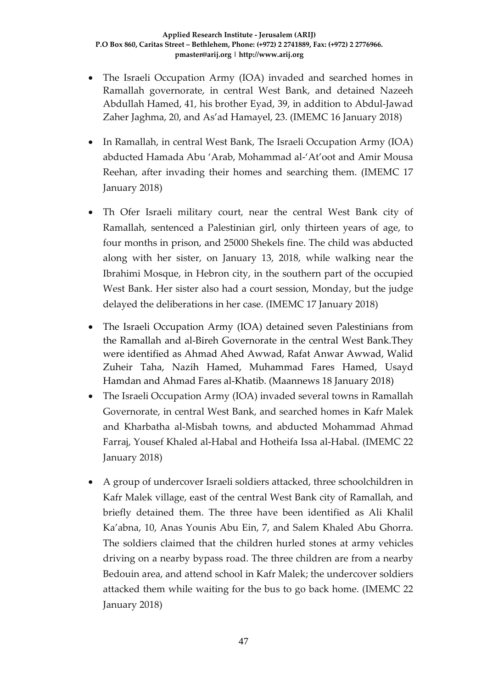- The Israeli Occupation Army (IOA) invaded and searched homes in Ramallah governorate, in central West Bank, and detained Nazeeh Abdullah Hamed, 41, his brother Eyad, 39, in addition to Abdul-Jawad Zaher Jaghma, 20, and As'ad Hamayel, 23. (IMEMC 16 January 2018)
- In Ramallah, in central West Bank, The Israeli Occupation Army (IOA) abducted Hamada Abu 'Arab, Mohammad al-'At'oot and Amir Mousa Reehan, after invading their homes and searching them. (IMEMC 17 January 2018)
- Th Ofer Israeli military court, near the central West Bank city of Ramallah, sentenced a Palestinian girl, only thirteen years of age, to four months in prison, and 25000 Shekels fine. The child was abducted along with her sister, on January 13, 2018, while walking near the Ibrahimi Mosque, in Hebron city, in the southern part of the occupied West Bank. Her sister also had a court session, Monday, but the judge delayed the deliberations in her case. (IMEMC 17 January 2018)
- The Israeli Occupation Army (IOA) detained seven Palestinians from the Ramallah and al-Bireh Governorate in the central West Bank.They were identified as Ahmad Ahed Awwad, Rafat Anwar Awwad, Walid Zuheir Taha, Nazih Hamed, Muhammad Fares Hamed, Usayd Hamdan and Ahmad Fares al-Khatib. (Maannews 18 January 2018)
- The Israeli Occupation Army (IOA) invaded several towns in Ramallah Governorate, in central West Bank, and searched homes in Kafr Malek and Kharbatha al-Misbah towns, and abducted Mohammad Ahmad Farraj, Yousef Khaled al-Habal and Hotheifa Issa al-Habal. (IMEMC 22 January 2018)
- A group of undercover Israeli soldiers attacked, three schoolchildren in Kafr Malek village, east of the central West Bank city of Ramallah, and briefly detained them. The three have been identified as Ali Khalil Ka'abna, 10, Anas Younis Abu Ein, 7, and Salem Khaled Abu Ghorra. The soldiers claimed that the children hurled stones at army vehicles driving on a nearby bypass road. The three children are from a nearby Bedouin area, and attend school in Kafr Malek; the undercover soldiers attacked them while waiting for the bus to go back home. (IMEMC 22 January 2018)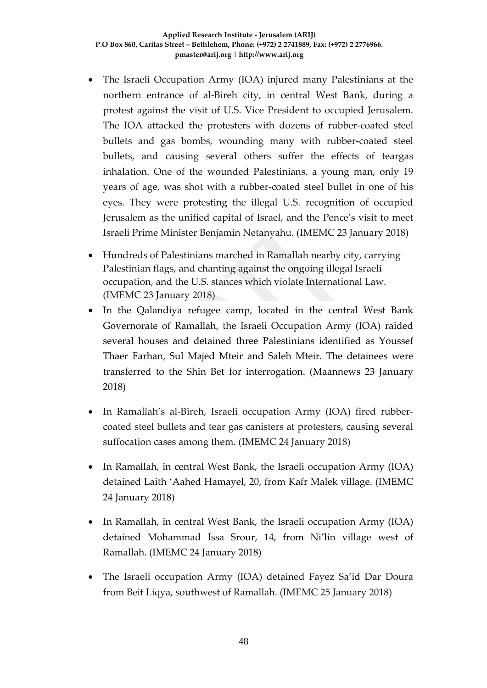- The Israeli Occupation Army (IOA) injured many Palestinians at the northern entrance of al-Bireh city, in central West Bank, during a protest against the visit of U.S. Vice President to occupied Jerusalem. The IOA attacked the protesters with dozens of rubber-coated steel bullets and gas bombs, wounding many with rubber-coated steel bullets, and causing several others suffer the effects of teargas inhalation. One of the wounded Palestinians, a young man, only 19 years of age, was shot with a rubber-coated steel bullet in one of his eyes. They were protesting the illegal U.S. recognition of occupied Jerusalem as the unified capital of Israel, and the Pence's visit to meet Israeli Prime Minister Benjamin Netanyahu. (IMEMC 23 January 2018)
- Hundreds of Palestinians marched in Ramallah nearby city, carrying Palestinian flags, and chanting against the ongoing illegal Israeli occupation, and the U.S. stances which violate International Law. (IMEMC 23 January 2018)
- In the Qalandiya refugee camp, located in the central West Bank Governorate of Ramallah, the Israeli Occupation Army (IOA) raided several houses and detained three Palestinians identified as Youssef Thaer Farhan, Sul Majed Mteir and Saleh Mteir. The detainees were transferred to the Shin Bet for interrogation. (Maannews 23 January 2018)
- In Ramallah's al-Bireh, Israeli occupation Army (IOA) fired rubbercoated steel bullets and tear gas canisters at protesters, causing several suffocation cases among them. (IMEMC 24 January 2018)
- In Ramallah, in central West Bank, the Israeli occupation Army (IOA) detained Laith 'Aahed Hamayel, 20, from Kafr Malek village. (IMEMC 24 January 2018)
- In Ramallah, in central West Bank, the Israeli occupation Army (IOA) detained Mohammad Issa Srour, 14, from Ni'lin village west of Ramallah. (IMEMC 24 January 2018)
- The Israeli occupation Army (IOA) detained Fayez Sa'id Dar Doura from Beit Liqya, southwest of Ramallah. (IMEMC 25 January 2018)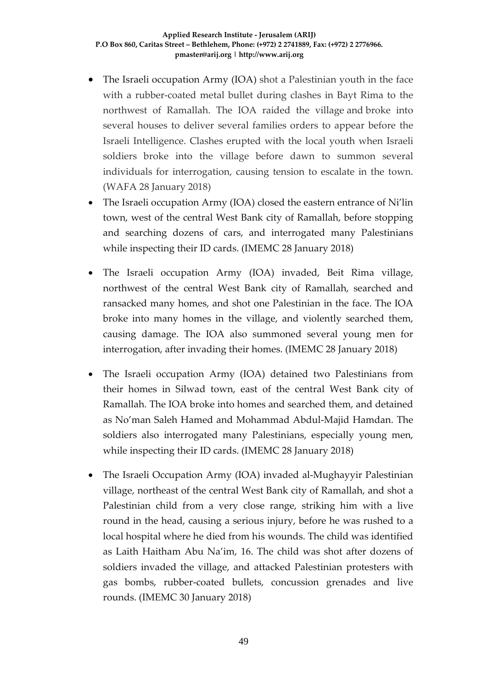- The Israeli occupation Army (IOA) shot a Palestinian youth in the face with a rubber-coated metal bullet during clashes in Bayt Rima to the northwest of Ramallah. The IOA raided the village and broke into several houses to deliver several families orders to appear before the Israeli Intelligence. Clashes erupted with the local youth when Israeli soldiers broke into the village before dawn to summon several individuals for interrogation, causing tension to escalate in the town. (WAFA 28 January 2018)
- The Israeli occupation Army (IOA) closed the eastern entrance of Ni'lin town, west of the central West Bank city of Ramallah, before stopping and searching dozens of cars, and interrogated many Palestinians while inspecting their ID cards. (IMEMC 28 January 2018)
- The Israeli occupation Army (IOA) invaded, Beit Rima village, northwest of the central West Bank city of Ramallah, searched and ransacked many homes, and shot one Palestinian in the face. The IOA broke into many homes in the village, and violently searched them, causing damage. The IOA also summoned several young men for interrogation, after invading their homes. (IMEMC 28 January 2018)
- The Israeli occupation Army (IOA) detained two Palestinians from their homes in Silwad town, east of the central West Bank city of Ramallah. The IOA broke into homes and searched them, and detained as No'man Saleh Hamed and Mohammad Abdul-Majid Hamdan. The soldiers also interrogated many Palestinians, especially young men, while inspecting their ID cards. (IMEMC 28 January 2018)
- The Israeli Occupation Army (IOA) invaded al-Mughayyir Palestinian village, northeast of the central West Bank city of Ramallah, and shot a Palestinian child from a very close range, striking him with a live round in the head, causing a serious injury, before he was rushed to a local hospital where he died from his wounds. The child was identified as Laith Haitham Abu Na'im, 16. The child was shot after dozens of soldiers invaded the village, and attacked Palestinian protesters with gas bombs, rubber-coated bullets, concussion grenades and live rounds. (IMEMC 30 January 2018)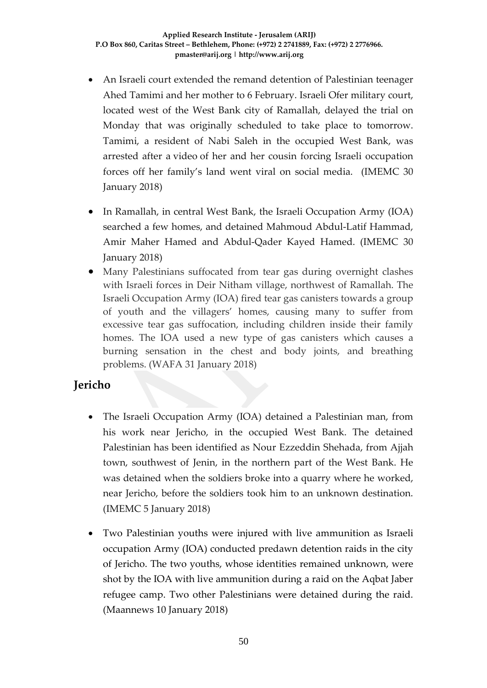- An Israeli court extended the remand detention of Palestinian teenager Ahed Tamimi and her mother to 6 February. Israeli Ofer military court, located west of the West Bank city of Ramallah, delayed the trial on Monday that was originally scheduled to take place to tomorrow. Tamimi, a resident of Nabi Saleh in the occupied West Bank, was arrested after a video of her and her cousin forcing Israeli occupation forces off her family's land went viral on social media. (IMEMC 30 January 2018)
- In Ramallah, in central West Bank, the Israeli Occupation Army (IOA) searched a few homes, and detained Mahmoud Abdul-Latif Hammad, Amir Maher Hamed and Abdul-Qader Kayed Hamed. (IMEMC 30 January 2018)
- Many Palestinians suffocated from tear gas during overnight clashes with Israeli forces in Deir Nitham village, northwest of Ramallah. The Israeli Occupation Army (IOA) fired tear gas canisters towards a group of youth and the villagers' homes, causing many to suffer from excessive tear gas suffocation, including children inside their family homes. The IOA used a new type of gas canisters which causes a burning sensation in the chest and body joints, and breathing problems. (WAFA 31 January 2018)

## **Jericho**

- The Israeli Occupation Army (IOA) detained a Palestinian man, from his work near Jericho, in the occupied West Bank. The detained Palestinian has been identified as Nour Ezzeddin Shehada, from Ajjah town, southwest of Jenin, in the northern part of the West Bank. He was detained when the soldiers broke into a quarry where he worked, near Jericho, before the soldiers took him to an unknown destination. (IMEMC 5 January 2018)
- Two Palestinian youths were injured with live ammunition as Israeli occupation Army (IOA) conducted predawn detention raids in the city of Jericho. The two youths, whose identities remained unknown, were shot by the IOA with live ammunition during a raid on the Aqbat Jaber refugee camp. Two other Palestinians were detained during the raid. (Maannews 10 January 2018)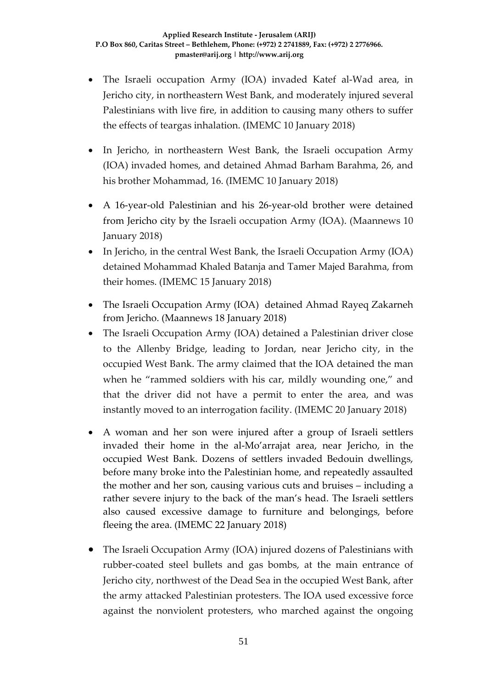- The Israeli occupation Army (IOA) invaded Katef al-Wad area, in Jericho city, in northeastern West Bank, and moderately injured several Palestinians with live fire, in addition to causing many others to suffer the effects of teargas inhalation. (IMEMC 10 January 2018)
- In Jericho, in northeastern West Bank, the Israeli occupation Army (IOA) invaded homes, and detained Ahmad Barham Barahma, 26, and his brother Mohammad, 16. (IMEMC 10 January 2018)
- A 16-year-old Palestinian and his 26-year-old brother were detained from Jericho city by the Israeli occupation Army (IOA). (Maannews 10 January 2018)
- In Jericho, in the central West Bank, the Israeli Occupation Army (IOA) detained Mohammad Khaled Batanja and Tamer Majed Barahma, from their homes. (IMEMC 15 January 2018)
- The Israeli Occupation Army (IOA) detained Ahmad Rayeq Zakarneh from Jericho. (Maannews 18 January 2018)
- The Israeli Occupation Army (IOA) detained a Palestinian driver close to the Allenby Bridge, leading to Jordan, near Jericho city, in the occupied West Bank. The army claimed that the IOA detained the man when he "rammed soldiers with his car, mildly wounding one," and that the driver did not have a permit to enter the area, and was instantly moved to an interrogation facility. (IMEMC 20 January 2018)
- A woman and her son were injured after a group of Israeli settlers invaded their home in the al-Mo'arrajat area, near Jericho, in the occupied West Bank. Dozens of settlers invaded Bedouin dwellings, before many broke into the Palestinian home, and repeatedly assaulted the mother and her son, causing various cuts and bruises – including a rather severe injury to the back of the man's head. The Israeli settlers also caused excessive damage to furniture and belongings, before fleeing the area. (IMEMC 22 January 2018)
- The Israeli Occupation Army (IOA) injured dozens of Palestinians with rubber-coated steel bullets and gas bombs, at the main entrance of Jericho city, northwest of the Dead Sea in the occupied West Bank, after the army attacked Palestinian protesters. The IOA used excessive force against the nonviolent protesters, who marched against the ongoing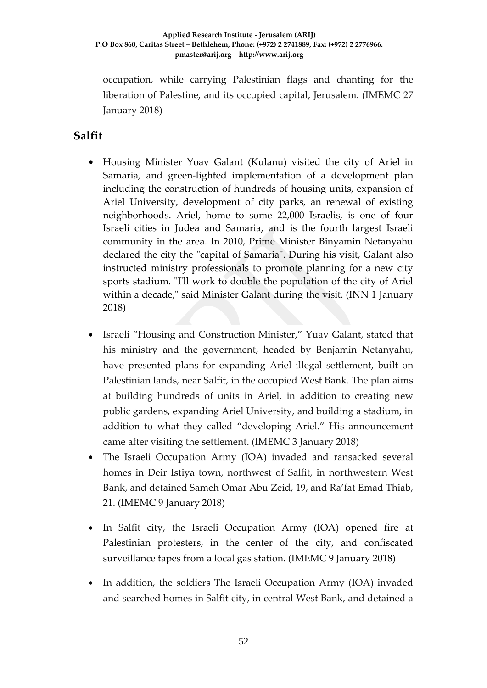occupation, while carrying Palestinian flags and chanting for the liberation of Palestine, and its occupied capital, Jerusalem. (IMEMC 27 January 2018)

### **Salfit**

- Housing Minister Yoav Galant (Kulanu) visited the city of Ariel in Samaria, and green-lighted implementation of a development plan including the construction of hundreds of housing units, expansion of Ariel University, development of city parks, an renewal of existing neighborhoods. Ariel, home to some 22,000 Israelis, is one of four Israeli cities in Judea and Samaria, and is the fourth largest Israeli community in the area. In 2010, Prime Minister Binyamin Netanyahu declared the city the "capital of Samaria". During his visit, Galant also instructed ministry professionals to promote planning for a new city sports stadium. "I'll work to double the population of the city of Ariel within a decade," said Minister Galant during the visit. (INN 1 January 2018)
- Israeli "Housing and Construction Minister," Yuav Galant, stated that his ministry and the government, headed by Benjamin Netanyahu, have presented plans for expanding Ariel illegal settlement, built on Palestinian lands, near Salfit, in the occupied West Bank. The plan aims at building hundreds of units in Ariel, in addition to creating new public gardens, expanding Ariel University, and building a stadium, in addition to what they called "developing Ariel." His announcement came after visiting the settlement. (IMEMC 3 January 2018)
- The Israeli Occupation Army (IOA) invaded and ransacked several homes in Deir Istiya town, northwest of Salfit, in northwestern West Bank, and detained Sameh Omar Abu Zeid, 19, and Ra'fat Emad Thiab, 21. (IMEMC 9 January 2018)
- In Salfit city, the Israeli Occupation Army (IOA) opened fire at Palestinian protesters, in the center of the city, and confiscated surveillance tapes from a local gas station. (IMEMC 9 January 2018)
- In addition, the soldiers The Israeli Occupation Army (IOA) invaded and searched homes in Salfit city, in central West Bank, and detained a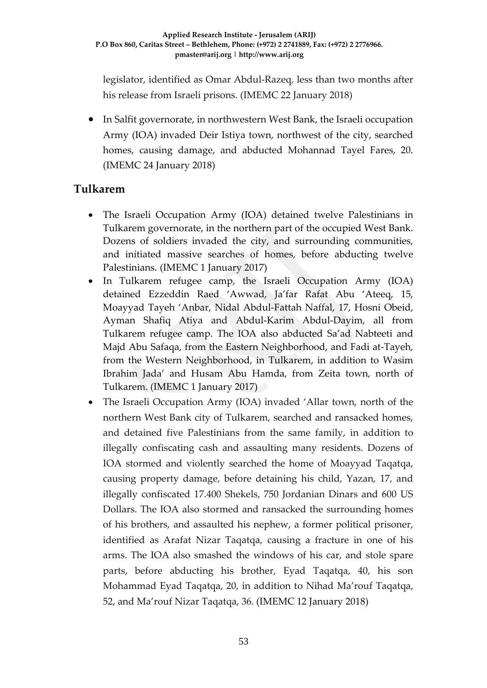legislator, identified as Omar Abdul-Razeq, less than two months after his release from Israeli prisons. (IMEMC 22 January 2018)

• In Salfit governorate, in northwestern West Bank, the Israeli occupation Army (IOA) invaded Deir Istiya town, northwest of the city, searched homes, causing damage, and abducted Mohannad Tayel Fares, 20. (IMEMC 24 January 2018)

### **Tulkarem**

- The Israeli Occupation Army (IOA) detained twelve Palestinians in Tulkarem governorate, in the northern part of the occupied West Bank. Dozens of soldiers invaded the city, and surrounding communities, and initiated massive searches of homes, before abducting twelve Palestinians. (IMEMC 1 January 2017)
- In Tulkarem refugee camp, the Israeli Occupation Army (IOA) detained Ezzeddin Raed 'Awwad, Ja'far Rafat Abu 'Ateeq, 15, Moayyad Tayeh 'Anbar, Nidal Abdul-Fattah Naffal, 17, Hosni Obeid, Ayman Shafiq Atiya and Abdul-Karim Abdul-Dayim, all from Tulkarem refugee camp. The IOA also abducted Sa'ad Nabteeti and Majd Abu Safaqa, from the Eastern Neighborhood, and Fadi at-Tayeh, from the Western Neighborhood, in Tulkarem, in addition to Wasim Ibrahim Jada' and Husam Abu Hamda, from Zeita town, north of Tulkarem. (IMEMC 1 January 2017)
- The Israeli Occupation Army (IOA) invaded 'Allar town, north of the northern West Bank city of Tulkarem, searched and ransacked homes, and detained five Palestinians from the same family, in addition to illegally confiscating cash and assaulting many residents. Dozens of IOA stormed and violently searched the home of Moayyad Taqatqa, causing property damage, before detaining his child, Yazan, 17, and illegally confiscated 17.400 Shekels, 750 Jordanian Dinars and 600 US Dollars. The IOA also stormed and ransacked the surrounding homes of his brothers, and assaulted his nephew, a former political prisoner, identified as Arafat Nizar Taqatqa, causing a fracture in one of his arms. The IOA also smashed the windows of his car, and stole spare parts, before abducting his brother, Eyad Taqatqa, 40, his son Mohammad Eyad Taqatqa, 20, in addition to Nihad Ma'rouf Taqatqa, 52, and Ma'rouf Nizar Taqatqa, 36. (IMEMC 12 January 2018)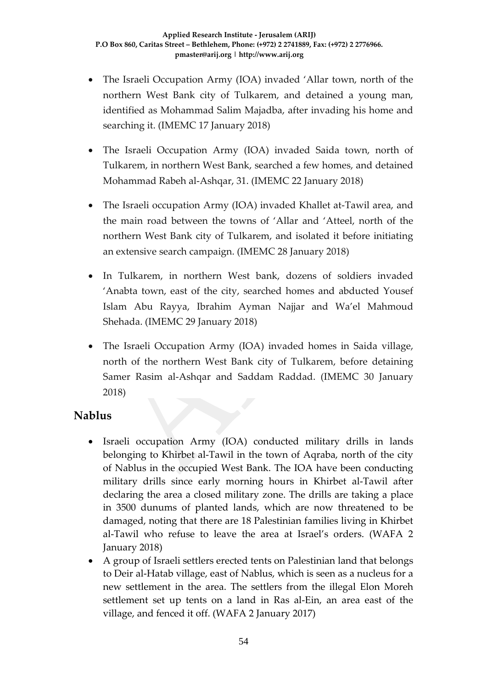- The Israeli Occupation Army (IOA) invaded 'Allar town, north of the northern West Bank city of Tulkarem, and detained a young man, identified as Mohammad Salim Majadba, after invading his home and searching it. (IMEMC 17 January 2018)
- The Israeli Occupation Army (IOA) invaded Saida town, north of Tulkarem, in northern West Bank, searched a few homes, and detained Mohammad Rabeh al-Ashqar, 31. (IMEMC 22 January 2018)
- The Israeli occupation Army (IOA) invaded Khallet at-Tawil area, and the main road between the towns of 'Allar and 'Atteel, north of the northern West Bank city of Tulkarem, and isolated it before initiating an extensive search campaign. (IMEMC 28 January 2018)
- In Tulkarem, in northern West bank, dozens of soldiers invaded 'Anabta town, east of the city, searched homes and abducted Yousef Islam Abu Rayya, Ibrahim Ayman Najjar and Wa'el Mahmoud Shehada. (IMEMC 29 January 2018)
- The Israeli Occupation Army (IOA) invaded homes in Saida village, north of the northern West Bank city of Tulkarem, before detaining Samer Rasim al-Ashqar and Saddam Raddad. (IMEMC 30 January 2018)

## **Nablus**

- Israeli occupation Army (IOA) conducted military drills in lands belonging to Khirbet al-Tawil in the town of Aqraba, north of the city of Nablus in the occupied West Bank. The IOA have been conducting military drills since early morning hours in Khirbet al-Tawil after declaring the area a closed military zone. The drills are taking a place in 3500 dunums of planted lands, which are now threatened to be damaged, noting that there are 18 Palestinian families living in Khirbet al-Tawil who refuse to leave the area at Israel's orders. (WAFA 2 January 2018)
- A group of Israeli settlers erected tents on Palestinian land that belongs to Deir al-Hatab village, east of Nablus, which is seen as a nucleus for a new settlement in the area. The settlers from the illegal Elon Moreh settlement set up tents on a land in Ras al-Ein, an area east of the village, and fenced it off. (WAFA 2 January 2017)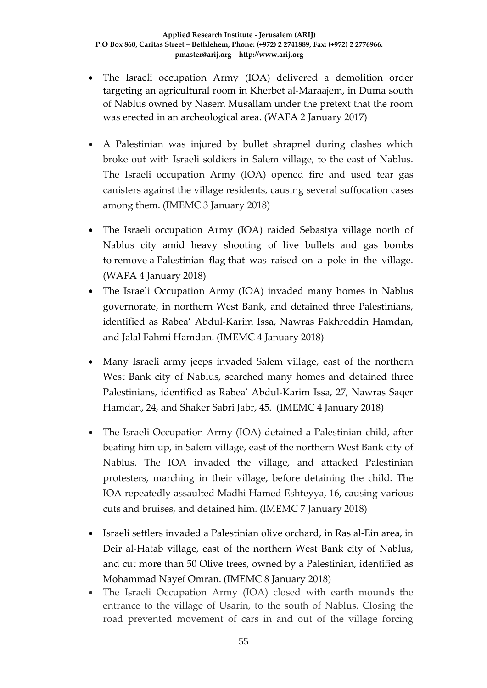- The Israeli occupation Army (IOA) delivered a demolition order targeting an agricultural room in Kherbet al-Maraajem, in Duma south of Nablus owned by Nasem Musallam under the pretext that the room was erected in an archeological area. (WAFA 2 January 2017)
- A Palestinian was injured by bullet shrapnel during clashes which broke out with Israeli soldiers in Salem village, to the east of Nablus. The Israeli occupation Army (IOA) opened fire and used tear gas canisters against the village residents, causing several suffocation cases among them. (IMEMC 3 January 2018)
- The Israeli occupation Army (IOA) raided Sebastya village north of Nablus city amid heavy shooting of live bullets and gas bombs to remove a Palestinian flag that was raised on a pole in the village. (WAFA 4 January 2018)
- The Israeli Occupation Army (IOA) invaded many homes in Nablus governorate, in northern West Bank, and detained three Palestinians, identified as Rabea' Abdul-Karim Issa, Nawras Fakhreddin Hamdan, and Jalal Fahmi Hamdan. (IMEMC 4 January 2018)
- Many Israeli army jeeps invaded Salem village, east of the northern West Bank city of Nablus, searched many homes and detained three Palestinians, identified as Rabea' Abdul-Karim Issa, 27, Nawras Saqer Hamdan, 24, and Shaker Sabri Jabr, 45. (IMEMC 4 January 2018)
- The Israeli Occupation Army (IOA) detained a Palestinian child, after beating him up, in Salem village, east of the northern West Bank city of Nablus. The IOA invaded the village, and attacked Palestinian protesters, marching in their village, before detaining the child. The IOA repeatedly assaulted Madhi Hamed Eshteyya, 16, causing various cuts and bruises, and detained him. (IMEMC 7 January 2018)
- Israeli settlers invaded a Palestinian olive orchard, in Ras al-Ein area, in Deir al-Hatab village, east of the northern West Bank city of Nablus, and cut more than 50 Olive trees, owned by a Palestinian, identified as Mohammad Nayef Omran. (IMEMC 8 January 2018)
- The Israeli Occupation Army (IOA) closed with earth mounds the entrance to the village of Usarin, to the south of Nablus. Closing the road prevented movement of cars in and out of the village forcing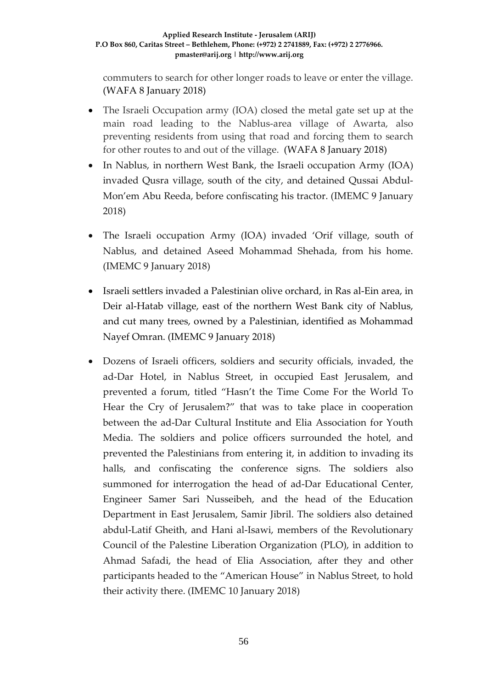commuters to search for other longer roads to leave or enter the village. (WAFA 8 January 2018)

- The Israeli Occupation army (IOA) closed the metal gate set up at the main road leading to the Nablus-area village of Awarta, also preventing residents from using that road and forcing them to search for other routes to and out of the village. (WAFA 8 January 2018)
- In Nablus, in northern West Bank, the Israeli occupation Army (IOA) invaded Qusra village, south of the city, and detained Qussai Abdul-Mon'em Abu Reeda, before confiscating his tractor. (IMEMC 9 January 2018)
- The Israeli occupation Army (IOA) invaded 'Orif village, south of Nablus, and detained Aseed Mohammad Shehada, from his home. (IMEMC 9 January 2018)
- Israeli settlers invaded a Palestinian olive orchard, in Ras al-Ein area, in Deir al-Hatab village, east of the northern West Bank city of Nablus, and cut many trees, owned by a Palestinian, identified as Mohammad Nayef Omran. (IMEMC 9 January 2018)
- Dozens of Israeli officers, soldiers and security officials, invaded, the ad-Dar Hotel, in Nablus Street, in occupied East Jerusalem, and prevented a forum, titled "Hasn't the Time Come For the World To Hear the Cry of Jerusalem?" that was to take place in cooperation between the ad-Dar Cultural Institute and Elia Association for Youth Media. The soldiers and police officers surrounded the hotel, and prevented the Palestinians from entering it, in addition to invading its halls, and confiscating the conference signs. The soldiers also summoned for interrogation the head of ad-Dar Educational Center, Engineer Samer Sari Nusseibeh, and the head of the Education Department in East Jerusalem, Samir Jibril. The soldiers also detained abdul-Latif Gheith, and Hani al-Isawi, members of the Revolutionary Council of the Palestine Liberation Organization (PLO), in addition to Ahmad Safadi, the head of Elia Association, after they and other participants headed to the "American House" in Nablus Street, to hold their activity there. (IMEMC 10 January 2018)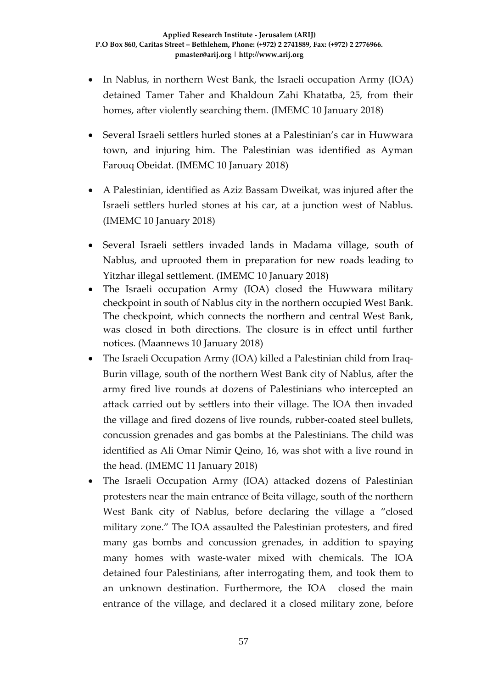- In Nablus, in northern West Bank, the Israeli occupation Army (IOA) detained Tamer Taher and Khaldoun Zahi Khatatba, 25, from their homes, after violently searching them. (IMEMC 10 January 2018)
- Several Israeli settlers hurled stones at a Palestinian's car in Huwwara town, and injuring him. The Palestinian was identified as Ayman Farouq Obeidat. (IMEMC 10 January 2018)
- A Palestinian, identified as Aziz Bassam Dweikat, was injured after the Israeli settlers hurled stones at his car, at a junction west of Nablus. (IMEMC 10 January 2018)
- Several Israeli settlers invaded lands in Madama village, south of Nablus, and uprooted them in preparation for new roads leading to Yitzhar illegal settlement. (IMEMC 10 January 2018)
- The Israeli occupation Army (IOA) closed the Huwwara military checkpoint in south of Nablus city in the northern occupied West Bank. The checkpoint, which connects the northern and central West Bank, was closed in both directions. The closure is in effect until further notices. (Maannews 10 January 2018)
- The Israeli Occupation Army (IOA) killed a Palestinian child from Iraq-Burin village, south of the northern West Bank city of Nablus, after the army fired live rounds at dozens of Palestinians who intercepted an attack carried out by settlers into their village. The IOA then invaded the village and fired dozens of live rounds, rubber-coated steel bullets, concussion grenades and gas bombs at the Palestinians. The child was identified as Ali Omar Nimir Qeino, 16, was shot with a live round in the head. (IMEMC 11 January 2018)
- The Israeli Occupation Army (IOA) attacked dozens of Palestinian protesters near the main entrance of Beita village, south of the northern West Bank city of Nablus, before declaring the village a "closed military zone." The IOA assaulted the Palestinian protesters, and fired many gas bombs and concussion grenades, in addition to spaying many homes with waste-water mixed with chemicals. The IOA detained four Palestinians, after interrogating them, and took them to an unknown destination. Furthermore, the IOA closed the main entrance of the village, and declared it a closed military zone, before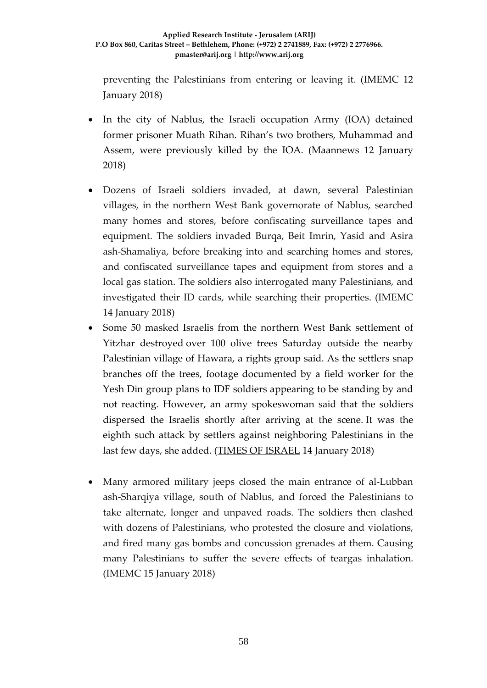preventing the Palestinians from entering or leaving it. (IMEMC 12 January 2018)

- In the city of Nablus, the Israeli occupation Army (IOA) detained former prisoner Muath Rihan. Rihan's two brothers, Muhammad and Assem, were previously killed by the IOA. (Maannews 12 January 2018)
- Dozens of Israeli soldiers invaded, at dawn, several Palestinian villages, in the northern West Bank governorate of Nablus, searched many homes and stores, before confiscating surveillance tapes and equipment. The soldiers invaded Burqa, Beit Imrin, Yasid and Asira ash-Shamaliya, before breaking into and searching homes and stores, and confiscated surveillance tapes and equipment from stores and a local gas station. The soldiers also interrogated many Palestinians, and investigated their ID cards, while searching their properties. (IMEMC 14 January 2018)
- Some 50 masked Israelis from the northern West Bank settlement of Yitzhar destroyed over 100 olive trees Saturday outside the nearby Palestinian village of Hawara, a rights group said. As the settlers snap branches off the trees, footage documented by a field worker for the Yesh Din group plans to IDF soldiers appearing to be standing by and not reacting. However, an army spokeswoman said that the soldiers dispersed the Israelis shortly after arriving at the scene. It was the eighth such attack by settlers against neighboring Palestinians in the last few days, she added. [\(TIMES OF ISRAEL](https://www.timesofisrael.com/settlers-filmed-destroying-100-palestinian-olive-trees-as-idf-appears-to-look-on/) 14 January 2018)
- Many armored military jeeps closed the main entrance of al-Lubban ash-Sharqiya village, south of Nablus, and forced the Palestinians to take alternate, longer and unpaved roads. The soldiers then clashed with dozens of Palestinians, who protested the closure and violations, and fired many gas bombs and concussion grenades at them. Causing many Palestinians to suffer the severe effects of teargas inhalation. (IMEMC 15 January 2018)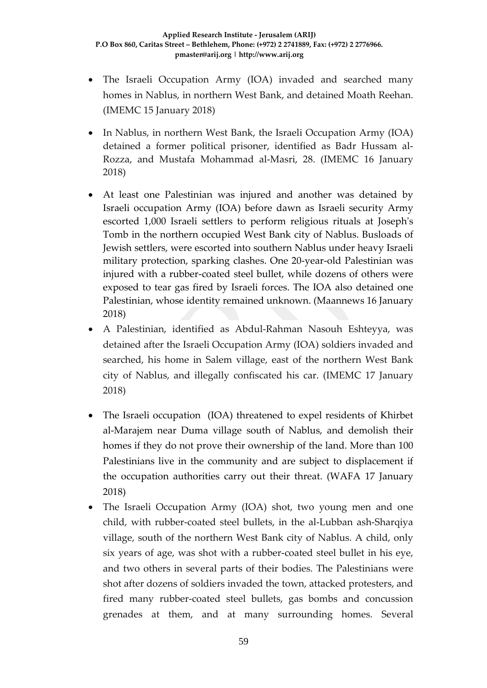- The Israeli Occupation Army (IOA) invaded and searched many homes in Nablus, in northern West Bank, and detained Moath Reehan. (IMEMC 15 January 2018)
- In Nablus, in northern West Bank, the Israeli Occupation Army (IOA) detained a former political prisoner, identified as Badr Hussam al-Rozza, and Mustafa Mohammad al-Masri, 28. (IMEMC 16 January 2018)
- At least one Palestinian was injured and another was detained by Israeli occupation Army (IOA) before dawn as Israeli security Army escorted 1,000 Israeli settlers to perform religious rituals at Joseph's Tomb in the northern occupied West Bank city of Nablus. Busloads of Jewish settlers, were escorted into southern Nablus under heavy Israeli military protection, sparking clashes. One 20-year-old Palestinian was injured with a rubber-coated steel bullet, while dozens of others were exposed to tear gas fired by Israeli forces. The IOA also detained one Palestinian, whose identity remained unknown. (Maannews 16 January 2018)
- A Palestinian, identified as Abdul-Rahman Nasouh Eshteyya, was detained after the Israeli Occupation Army (IOA) soldiers invaded and searched, his home in Salem village, east of the northern West Bank city of Nablus, and illegally confiscated his car. (IMEMC 17 January 2018)
- The Israeli occupation (IOA) threatened to expel residents of Khirbet al-Marajem near Duma village south of Nablus, and demolish their homes if they do not prove their ownership of the land. More than 100 Palestinians live in the community and are subject to displacement if the occupation authorities carry out their threat. (WAFA 17 January 2018)
- The Israeli Occupation Army (IOA) shot, two young men and one child, with rubber-coated steel bullets, in the al-Lubban ash-Sharqiya village, south of the northern West Bank city of Nablus. A child, only six years of age, was shot with a rubber-coated steel bullet in his eye, and two others in several parts of their bodies. The Palestinians were shot after dozens of soldiers invaded the town, attacked protesters, and fired many rubber-coated steel bullets, gas bombs and concussion grenades at them, and at many surrounding homes. Several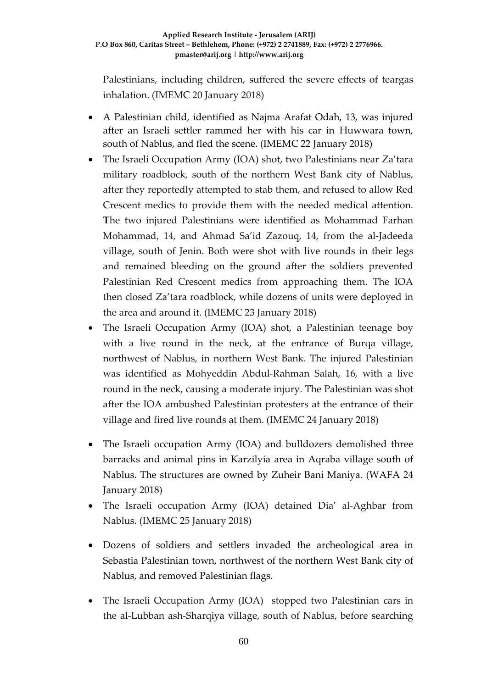Palestinians, including children, suffered the severe effects of teargas inhalation. (IMEMC 20 January 2018)

- A Palestinian child, identified as Najma Arafat Odah, 13, was injured after an Israeli settler rammed her with his car in Huwwara town, south of Nablus, and fled the scene. (IMEMC 22 January 2018)
- The Israeli Occupation Army (IOA) shot, two Palestinians near Za'tara military roadblock, south of the northern West Bank city of Nablus, after they reportedly attempted to stab them, and refused to allow Red Crescent medics to provide them with the needed medical attention. **T**he two injured Palestinians were identified as Mohammad Farhan Mohammad, 14, and Ahmad Sa'id Zazouq, 14, from the al-Jadeeda village, south of Jenin. Both were shot with live rounds in their legs and remained bleeding on the ground after the soldiers prevented Palestinian Red Crescent medics from approaching them. The IOA then closed Za'tara roadblock, while dozens of units were deployed in the area and around it. (IMEMC 23 January 2018)
- The Israeli Occupation Army (IOA) shot, a Palestinian teenage boy with a live round in the neck, at the entrance of Burqa village, northwest of Nablus, in northern West Bank. The injured Palestinian was identified as Mohyeddin Abdul-Rahman Salah, 16, with a live round in the neck, causing a moderate injury. The Palestinian was shot after the IOA ambushed Palestinian protesters at the entrance of their village and fired live rounds at them. (IMEMC 24 January 2018)
- The Israeli occupation Army (IOA) and bulldozers demolished three barracks and animal pins in Karzilyia area in Aqraba village south of Nablus. The structures are owned by Zuheir Bani Maniya. (WAFA 24 January 2018)
- The Israeli occupation Army (IOA) detained Dia' al-Aghbar from Nablus. (IMEMC 25 January 2018)
- Dozens of soldiers and settlers invaded the archeological area in Sebastia Palestinian town, northwest of the northern West Bank city of Nablus, and removed Palestinian flags.
- The Israeli Occupation Army (IOA) stopped two Palestinian cars in the al-Lubban ash-Sharqiya village, south of Nablus, before searching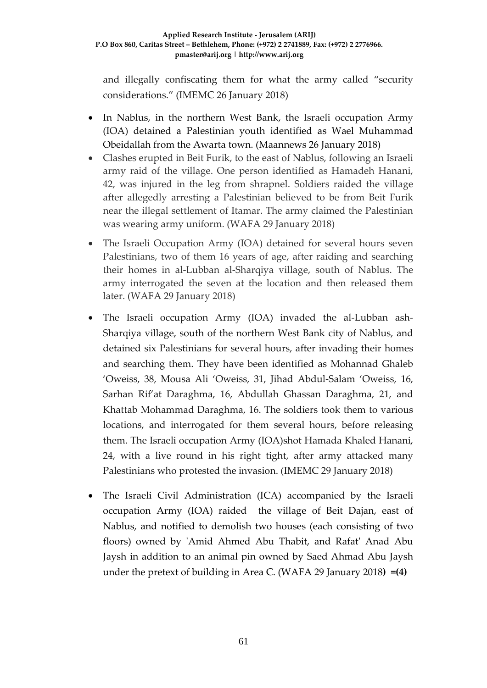and illegally confiscating them for what the army called "security considerations." (IMEMC 26 January 2018)

- In Nablus, in the northern West Bank, the Israeli occupation Army (IOA) detained a Palestinian youth identified as Wael Muhammad Obeidallah from the Awarta town. (Maannews 26 January 2018)
- Clashes erupted in Beit Furik, to the east of Nablus, following an Israeli army raid of the village. One person identified as Hamadeh Hanani, 42, was injured in the leg from shrapnel. Soldiers raided the village after allegedly arresting a Palestinian believed to be from Beit Furik near the illegal settlement of Itamar. The army claimed the Palestinian was wearing army uniform. (WAFA 29 January 2018)
- The Israeli Occupation Army (IOA) detained for several hours seven Palestinians, two of them 16 years of age, after raiding and searching their homes in al-Lubban al-Sharqiya village, south of Nablus. The army interrogated the seven at the location and then released them later. (WAFA 29 January 2018)
- The Israeli occupation Army (IOA) invaded the al-Lubban ash-Sharqiya village, south of the northern West Bank city of Nablus, and detained six Palestinians for several hours, after invading their homes and searching them. They have been identified as Mohannad Ghaleb 'Oweiss, 38, Mousa Ali 'Oweiss, 31, Jihad Abdul-Salam 'Oweiss, 16, Sarhan Rif'at Daraghma, 16, Abdullah Ghassan Daraghma, 21, and Khattab Mohammad Daraghma, 16. The soldiers took them to various locations, and interrogated for them several hours, before releasing them. The Israeli occupation Army (IOA)shot Hamada Khaled Hanani, 24, with a live round in his right tight, after army attacked many Palestinians who protested the invasion. (IMEMC 29 January 2018)
- The Israeli Civil Administration (ICA) accompanied by the Israeli occupation Army (IOA) raided the village of Beit Dajan, east of Nablus, and notified to demolish two houses (each consisting of two floors) owned by 'Amid Ahmed Abu Thabit, and Rafat' Anad Abu Jaysh in addition to an animal pin owned by Saed Ahmad Abu Jaysh under the pretext of building in Area C. (WAFA 29 January 2018**) =(4)**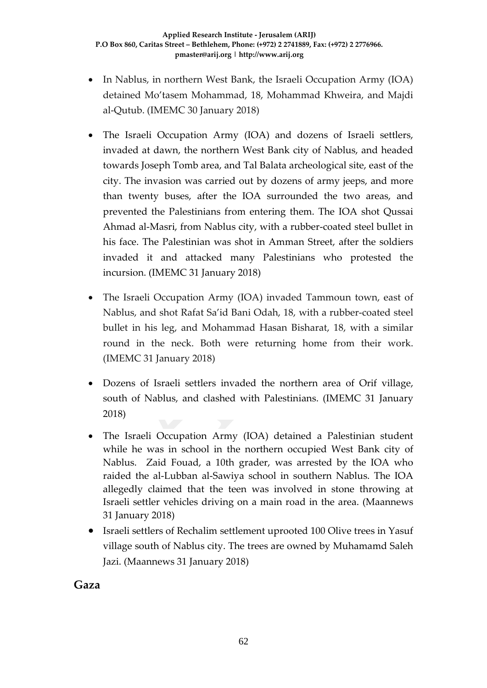- In Nablus, in northern West Bank, the Israeli Occupation Army (IOA) detained Mo'tasem Mohammad, 18, Mohammad Khweira, and Majdi al-Qutub. (IMEMC 30 January 2018)
- The Israeli Occupation Army (IOA) and dozens of Israeli settlers, invaded at dawn, the northern West Bank city of Nablus, and headed towards Joseph Tomb area, and Tal Balata archeological site, east of the city. The invasion was carried out by dozens of army jeeps, and more than twenty buses, after the IOA surrounded the two areas, and prevented the Palestinians from entering them. The IOA shot Qussai Ahmad al-Masri, from Nablus city, with a rubber-coated steel bullet in his face. The Palestinian was shot in Amman Street, after the soldiers invaded it and attacked many Palestinians who protested the incursion. (IMEMC 31 January 2018)
- The Israeli Occupation Army (IOA) invaded Tammoun town, east of Nablus, and shot Rafat Sa'id Bani Odah, 18, with a rubber-coated steel bullet in his leg, and Mohammad Hasan Bisharat, 18, with a similar round in the neck. Both were returning home from their work. (IMEMC 31 January 2018)
- Dozens of Israeli settlers invaded the northern area of Orif village, south of Nablus, and clashed with Palestinians. (IMEMC 31 January 2018)
- The Israeli Occupation Army (IOA) detained a Palestinian student while he was in school in the northern occupied West Bank city of Nablus. Zaid Fouad, a 10th grader, was arrested by the IOA who raided the al-Lubban al-Sawiya school in southern Nablus. The IOA allegedly claimed that the teen was involved in stone throwing at Israeli settler vehicles driving on a main road in the area. (Maannews 31 January 2018)
- Israeli settlers of Rechalim settlement uprooted 100 Olive trees in Yasuf village south of Nablus city. The trees are owned by Muhamamd Saleh Jazi. (Maannews 31 January 2018)

**Gaza**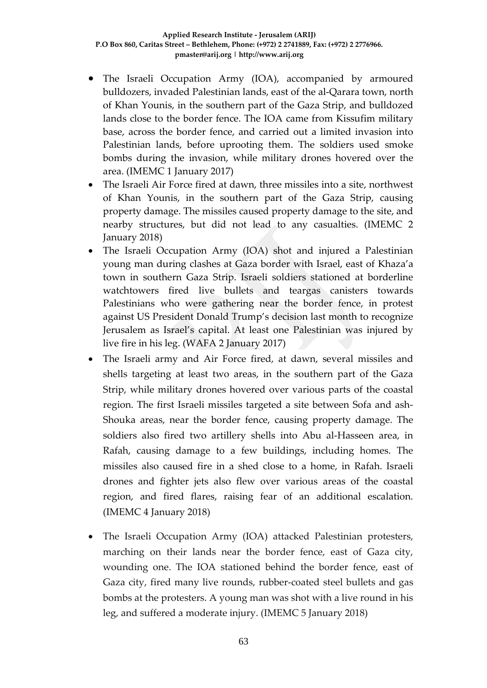- The Israeli Occupation Army (IOA), accompanied by armoured bulldozers, invaded Palestinian lands, east of the al-Qarara town, north of Khan Younis, in the southern part of the Gaza Strip, and bulldozed lands close to the border fence. The IOA came from Kissufim military base, across the border fence, and carried out a limited invasion into Palestinian lands, before uprooting them. The soldiers used smoke bombs during the invasion, while military drones hovered over the area. (IMEMC 1 January 2017)
- The Israeli Air Force fired at dawn, three missiles into a site, northwest of Khan Younis, in the southern part of the Gaza Strip, causing property damage. The missiles caused property damage to the site, and nearby structures, but did not lead to any casualties. (IMEMC 2 January 2018)
- The Israeli Occupation Army (IOA) shot and injured a Palestinian young man during clashes at Gaza border with Israel, east of Khaza'a town in southern Gaza Strip. Israeli soldiers stationed at borderline watchtowers fired live bullets and teargas canisters towards Palestinians who were gathering near the border fence, in protest against US President Donald Trump's decision last month to recognize Jerusalem as Israel's capital. At least one Palestinian was injured by live fire in his leg. (WAFA 2 January 2017)
- The Israeli army and Air Force fired, at dawn, several missiles and shells targeting at least two areas, in the southern part of the Gaza Strip, while military drones hovered over various parts of the coastal region. The first Israeli missiles targeted a site between Sofa and ash-Shouka areas, near the border fence, causing property damage. The soldiers also fired two artillery shells into Abu al-Hasseen area, in Rafah, causing damage to a few buildings, including homes. The missiles also caused fire in a shed close to a home, in Rafah. Israeli drones and fighter jets also flew over various areas of the coastal region, and fired flares, raising fear of an additional escalation. (IMEMC 4 January 2018)
- The Israeli Occupation Army (IOA) attacked Palestinian protesters, marching on their lands near the border fence, east of Gaza city, wounding one. The IOA stationed behind the border fence, east of Gaza city, fired many live rounds, rubber-coated steel bullets and gas bombs at the protesters. A young man was shot with a live round in his leg, and suffered a moderate injury. (IMEMC 5 January 2018)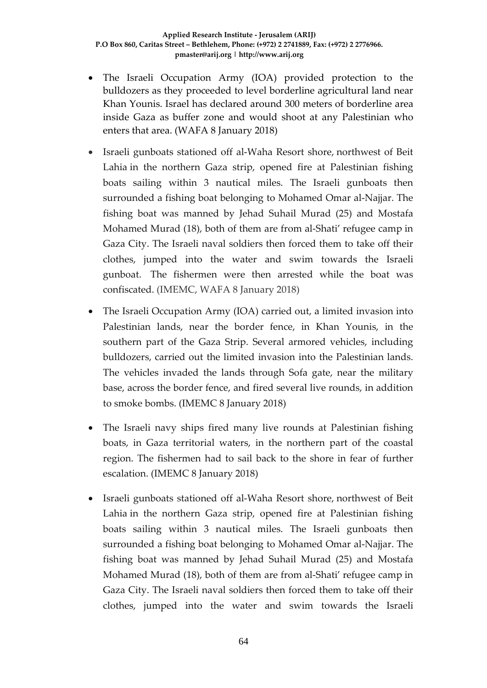- The Israeli Occupation Army (IOA) provided protection to the bulldozers as they proceeded to level borderline agricultural land near Khan Younis. Israel has declared around 300 meters of borderline area inside Gaza as buffer zone and would shoot at any Palestinian who enters that area. (WAFA 8 January 2018)
- Israeli gunboats stationed off al-Waha Resort shore, northwest of Beit Lahia in the northern Gaza strip, opened fire at Palestinian fishing boats sailing within 3 nautical miles. The Israeli gunboats then surrounded a fishing boat belonging to Mohamed Omar al-Najjar. The fishing boat was manned by Jehad Suhail Murad (25) and Mostafa Mohamed Murad (18), both of them are from al-Shati' refugee camp in Gaza City. The Israeli naval soldiers then forced them to take off their clothes, jumped into the water and swim towards the Israeli gunboat. The fishermen were then arrested while the boat was confiscated. (IMEMC, WAFA 8 January 2018)
- The Israeli Occupation Army (IOA) carried out, a limited invasion into Palestinian lands, near the border fence, in Khan Younis, in the southern part of the Gaza Strip. Several armored vehicles, including bulldozers, carried out the limited invasion into the Palestinian lands. The vehicles invaded the lands through Sofa gate, near the military base, across the border fence, and fired several live rounds, in addition to smoke bombs. (IMEMC 8 January 2018)
- The Israeli navy ships fired many live rounds at Palestinian fishing boats, in Gaza territorial waters, in the northern part of the coastal region. The fishermen had to sail back to the shore in fear of further escalation. (IMEMC 8 January 2018)
- Israeli gunboats stationed off al-Waha Resort shore, northwest of Beit Lahia in the northern Gaza strip, opened fire at Palestinian fishing boats sailing within 3 nautical miles. The Israeli gunboats then surrounded a fishing boat belonging to Mohamed Omar al-Najjar. The fishing boat was manned by Jehad Suhail Murad (25) and Mostafa Mohamed Murad (18), both of them are from al-Shati' refugee camp in Gaza City. The Israeli naval soldiers then forced them to take off their clothes, jumped into the water and swim towards the Israeli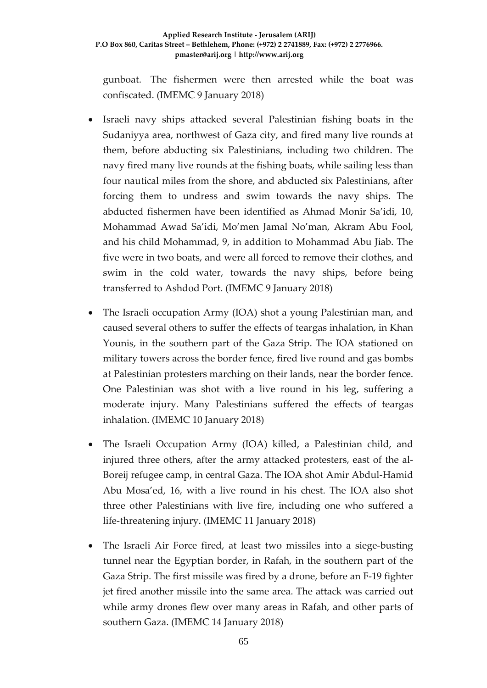gunboat. The fishermen were then arrested while the boat was confiscated. (IMEMC 9 January 2018)

- Israeli navy ships attacked several Palestinian fishing boats in the Sudaniyya area, northwest of Gaza city, and fired many live rounds at them, before abducting six Palestinians, including two children. The navy fired many live rounds at the fishing boats, while sailing less than four nautical miles from the shore, and abducted six Palestinians, after forcing them to undress and swim towards the navy ships. The abducted fishermen have been identified as Ahmad Monir Sa'idi, 10, Mohammad Awad Sa'idi, Mo'men Jamal No'man, Akram Abu Fool, and his child Mohammad, 9, in addition to Mohammad Abu Jiab. The five were in two boats, and were all forced to remove their clothes, and swim in the cold water, towards the navy ships, before being transferred to Ashdod Port. (IMEMC 9 January 2018)
- The Israeli occupation Army (IOA) shot a young Palestinian man, and caused several others to suffer the effects of teargas inhalation, in Khan Younis, in the southern part of the Gaza Strip. The IOA stationed on military towers across the border fence, fired live round and gas bombs at Palestinian protesters marching on their lands, near the border fence. One Palestinian was shot with a live round in his leg, suffering a moderate injury. Many Palestinians suffered the effects of teargas inhalation. (IMEMC 10 January 2018)
- The Israeli Occupation Army (IOA) killed, a Palestinian child, and injured three others, after the army attacked protesters, east of the al-Boreij refugee camp, in central Gaza. The IOA shot Amir Abdul-Hamid Abu Mosa'ed, 16, with a live round in his chest. The IOA also shot three other Palestinians with live fire, including one who suffered a life-threatening injury. (IMEMC 11 January 2018)
- The Israeli Air Force fired, at least two missiles into a siege-busting tunnel near the Egyptian border, in Rafah, in the southern part of the Gaza Strip. The first missile was fired by a drone, before an F-19 fighter jet fired another missile into the same area. The attack was carried out while army drones flew over many areas in Rafah, and other parts of southern Gaza. (IMEMC 14 January 2018)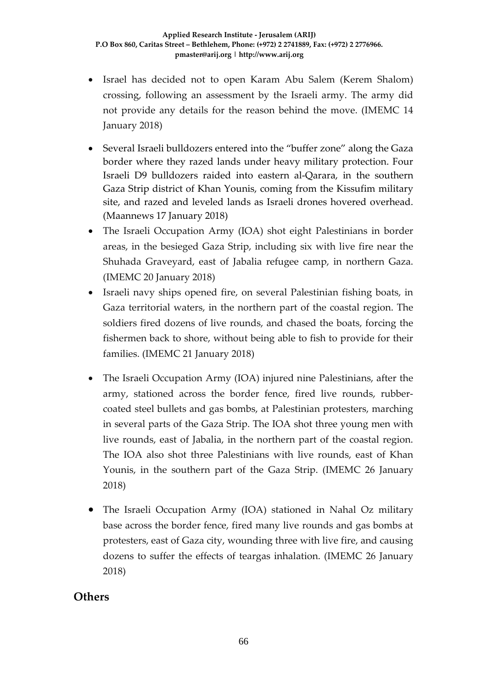- Israel has decided not to open Karam Abu Salem (Kerem Shalom) crossing, following an assessment by the Israeli army. The army did not provide any details for the reason behind the move. (IMEMC 14 January 2018)
- Several Israeli bulldozers entered into the "buffer zone" along the Gaza border where they razed lands under heavy military protection. Four Israeli D9 bulldozers raided into eastern al-Qarara, in the southern Gaza Strip district of Khan Younis, coming from the Kissufim military site, and razed and leveled lands as Israeli drones hovered overhead. (Maannews 17 January 2018)
- The Israeli Occupation Army (IOA) shot eight Palestinians in border areas, in the besieged Gaza Strip, including six with live fire near the Shuhada Graveyard, east of Jabalia refugee camp, in northern Gaza. (IMEMC 20 January 2018)
- Israeli navy ships opened fire, on several Palestinian fishing boats, in Gaza territorial waters, in the northern part of the coastal region. The soldiers fired dozens of live rounds, and chased the boats, forcing the fishermen back to shore, without being able to fish to provide for their families. (IMEMC 21 January 2018)
- The Israeli Occupation Army (IOA) injured nine Palestinians, after the army, stationed across the border fence, fired live rounds, rubbercoated steel bullets and gas bombs, at Palestinian protesters, marching in several parts of the Gaza Strip. The IOA shot three young men with live rounds, east of Jabalia, in the northern part of the coastal region. The IOA also shot three Palestinians with live rounds, east of Khan Younis, in the southern part of the Gaza Strip. (IMEMC 26 January 2018)
- The Israeli Occupation Army (IOA) stationed in Nahal Oz military base across the border fence, fired many live rounds and gas bombs at protesters, east of Gaza city, wounding three with live fire, and causing dozens to suffer the effects of teargas inhalation. (IMEMC 26 January 2018)

### **Others**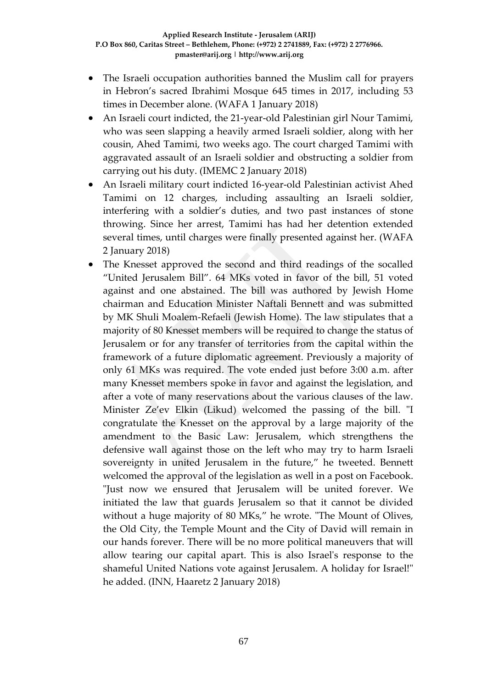- The Israeli occupation authorities banned the Muslim call for prayers in Hebron's sacred Ibrahimi Mosque 645 times in 2017, including 53 times in December alone. (WAFA 1 January 2018)
- An Israeli court indicted, the 21-year-old Palestinian girl Nour Tamimi, who was seen slapping a heavily armed Israeli soldier, along with her cousin, Ahed Tamimi, two weeks ago. The court charged Tamimi with aggravated assault of an Israeli soldier and obstructing a soldier from carrying out his duty. (IMEMC 2 January 2018)
- An Israeli military court indicted 16-year-old Palestinian activist Ahed Tamimi on 12 charges, including assaulting an Israeli soldier, interfering with a soldier's duties, and two past instances of stone throwing. Since her arrest, Tamimi has had her detention extended several times, until charges were finally presented against her. (WAFA 2 January 2018)
- The Knesset approved the second and third readings of the socalled "United Jerusalem Bill". 64 MKs voted in favor of the bill, 51 voted against and one abstained. The bill was authored by Jewish Home chairman and Education Minister Naftali Bennett and was submitted by MK Shuli Moalem-Refaeli (Jewish Home). The law stipulates that a majority of 80 Knesset members will be required to change the status of Jerusalem or for any transfer of territories from the capital within the framework of a future diplomatic agreement. Previously a majority of only 61 MKs was required. The vote ended just before 3:00 a.m. after many Knesset members spoke in favor and against the legislation, and after a vote of many reservations about the various clauses of the law. Minister Ze'ev Elkin (Likud) welcomed the passing of the bill. "I congratulate the Knesset on the approval by a large majority of the amendment to the Basic Law: Jerusalem, which strengthens the defensive wall against those on the left who may try to harm Israeli sovereignty in united Jerusalem in the future," he tweeted. Bennett welcomed the approval of the legislation as well in a post on Facebook. "Just now we ensured that Jerusalem will be united forever. We initiated the law that guards Jerusalem so that it cannot be divided without a huge majority of 80 MKs," he wrote. "The Mount of Olives, the Old City, the Temple Mount and the City of David will remain in our hands forever. There will be no more political maneuvers that will allow tearing our capital apart. This is also Israel's response to the shameful United Nations vote against Jerusalem. A holiday for Israel!" he added. (INN, Haaretz 2 January 2018)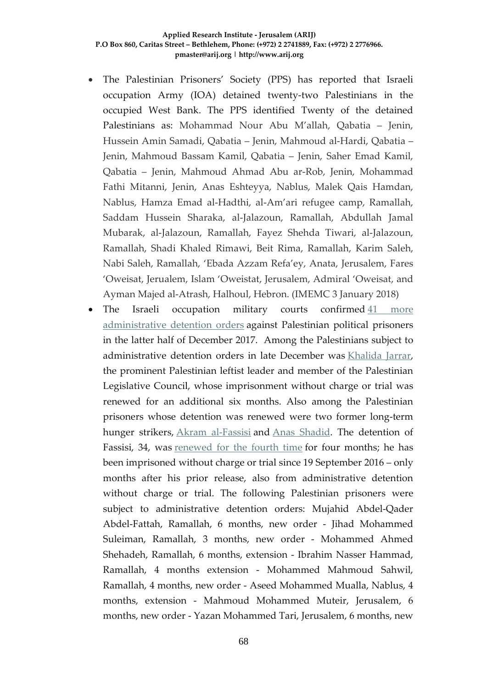- The Palestinian Prisoners' Society (PPS) has reported that Israeli occupation Army (IOA) detained twenty-two Palestinians in the occupied West Bank. The PPS identified Twenty of the detained Palestinians as: Mohammad Nour Abu M'allah, Qabatia – Jenin, Hussein Amin Samadi, Qabatia – Jenin, Mahmoud al-Hardi, Qabatia – Jenin, Mahmoud Bassam Kamil, Qabatia – Jenin, Saher Emad Kamil, Qabatia – Jenin, Mahmoud Ahmad Abu ar-Rob, Jenin, Mohammad Fathi Mitanni, Jenin, Anas Eshteyya, Nablus, Malek Qais Hamdan, Nablus, Hamza Emad al-Hadthi, al-Am'ari refugee camp, Ramallah, Saddam Hussein Sharaka, al-Jalazoun, Ramallah, Abdullah Jamal Mubarak, al-Jalazoun, Ramallah, Fayez Shehda Tiwari, al-Jalazoun, Ramallah, Shadi Khaled Rimawi, Beit Rima, Ramallah, Karim Saleh, Nabi Saleh, Ramallah, 'Ebada Azzam Refa'ey, Anata, Jerusalem, Fares 'Oweisat, Jerualem, Islam 'Oweistat, Jerusalem, Admiral 'Oweisat, and Ayman Majed al-Atrash, Halhoul, Hebron. (IMEMC 3 January 2018)
- The Israeli occupation military courts confirmed 41 more [administrative detention orders](http://www.maannews.net/Content.aspx?id=934942) against Palestinian political prisoners in the latter half of December 2017. Among the Palestinians subject to administrative detention orders in late December was [Khalida Jarrar,](http://samidoun.net/2017/12/urgent-khalida-jarrars-imprisonment-without-charge-or-trial-extended-for-six-more-months/) the prominent Palestinian leftist leader and member of the Palestinian Legislative Council, whose imprisonment without charge or trial was renewed for an additional six months. Also among the Palestinian prisoners whose detention was renewed were two former long-term hunger strikers, [Akram al-Fassisi](http://samidoun.net/2016/07/former-long-term-hunger-striker-akram-al-fassisi-released-from-administrative-detention-after-20-months/) and [Anas Shadid.](http://samidoun.net/2017/06/muhammad-allan-on-hunger-strike-for-over-20-days-anas-shadid-ordered-once-more-to-administrative-detention/) The detention of Fassisi, 34, was [renewed for the fourth time](http://asravoice.ps/post/8737/) for four months; he has been imprisoned without charge or trial since 19 September 2016 – only months after his prior release, also from administrative detention without charge or trial. The following Palestinian prisoners were subject to administrative detention orders: Mujahid Abdel-Qader Abdel-Fattah, Ramallah, 6 months, new order - Jihad Mohammed Suleiman, Ramallah, 3 months, new order - Mohammed Ahmed Shehadeh, Ramallah, 6 months, extension - Ibrahim Nasser Hammad, Ramallah, 4 months extension - Mohammed Mahmoud Sahwil, Ramallah, 4 months, new order - Aseed Mohammed Mualla, Nablus, 4 months, extension - Mahmoud Mohammed Muteir, Jerusalem, 6 months, new order - Yazan Mohammed Tari, Jerusalem, 6 months, new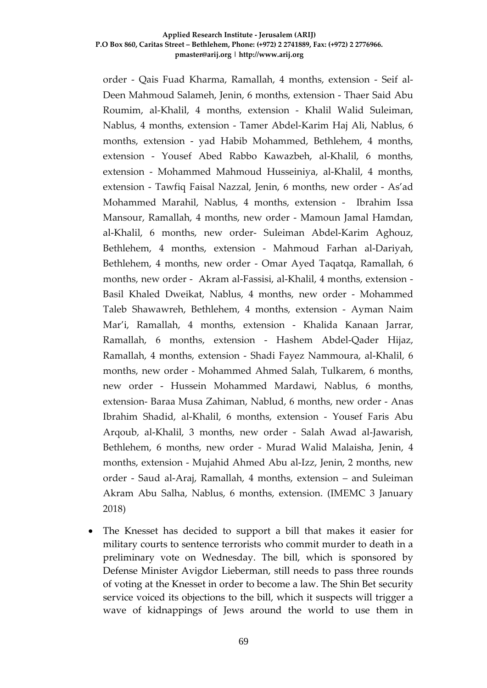order - Qais Fuad Kharma, Ramallah, 4 months, extension - Seif al-Deen Mahmoud Salameh, Jenin, 6 months, extension - Thaer Said Abu Roumim, al-Khalil, 4 months, extension - Khalil Walid Suleiman, Nablus, 4 months, extension - Tamer Abdel-Karim Haj Ali, Nablus, 6 months, extension - yad Habib Mohammed, Bethlehem, 4 months, extension - Yousef Abed Rabbo Kawazbeh, al-Khalil, 6 months, extension - Mohammed Mahmoud Husseiniya, al-Khalil, 4 months, extension - Tawfiq Faisal Nazzal, Jenin, 6 months, new order - As'ad Mohammed Marahil, Nablus, 4 months, extension - Ibrahim Issa Mansour, Ramallah, 4 months, new order - Mamoun Jamal Hamdan, al-Khalil, 6 months, new order- Suleiman Abdel-Karim Aghouz, Bethlehem, 4 months, extension - Mahmoud Farhan al-Dariyah, Bethlehem, 4 months, new order - Omar Ayed Taqatqa, Ramallah, 6 months, new order - Akram al-Fassisi, al-Khalil, 4 months, extension - Basil Khaled Dweikat, Nablus, 4 months, new order - Mohammed Taleb Shawawreh, Bethlehem, 4 months, extension - Ayman Naim Mar'i, Ramallah, 4 months, extension - Khalida Kanaan Jarrar, Ramallah, 6 months, extension - Hashem Abdel-Qader Hijaz, Ramallah, 4 months, extension - Shadi Fayez Nammoura, al-Khalil, 6 months, new order - Mohammed Ahmed Salah, Tulkarem, 6 months, new order - Hussein Mohammed Mardawi, Nablus, 6 months, extension- Baraa Musa Zahiman, Nablud, 6 months, new order - Anas Ibrahim Shadid, al-Khalil, 6 months, extension - Yousef Faris Abu Arqoub, al-Khalil, 3 months, new order - Salah Awad al-Jawarish, Bethlehem, 6 months, new order - Murad Walid Malaisha, Jenin, 4 months, extension - Mujahid Ahmed Abu al-Izz, Jenin, 2 months, new order - Saud al-Araj, Ramallah, 4 months, extension – and Suleiman Akram Abu Salha, Nablus, 6 months, extension. (IMEMC 3 January 2018)

• The Knesset has decided to support a bill that makes it easier for military courts to sentence terrorists who commit murder to death in a preliminary vote on Wednesday. The bill, which is sponsored by Defense Minister Avigdor Lieberman, still needs to pass three rounds of voting at the Knesset in order to become a law. The Shin Bet security service voiced its objections to the bill, which it suspects will trigger a wave of kidnappings of Jews around the world to use them in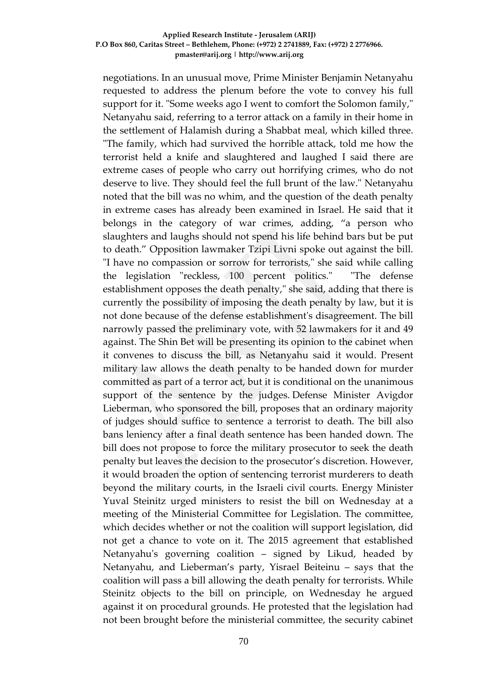negotiations. In an unusual move, Prime Minister Benjamin Netanyahu requested to address the plenum before the vote to convey his full support for it. "Some weeks ago I went to comfort the Solomon family," Netanyahu said, referring to a terror attack on a family in their home in the settlement of Halamish during a Shabbat meal, which killed three. "The family, which had survived the horrible attack, told me how the terrorist held a knife and slaughtered and laughed I said there are extreme cases of people who carry out horrifying crimes, who do not deserve to live. They should feel the full brunt of the law." Netanyahu noted that the bill was no whim, and the question of the death penalty in extreme cases has already been examined in Israel. He said that it belongs in the category of war crimes, adding, "a person who slaughters and laughs should not spend his life behind bars but be put to death." Opposition lawmaker Tzipi Livni spoke out against the bill. "I have no compassion or sorrow for terrorists," she said while calling the legislation "reckless, 100 percent politics." "The defense establishment opposes the death penalty," she said, adding that there is currently the possibility of imposing the death penalty by law, but it is not done because of the defense establishment's disagreement. The bill narrowly passed the preliminary vote, with 52 lawmakers for it and 49 against. The Shin Bet will be presenting its opinion to the cabinet when it convenes to discuss the bill, as Netanyahu said it would. Present military law allows the death penalty to be handed down for murder committed as part of a terror act, but it is conditional on the unanimous support of the sentence by the judges. Defense Minister Avigdor Lieberman, who sponsored the bill, proposes that an ordinary majority of judges should suffice to sentence a terrorist to death. The bill also bans leniency after a final death sentence has been handed down. The bill does not propose to force the military prosecutor to seek the death penalty but leaves the decision to the prosecutor's discretion. However, it would broaden the option of sentencing terrorist murderers to death beyond the military courts, in the Israeli civil courts. Energy Minister Yuval Steinitz urged ministers to resist the bill on Wednesday at a meeting of the Ministerial Committee for Legislation. The committee, which decides whether or not the coalition will support legislation, did not get a chance to vote on it. The 2015 agreement that established Netanyahu's governing coalition – signed by Likud, headed by Netanyahu, and Lieberman's party, Yisrael Beiteinu – says that the coalition will pass a bill allowing the death penalty for terrorists. While Steinitz objects to the bill on principle, on Wednesday he argued against it on procedural grounds. He protested that the legislation had not been brought before the ministerial committee, the security cabinet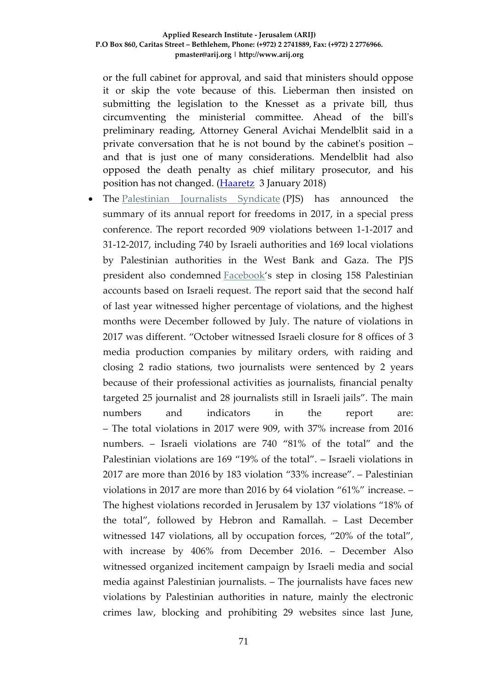or the full cabinet for approval, and said that ministers should oppose it or skip the vote because of this. Lieberman then insisted on submitting the legislation to the Knesset as a private bill, thus circumventing the ministerial committee. Ahead of the bill's preliminary reading, Attorney General Avichai Mendelblit said in a private conversation that he is not bound by the cabinet's position – and that is just one of many considerations. Mendelblit had also opposed the death penalty as chief military prosecutor, and his position has not changed. [\(Haaretz](https://www.haaretz.com/israel-news/1.832847) 3 January 2018)

The [Palestinian Journalists Syndicate](http://www.pjs.ps/en/pjs-content/41868.html) (PJS) has announced the summary of its annual report for freedoms in 2017, in a special press conference. The report recorded 909 violations between 1-1-2017 and 31-12-2017, including 740 by Israeli authorities and 169 local violations by Palestinian authorities in the West Bank and Gaza. The PJS president also condemned [Facebook'](http://imemc.org/?s=facebook)s step in closing 158 Palestinian accounts based on Israeli request. The report said that the second half of last year witnessed higher percentage of violations, and the highest months were December followed by July. The nature of violations in 2017 was different. "October witnessed Israeli closure for 8 offices of 3 media production companies by military orders, with raiding and closing 2 radio stations, two journalists were sentenced by 2 years because of their professional activities as journalists, financial penalty targeted 25 journalist and 28 journalists still in Israeli jails". The main numbers and indicators in the report are: – The total violations in 2017 were 909, with 37% increase from 2016 numbers. – Israeli violations are 740 "81% of the total" and the Palestinian violations are 169 "19% of the total". – Israeli violations in 2017 are more than 2016 by 183 violation "33% increase". – Palestinian violations in 2017 are more than 2016 by 64 violation "61%" increase. – The highest violations recorded in Jerusalem by 137 violations "18% of the total", followed by Hebron and Ramallah. – Last December witnessed 147 violations, all by occupation forces, "20% of the total", with increase by 406% from December 2016. – December Also witnessed organized incitement campaign by Israeli media and social media against Palestinian journalists. – The journalists have faces new violations by Palestinian authorities in nature, mainly the electronic crimes law, blocking and prohibiting 29 websites since last June,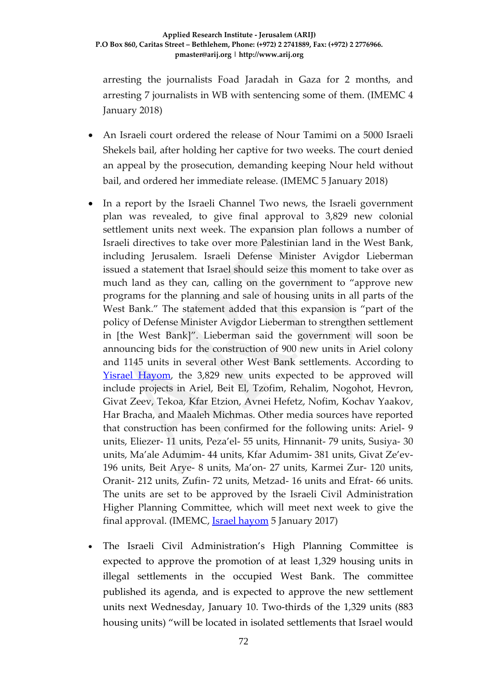arresting the journalists Foad Jaradah in Gaza for 2 months, and arresting 7 journalists in WB with sentencing some of them. (IMEMC 4 January 2018)

- An Israeli court ordered the release of Nour Tamimi on a 5000 Israeli Shekels bail, after holding her captive for two weeks. The court denied an appeal by the prosecution, demanding keeping Nour held without bail, and ordered her immediate release. (IMEMC 5 January 2018)
- In a report by the Israeli Channel Two news, the Israeli government plan was revealed, to give final approval to 3,829 new colonial settlement units next week. The expansion plan follows a number of Israeli directives to take over more Palestinian land in the West Bank, including Jerusalem. Israeli Defense Minister Avigdor Lieberman issued a statement that Israel should seize this moment to take over as much land as they can, calling on the government to "approve new programs for the planning and sale of housing units in all parts of the West Bank." The statement added that this expansion is "part of the policy of Defense Minister Avigdor Lieberman to strengthen settlement in [the West Bank]". Lieberman said the government will soon be announcing bids for the construction of 900 new units in Ariel colony and 1145 units in several other West Bank settlements. According to [Yisrael Hayom,](http://www.israelhayom.com/2018/01/05/government-approved-settlement-housing-snarled-in-red-tape/) the 3,829 new units expected to be approved will include projects in Ariel, Beit El, Tzofim, Rehalim, Nogohot, Hevron, Givat Zeev, Tekoa, Kfar Etzion, Avnei Hefetz, Nofim, Kochav Yaakov, Har Bracha, and Maaleh Michmas. Other media sources have reported that construction has been confirmed for the following units: Ariel- 9 units, Eliezer- 11 units, Peza'el- 55 units, Hinnanit- 79 units, Susiya- 30 units, Ma'ale Adumim- 44 units, Kfar Adumim- 381 units, Givat Ze'ev-196 units, Beit Arye- 8 units, Ma'on- 27 units, Karmei Zur- 120 units, Oranit- 212 units, Zufin- 72 units, Metzad- 16 units and Efrat- 66 units. The units are set to be approved by the Israeli Civil Administration Higher Planning Committee, which will meet next week to give the final approval. (IMEMC, [Israel hayom](http://www.israelhayom.com/2018/01/05/government-approved-settlement-housing-snarled-in-red-tape/) 5 January 2017)
- The Israeli Civil Administration's High Planning Committee is expected to approve the promotion of at least 1,329 housing units in illegal settlements in the occupied West Bank. The committee published its agenda, and is expected to approve the new settlement units next Wednesday, January 10. Two-thirds of the 1,329 units (883 housing units) "will be located in isolated settlements that Israel would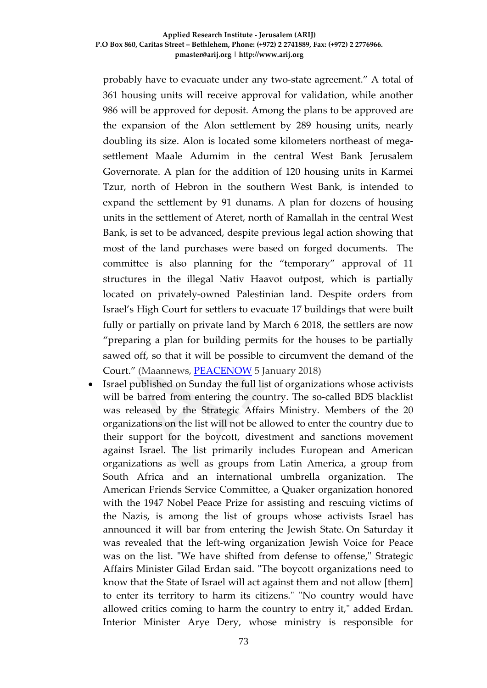probably have to evacuate under any two-state agreement." A total of 361 housing units will receive approval for validation, while another 986 will be approved for deposit. Among the plans to be approved are the expansion of the Alon settlement by 289 housing units, nearly doubling its size. Alon is located some kilometers northeast of megasettlement Maale Adumim in the central West Bank Jerusalem Governorate. A plan for the addition of 120 housing units in Karmei Tzur, north of Hebron in the southern West Bank, is intended to expand the settlement by 91 dunams. A plan for dozens of housing units in the settlement of Ateret, north of Ramallah in the central West Bank, is set to be advanced, despite previous legal action showing that most of the land purchases were based on forged documents. The committee is also planning for the "temporary" approval of 11 structures in the illegal Nativ Haavot outpost, which is partially located on privately-owned Palestinian land. Despite orders from Israel's High Court for settlers to evacuate 17 buildings that were built fully or partially on private land by March 6 2018, the settlers are now "preparing a plan for building permits for the houses to be partially sawed off, so that it will be possible to circumvent the demand of the Court." (Maannews, [PEACENOW](http://peacenow.org.il/hpc-aprovals-jan2018) 5 January 2018)

• Israel published on Sunday the full list of organizations whose activists will be barred from entering the country. The so-called BDS blacklist was released by the Strategic Affairs Ministry. Members of the 20 organizations on the list will not be allowed to enter the country due to their support for the boycott, divestment and sanctions movement against Israel. The list primarily includes European and American organizations as well as groups from Latin America, a group from South Africa and an international umbrella organization. The American Friends Service Committee, a Quaker organization honored with the 1947 Nobel Peace Prize for assisting and rescuing victims of the Nazis, is among the list of groups whose activists Israel has announced it will bar from entering the Jewish State. On Saturday it was revealed that the left-wing organization Jewish Voice for Peace was on the list. "We have shifted from defense to offense," Strategic Affairs Minister Gilad Erdan said. "The boycott organizations need to know that the State of Israel will act against them and not allow [them] to enter its territory to harm its citizens." "No country would have allowed critics coming to harm the country to entry it," added Erdan. Interior Minister Arye Dery, whose ministry is responsible for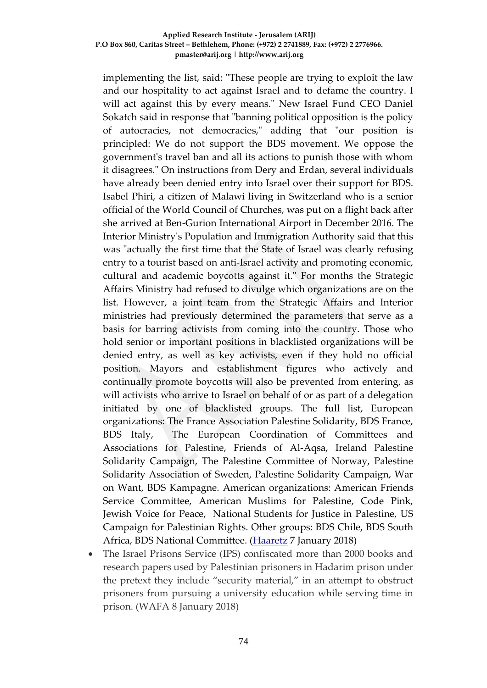implementing the list, said: "These people are trying to exploit the law and our hospitality to act against Israel and to defame the country. I will act against this by every means." New Israel Fund CEO Daniel Sokatch said in response that "banning political opposition is the policy of autocracies, not democracies," adding that "our position is principled: We do not support the BDS movement. We oppose the government's travel ban and all its actions to punish those with whom it disagrees." On instructions from Dery and Erdan, several individuals have already been denied entry into Israel over their support for BDS. Isabel Phiri, a citizen of Malawi living in Switzerland who is a senior official of the World Council of Churches, was put on a flight back after she arrived at Ben-Gurion International Airport in December 2016. The Interior Ministry's Population and Immigration Authority said that this was "actually the first time that the State of Israel was clearly refusing entry to a tourist based on anti-Israel activity and promoting economic, cultural and academic boycotts against it." For months the Strategic Affairs Ministry had refused to divulge which organizations are on the list. However, a joint team from the Strategic Affairs and Interior ministries had previously determined the parameters that serve as a basis for barring activists from coming into the country. Those who hold senior or important positions in blacklisted organizations will be denied entry, as well as key activists, even if they hold no official position. Mayors and establishment figures who actively and continually promote boycotts will also be prevented from entering, as will activists who arrive to Israel on behalf of or as part of a delegation initiated by one of blacklisted groups. The full list, European organizations: The France Association Palestine Solidarity, BDS France, BDS Italy, The European Coordination of Committees and Associations for Palestine, Friends of Al-Aqsa, Ireland Palestine Solidarity Campaign, The Palestine Committee of Norway, Palestine Solidarity Association of Sweden, Palestine Solidarity Campaign, War on Want, BDS Kampagne. American organizations: American Friends Service Committee, American Muslims for Palestine, Code Pink, Jewish Voice for Peace, National Students for Justice in Palestine, US Campaign for Palestinian Rights. Other groups: BDS Chile, BDS South Africa, BDS National Committee. [\(Haaretz](https://www.haaretz.com/israel-news/1.833502) 7 January 2018)

• The Israel Prisons Service (IPS) confiscated more than 2000 books and research papers used by Palestinian prisoners in Hadarim prison under the pretext they include "security material," in an attempt to obstruct prisoners from pursuing a university education while serving time in prison. (WAFA 8 January 2018)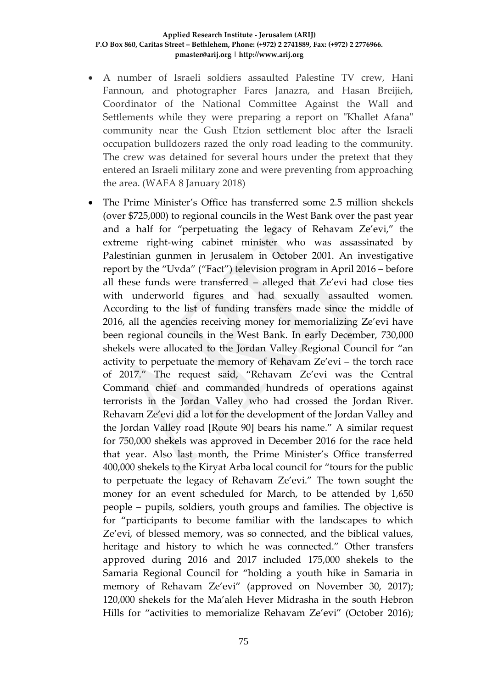- A number of Israeli soldiers assaulted Palestine TV crew, Hani Fannoun, and photographer Fares Janazra, and Hasan Breijieh, Coordinator of the National Committee Against the Wall and Settlements while they were preparing a report on "Khallet Afana" community near the Gush Etzion settlement bloc after the Israeli occupation bulldozers razed the only road leading to the community. The crew was detained for several hours under the pretext that they entered an Israeli military zone and were preventing from approaching the area. (WAFA 8 January 2018)
- The Prime Minister's Office has transferred some 2.5 million shekels (over \$725,000) to regional councils in the West Bank over the past year and a half for "perpetuating the legacy of Rehavam Ze'evi," the extreme right-wing cabinet minister who was assassinated by Palestinian gunmen in Jerusalem in October 2001. An investigative report by the "Uvda" ("Fact") television program in April 2016 – before all these funds were transferred – alleged that Ze'evi had close ties with underworld figures and had sexually assaulted women. According to the list of funding transfers made since the middle of 2016, all the agencies receiving money for memorializing Ze'evi have been regional councils in the West Bank. In early December, 730,000 shekels were allocated to the Jordan Valley Regional Council for "an activity to perpetuate the memory of Rehavam Ze'evi – the torch race of 2017." The request said, "Rehavam Ze'evi was the Central Command chief and commanded hundreds of operations against terrorists in the Jordan Valley who had crossed the Jordan River. Rehavam Ze'evi did a lot for the development of the Jordan Valley and the Jordan Valley road [Route 90] bears his name." A similar request for 750,000 shekels was approved in December 2016 for the race held that year. Also last month, the Prime Minister's Office transferred 400,000 shekels to the Kiryat Arba local council for "tours for the public to perpetuate the legacy of Rehavam Ze'evi." The town sought the money for an event scheduled for March, to be attended by 1,650 people – pupils, soldiers, youth groups and families. The objective is for "participants to become familiar with the landscapes to which Ze'evi, of blessed memory, was so connected, and the biblical values, heritage and history to which he was connected." Other transfers approved during 2016 and 2017 included 175,000 shekels to the Samaria Regional Council for "holding a youth hike in Samaria in memory of Rehavam Ze'evi" (approved on November 30, 2017); 120,000 shekels for the Ma'aleh Hever Midrasha in the south Hebron Hills for "activities to memorialize Rehavam Ze'evi" (October 2016);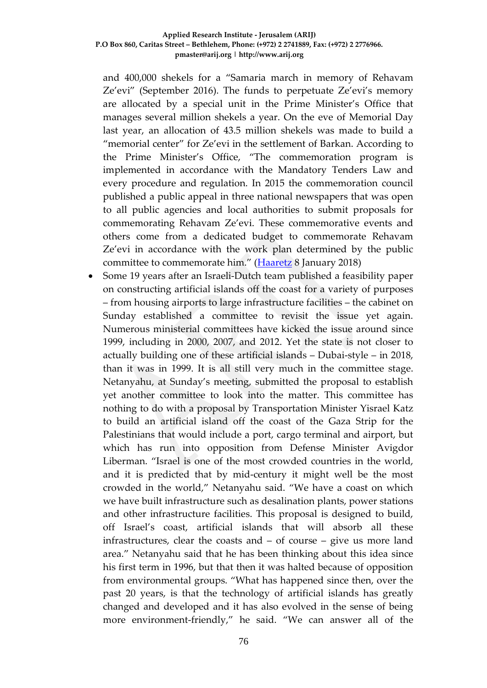and 400,000 shekels for a "Samaria march in memory of Rehavam Ze'evi" (September 2016). The funds to perpetuate Ze'evi's memory are allocated by a special unit in the Prime Minister's Office that manages several million shekels a year. On the eve of Memorial Day last year, an allocation of 43.5 million shekels was made to build a "memorial center" for Ze'evi in the settlement of Barkan. According to the Prime Minister's Office, "The commemoration program is implemented in accordance with the Mandatory Tenders Law and every procedure and regulation. In 2015 the commemoration council published a public appeal in three national newspapers that was open to all public agencies and local authorities to submit proposals for commemorating Rehavam Ze'evi. These commemorative events and others come from a dedicated budget to commemorate Rehavam Ze'evi in accordance with the work plan determined by the public committee to commemorate him." [\(Haaretz](https://www.haaretz.com/israel-news/.premium-1.833581) 8 January 2018)

• Some 19 years after an Israeli-Dutch team published a feasibility paper on constructing artificial islands off the coast for a variety of purposes – from housing airports to large infrastructure facilities – the cabinet on Sunday established a committee to revisit the issue yet again. Numerous ministerial committees have kicked the issue around since 1999, including in 2000, 2007, and 2012. Yet the state is not closer to actually building one of these artificial islands – Dubai-style – in 2018, than it was in 1999. It is all still very much in the committee stage. Netanyahu, at Sunday's meeting, submitted the proposal to establish yet another committee to look into the matter. This committee has nothing to do with a proposal by Transportation Minister Yisrael Katz to build an artificial island off the coast of the Gaza Strip for the Palestinians that would include a port, cargo terminal and airport, but which has run into opposition from Defense Minister Avigdor Liberman. "Israel is one of the most crowded countries in the world, and it is predicted that by mid-century it might well be the most crowded in the world," Netanyahu said. "We have a coast on which we have built infrastructure such as desalination plants, power stations and other infrastructure facilities. This proposal is designed to build, off Israel's coast, artificial islands that will absorb all these infrastructures, clear the coasts and – of course – give us more land area." Netanyahu said that he has been thinking about this idea since his first term in 1996, but that then it was halted because of opposition from environmental groups. "What has happened since then, over the past 20 years, is that the technology of artificial islands has greatly changed and developed and it has also evolved in the sense of being more environment-friendly," he said. "We can answer all of the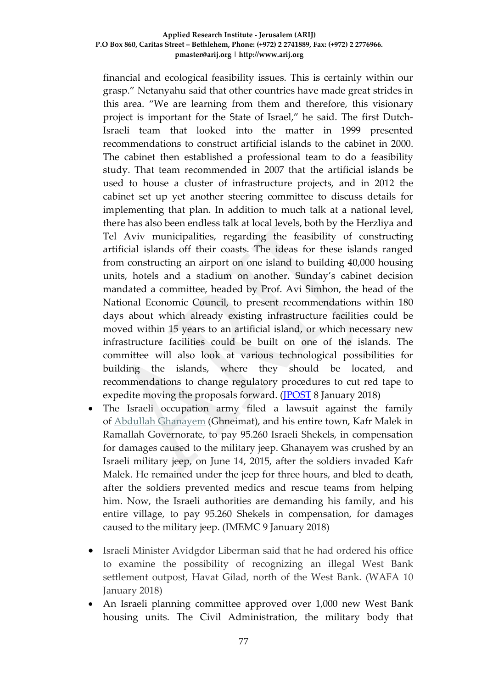financial and ecological feasibility issues. This is certainly within our grasp." Netanyahu said that other countries have made great strides in this area. "We are learning from them and therefore, this visionary project is important for the State of Israel," he said. The first Dutch-Israeli team that looked into the matter in 1999 presented recommendations to construct artificial islands to the cabinet in 2000. The cabinet then established a professional team to do a feasibility study. That team recommended in 2007 that the artificial islands be used to house a cluster of infrastructure projects, and in 2012 the cabinet set up yet another steering committee to discuss details for implementing that plan. In addition to much talk at a national level, there has also been endless talk at local levels, both by the Herzliya and Tel Aviv municipalities, regarding the feasibility of constructing artificial islands off their coasts. The ideas for these islands ranged from constructing an airport on one island to building 40,000 housing units, hotels and a stadium on another. Sunday's cabinet decision mandated a committee, headed by Prof. Avi Simhon, the head of the National Economic Council, to present recommendations within 180 days about which already existing infrastructure facilities could be moved within 15 years to an artificial island, or which necessary new infrastructure facilities could be built on one of the islands. The committee will also look at various technological possibilities for building the islands, where they should be located, and recommendations to change regulatory procedures to cut red tape to expedite moving the proposals forward. (*JPOST* 8 January 2018)

- The Israeli occupation army filed a lawsuit against the family of [Abdullah Ghanayem](http://imemc.org/article/71935/) (Ghneimat), and his entire town, Kafr Malek in Ramallah Governorate, to pay 95.260 Israeli Shekels, in compensation for damages caused to the military jeep. Ghanayem was crushed by an Israeli military jeep, on June 14, 2015, after the soldiers invaded Kafr Malek. He remained under the jeep for three hours, and bled to death, after the soldiers prevented medics and rescue teams from helping him. Now, the Israeli authorities are demanding his family, and his entire village, to pay 95.260 Shekels in compensation, for damages caused to the military jeep. (IMEMC 9 January 2018)
- Israeli Minister Avidgdor Liberman said that he had ordered his office to examine the possibility of recognizing an illegal West Bank settlement outpost, Havat Gilad, north of the West Bank. (WAFA 10 January 2018)
- An Israeli planning committee approved over 1,000 new West Bank housing units. The Civil Administration, the military body that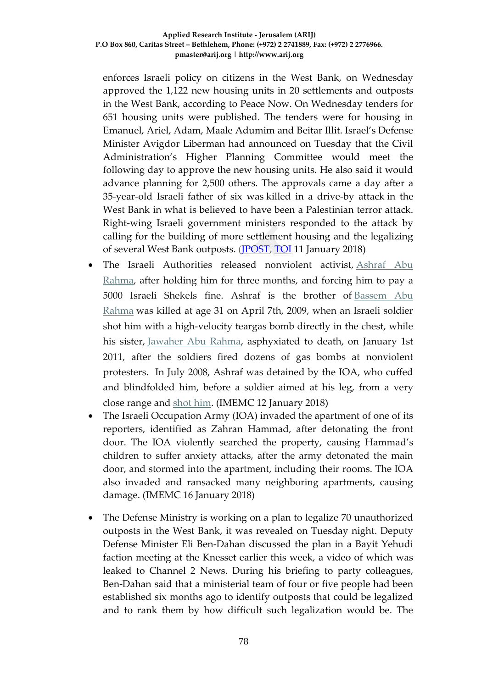enforces Israeli policy on citizens in the West Bank, on Wednesday approved the 1,122 new housing units in 20 settlements and outposts in the West Bank, according to Peace Now. On Wednesday tenders for 651 housing units were published. The tenders were for housing in Emanuel, Ariel, Adam, Maale Adumim and Beitar Illit. Israel's Defense Minister Avigdor Liberman had announced on Tuesday that the Civil Administration's Higher Planning Committee would meet the following day to approve the new housing units. He also said it would advance planning for 2,500 others. The approvals came a day after a 35-year-old Israeli father of six was killed in a [drive-by](http://www.jpost.com/Arab-Israeli-Conflict/Israeli-severely-injured-in-terror-attack-in-Samaria-district-533284) attack in the West Bank in what is believed to have been a Palestinian terror attack. Right-wing Israeli government ministers responded to the attack by calling for the building of more settlement housing and the legalizing of several West Bank outposts. (**IPOST**, [TOI](https://www.timesofisrael.com/israel-green-lights-1126-west-bank-settlement-homes/) 11 January 2018)

- The Israeli Authorities released nonviolent activist, Ashraf Abu [Rahma,](http://imemc.org/article/israel-delays-court-session-of-senior-nonviolent-activist-abdullah-abu-rahma/) after holding him for three months, and forcing him to pay a 5000 Israeli Shekels fine. Ashraf is the brother of [Bassem Abu](http://imemc.org/article/58353/)  [Rahma](http://imemc.org/article/58353/) was killed at age 31 on April 7th, 2009, when an Israeli soldier shot him with a high-velocity teargas bomb directly in the chest, while his sister, [Jawaher Abu Rahma,](http://imemc.org/article/60325/) asphyxiated to death, on January 1st 2011, after the soldiers fired dozens of gas bombs at nonviolent protesters. In July 2008, Ashraf was detained by the IOA, who cuffed and blindfolded him, before a soldier aimed at his leg, from a very close range and [shot him.](http://imemc.org/article/56259/) (IMEMC 12 January 2018)
- The Israeli Occupation Army (IOA) invaded the apartment of one of its reporters, identified as Zahran Hammad, after detonating the front door. The IOA violently searched the property, causing Hammad's children to suffer anxiety attacks, after the army detonated the main door, and stormed into the apartment, including their rooms. The IOA also invaded and ransacked many neighboring apartments, causing damage. (IMEMC 16 January 2018)
- The Defense Ministry is working on a plan to legalize 70 unauthorized outposts in the West Bank, it was revealed on Tuesday night. Deputy Defense Minister Eli Ben-Dahan discussed the plan in a Bayit Yehudi faction meeting at the Knesset earlier this week, a video of which was leaked to Channel 2 News. During his briefing to party colleagues, Ben-Dahan said that a ministerial team of four or five people had been established six months ago to identify outposts that could be legalized and to rank them by how difficult such legalization would be. The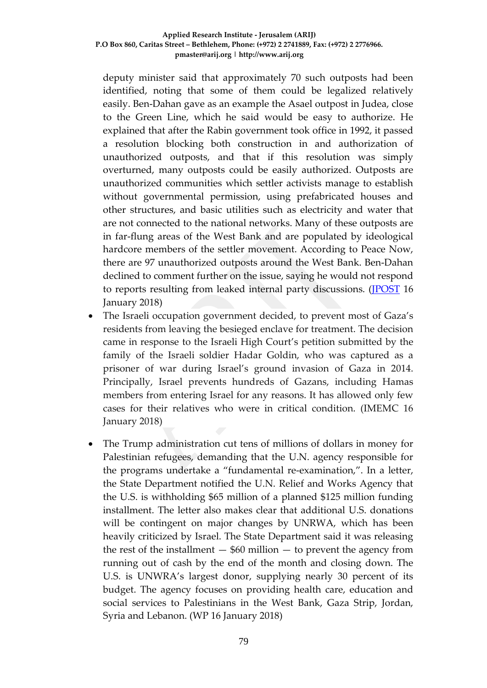deputy minister said that approximately 70 such outposts had been identified, noting that some of them could be legalized relatively easily. Ben-Dahan gave as an example the Asael outpost in Judea, close to the Green Line, which he said would be easy to authorize. He explained that after the Rabin government took office in 1992, it passed a resolution blocking both construction in and authorization of unauthorized outposts, and that if this resolution was simply overturned, many outposts could be easily authorized. Outposts are unauthorized communities which settler activists manage to establish without governmental permission, using prefabricated houses and other structures, and basic utilities such as electricity and water that are not connected to the national networks. Many of these outposts are in far-flung areas of the West Bank and are populated by ideological hardcore members of the settler movement. According to Peace Now, there are 97 unauthorized outposts around the West Bank. Ben-Dahan declined to comment further on the issue, saying he would not respond to reports resulting from leaked internal party discussions. [\(JPOST](http://www.jpost.com/Israel-News/Defense-Ministry-planning-to-legalize-70-outposts-536935) 16 January 2018)

- The Israeli occupation government decided, to prevent most of Gaza's residents from leaving the besieged enclave for treatment. The decision came in response to the Israeli High Court's petition submitted by the family of the Israeli soldier Hadar Goldin, who was captured as a prisoner of war during Israel's ground invasion of Gaza in 2014. Principally, Israel prevents hundreds of Gazans, including Hamas members from entering Israel for any reasons. It has allowed only few cases for their relatives who were in critical condition. (IMEMC 16 January 2018)
- The Trump administration cut tens of millions of dollars in money for Palestinian refugees, demanding that the U.N. agency responsible for the programs undertake a "fundamental re-examination,". In a letter, the State Department notified the U.N. Relief and Works Agency that the U.S. is withholding \$65 million of a planned \$125 million funding installment. The letter also makes clear that additional U.S. donations will be contingent on major changes by UNRWA, which has been heavily criticized by Israel. The State Department said it was releasing the rest of the installment  $-$  \$60 million  $-$  to prevent the agency from running out of cash by the end of the month and closing down. The U.S. is UNWRA's largest donor, supplying nearly 30 percent of its budget. The agency focuses on providing health care, education and social services to Palestinians in the West Bank, Gaza Strip, Jordan, Syria and Lebanon. (WP 16 January 2018)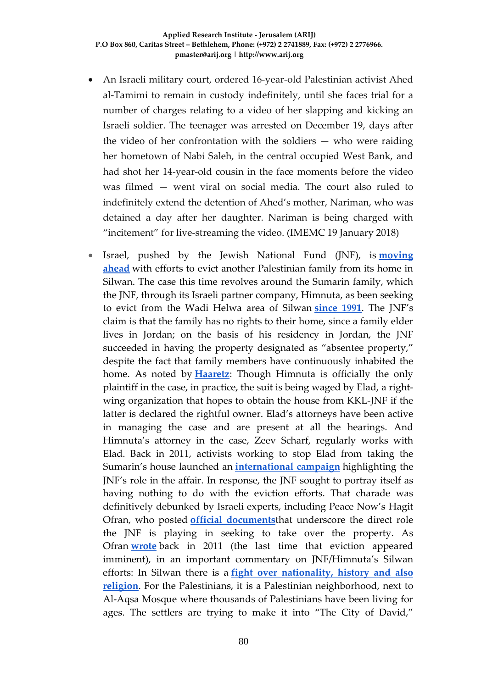- An Israeli military court, ordered 16-year-old Palestinian activist Ahed al-Tamimi to remain in custody indefinitely, until she faces trial for a number of charges relating to a video of her slapping and kicking an Israeli soldier. The teenager was arrested on December 19, days after the video of her confrontation with the soldiers — who were raiding her hometown of Nabi Saleh, in the central occupied West Bank, and had shot her 14-year-old cousin in the face moments before the video was filmed — went viral on social media. The court also ruled to indefinitely extend the detention of Ahed's mother, Nariman, who was detained a day after her daughter. Nariman is being charged with "incitement" for live-streaming the video. (IMEMC 19 January 2018)
- Israel, pushed by the Jewish National Fund (JNF), is **[moving](https://www.haaretz.com/israel-news/.premium-1.832528)  [ahead](https://www.haaretz.com/israel-news/.premium-1.832528)** with efforts to evict another Palestinian family from its home in Silwan. The case this time revolves around the Sumarin family, which the JNF, through its Israeli partner company, Himnuta, as been seeking to evict from the Wadi Helwa area of Silwan **[since 1991](https://www.haaretz.com/palestinian-family-given-two-weeks-to-vacate-east-jerusalem-home-1.395590)**. The JNF's claim is that the family has no rights to their home, since a family elder lives in Jordan; on the basis of his residency in Jordan, the JNF succeeded in having the property designated as "absentee property," despite the fact that family members have continuously inhabited the home. As noted by **[Haaretz](https://www.haaretz.com/israel-news/.premium-1.832528)**: Though Himnuta is officially the only plaintiff in the case, in practice, the suit is being waged by Elad, a rightwing organization that hopes to obtain the house from KKL-JNF if the latter is declared the rightful owner. Elad's attorneys have been active in managing the case and are present at all the hearings. And Himnuta's attorney in the case, Zeev Scharf, regularly works with Elad. Back in 2011, activists working to stop Elad from taking the Sumarin's house launched an **[international campaign](https://972mag.com/jnf-settler-group-seek-to-evict-palestinian-family-in-silwan/104060/)** highlighting the JNF's role in the affair. In response, the JNF sought to portray itself as having nothing to do with the eviction efforts. That charade was definitively debunked by Israeli experts, including Peace Now's Hagit Ofran, who posted **[official documents](https://settlementwatcheastjerusalem.wordpress.com/2011/11/25/jnf-respons/)**that underscore the direct role the JNF is playing in seeking to take over the property. As Ofran **[wrote](https://www.huffingtonpost.com/hagit-ofran/silwan-israel-settlements-_b_1096579.html)** back in 2011 (the last time that eviction appeared imminent), in an important commentary on JNF/Himnuta's Silwan efforts: In Silwan there is a **[fight over nationality, history and also](http://www.pij.org/details.php?id=1283)  [religion](http://www.pij.org/details.php?id=1283)**. For the Palestinians, it is a Palestinian neighborhood, next to Al-Aqsa Mosque where thousands of Palestinians have been living for ages. The settlers are trying to make it into "The City of David,"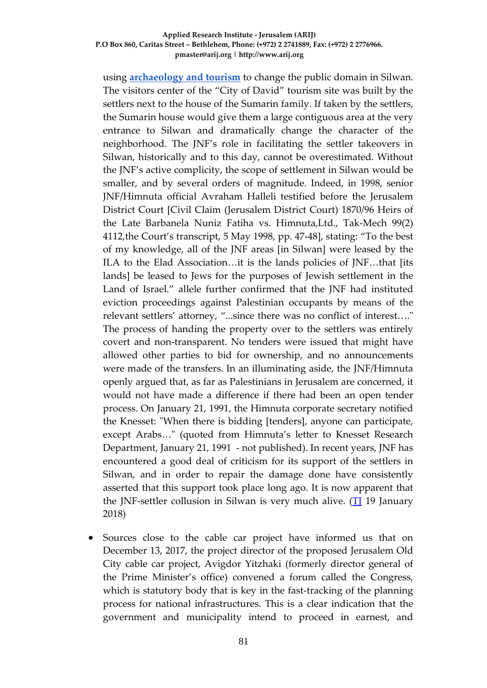using **[archaeology and tourism](http://www.alt-arch.org/)** to change the public domain in Silwan. The visitors center of the "City of David" tourism site was built by the settlers next to the house of the Sumarin family. If taken by the settlers, the Sumarin house would give them a large contiguous area at the very entrance to Silwan and dramatically change the character of the neighborhood. The JNF's role in facilitating the settler takeovers in Silwan, historically and to this day, cannot be overestimated. Without the JNF's active complicity, the scope of settlement in Silwan would be smaller, and by several orders of magnitude. Indeed, in 1998, senior JNF/Himnuta official Avraham Halleli testified before the Jerusalem District Court [Civil Claim (Jerusalem District Court) 1870/96 Heirs of the Late Barbanela Nuniz Fatiha vs. Himnuta,Ltd., Tak-Mech 99(2) 4112,the Court's transcript, 5 May 1998, pp. 47-48], stating: "To the best of my knowledge, all of the JNF areas [in Silwan] were leased by the ILA to the Elad Association…it is the lands policies of JNF…that [its lands] be leased to Jews for the purposes of Jewish settlement in the Land of Israel." allele further confirmed that the JNF had instituted eviction proceedings against Palestinian occupants by means of the relevant settlers' attorney, "...since there was no conflict of interest…." The process of handing the property over to the settlers was entirely covert and non-transparent. No tenders were issued that might have allowed other parties to bid for ownership, and no announcements were made of the transfers. In an illuminating aside, the JNF/Himnuta openly argued that, as far as Palestinians in Jerusalem are concerned, it would not have made a difference if there had been an open tender process. On January 21, 1991, the Himnuta corporate secretary notified the Knesset: "When there is bidding [tenders], anyone can participate, except Arabs…" (quoted from Himnuta's letter to Knesset Research Department, January 21, 1991 - not published). In recent years, JNF has encountered a good deal of criticism for its support of the settlers in Silwan, and in order to repair the damage done have consistently asserted that this support took place long ago. It is now apparent that the JNF-settler collusion in Silwan is very much alive.  $(T1 19)$  January 2018)

Sources close to the cable car project have informed us that on December 13, 2017, the project director of the proposed Jerusalem Old City cable car project, Avigdor Yitzhaki (formerly director general of the Prime Minister's office) convened a forum called the Congress, which is statutory body that is key in the fast-tracking of the planning process for national infrastructures. This is a clear indication that the government and municipality intend to proceed in earnest, and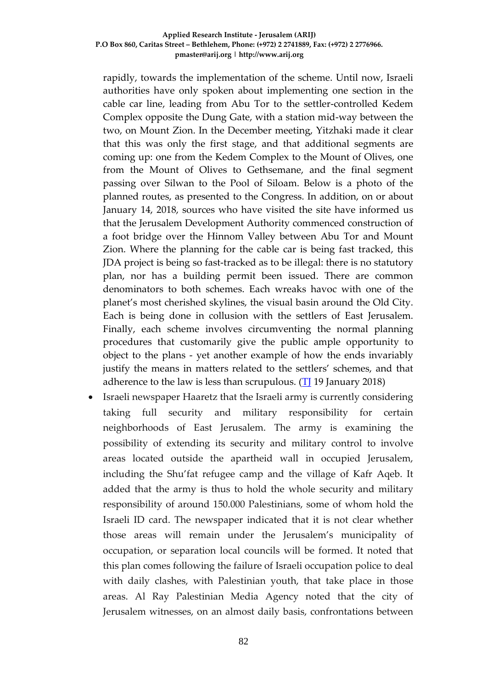rapidly, towards the implementation of the scheme. Until now, Israeli authorities have only spoken about implementing one section in the cable car line, leading from Abu Tor to the settler-controlled Kedem Complex opposite the Dung Gate, with a station mid-way between the two, on Mount Zion. In the December meeting, Yitzhaki made it clear that this was only the first stage, and that additional segments are coming up: one from the Kedem Complex to the Mount of Olives, one from the Mount of Olives to Gethsemane, and the final segment passing over Silwan to the Pool of Siloam. Below is a photo of the planned routes, as presented to the Congress. In addition, on or about January 14, 2018, sources who have visited the site have informed us that the Jerusalem Development Authority commenced construction of a foot bridge over the Hinnom Valley between Abu Tor and Mount Zion. Where the planning for the cable car is being fast tracked, this JDA project is being so fast-tracked as to be illegal: there is no statutory plan, nor has a building permit been issued. There are common denominators to both schemes. Each wreaks havoc with one of the planet's most cherished skylines, the visual basin around the Old City. Each is being done in collusion with the settlers of East Jerusalem. Finally, each scheme involves circumventing the normal planning procedures that customarily give the public ample opportunity to object to the plans - yet another example of how the ends invariably justify the means in matters related to the settlers' schemes, and that adherence to the law is less than scrupulous. ( $\overline{II}$  19 January 2018)

• Israeli newspaper Haaretz that the Israeli army is currently considering taking full security and military responsibility for certain neighborhoods of East Jerusalem. The army is examining the possibility of extending its security and military control to involve areas located outside the apartheid wall in occupied Jerusalem, including the Shu'fat refugee camp and the village of Kafr Aqeb. It added that the army is thus to hold the whole security and military responsibility of around 150.000 Palestinians, some of whom hold the Israeli ID card. The newspaper indicated that it is not clear whether those areas will remain under the Jerusalem's municipality of occupation, or separation local councils will be formed. It noted that this plan comes following the failure of Israeli occupation police to deal with daily clashes, with Palestinian youth, that take place in those areas. Al Ray Palestinian Media Agency noted that the city of Jerusalem witnesses, on an almost daily basis, confrontations between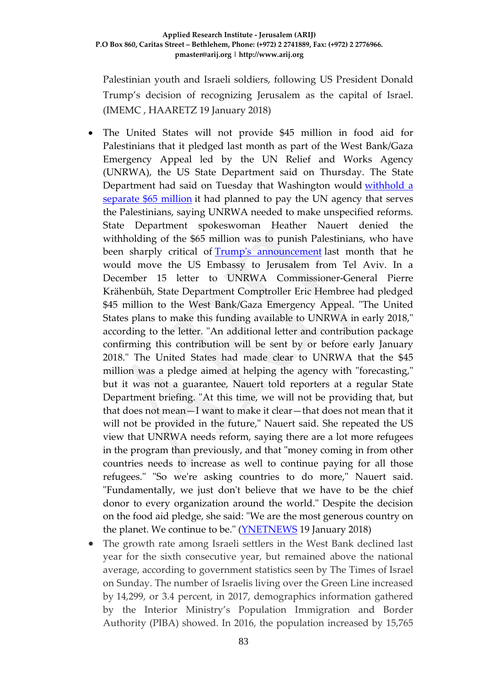Palestinian youth and Israeli soldiers, following US President Donald Trump's decision of recognizing Jerusalem as the capital of Israel. (IMEMC , HAARETZ 19 January 2018)

- The United States will not provide \$45 million in food aid for Palestinians that it pledged last month as part of the West Bank/Gaza Emergency Appeal led by the UN Relief and Works Agency (UNRWA), the US State Department said on Thursday. The State Department had said on Tuesday that Washington would [withhold](https://www.ynetnews.com/articles/0,7340,L-5072358,00.html) a [separate](https://www.ynetnews.com/articles/0,7340,L-5072358,00.html) \$65 million it had planned to pay the UN agency that serves the Palestinians, saying UNRWA needed to make unspecified reforms. State Department spokeswoman Heather Nauert denied the withholding of the \$65 million was to punish Palestinians, who have been sharply critical of Trump's [announcement](https://www.ynetnews.com/articles/0,7340,L-5052940,00.html) last month that he would move the US Embassy to Jerusalem from Tel Aviv. In a December 15 letter to UNRWA Commissioner-General Pierre Krähenbüh, State Department Comptroller Eric Hembree had pledged \$45 million to the West Bank/Gaza Emergency Appeal. "The United States plans to make this funding available to UNRWA in early 2018," according to the letter. "An additional letter and contribution package confirming this contribution will be sent by or before early January 2018." The United States had made clear to UNRWA that the \$45 million was a pledge aimed at helping the agency with "forecasting," but it was not a guarantee, Nauert told reporters at a regular State Department briefing. "At this time, we will not be providing that, but that does not mean—I want to make it clear—that does not mean that it will not be provided in the future," Nauert said. She repeated the US view that UNRWA needs reform, saying there are a lot more refugees in the program than previously, and that "money coming in from other countries needs to increase as well to continue paying for all those refugees." "So we're asking countries to do more," Nauert said. "Fundamentally, we just don't believe that we have to be the chief donor to every organization around the world." Despite the decision on the food aid pledge, she said: "We are the most generous country on the planet. We continue to be." (**YNETNEWS** 19 January 2018)
- The growth rate among Israeli settlers in the West Bank declined last year for the sixth consecutive year, but remained above the national average, according to government statistics seen by The Times of Israel on Sunday. The number of Israelis living over the Green Line increased by 14,299, or 3.4 percent, in 2017, demographics information gathered by the Interior Ministry's Population Immigration and Border Authority (PIBA) showed. In 2016, the population increased by 15,765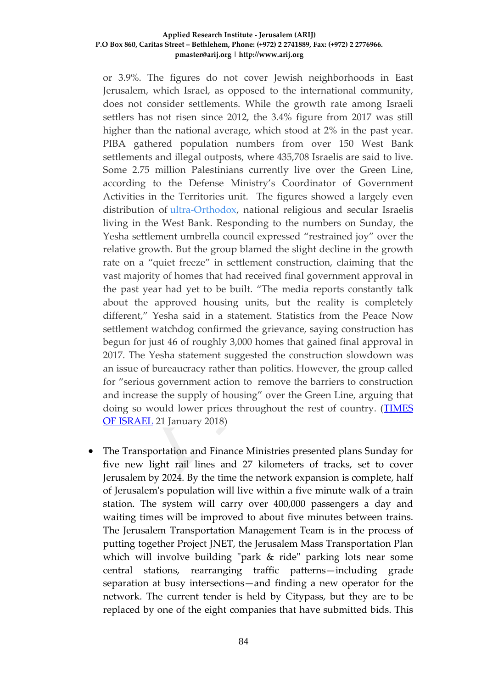or 3.9%. The figures do not cover Jewish neighborhoods in East Jerusalem, which Israel, as opposed to the international community, does not consider settlements. While the growth rate among Israeli settlers has not risen since 2012, the 3.4% figure from 2017 was still higher than the national average, which stood at 2% in the past year. PIBA gathered population numbers from over 150 West Bank settlements and illegal outposts, where 435,708 Israelis are said to live. Some 2.75 million Palestinians currently live over the Green Line, according to the Defense Ministry's Coordinator of Government Activities in the Territories unit. The figures showed a largely even distribution of [ultra-Orthodox,](https://www.timesofisrael.com/black-is-the-new-orange-30-of-settlers-are-now-haredim/) national religious and secular Israelis living in the West Bank. Responding to the numbers on Sunday, the Yesha settlement umbrella council expressed "restrained joy" over the relative growth. But the group blamed the slight decline in the growth rate on a "quiet freeze" in settlement construction, claiming that the vast majority of homes that had received final government approval in the past year had yet to be built. "The media reports constantly talk about the approved housing units, but the reality is completely different," Yesha said in a statement. Statistics from the Peace Now settlement watchdog confirmed the grievance, saying construction has begun for just 46 of roughly 3,000 homes that gained final approval in 2017. The Yesha statement suggested the construction slowdown was an issue of bureaucracy rather than politics. However, the group called for "serious government action to remove the barriers to construction and increase the supply of housing" over the Green Line, arguing that doing so would lower prices throughout the rest of country. [\(TIMES](https://www.timesofisrael.com/settler-growth-rate-declines-for-sixth-straight-year/)  [OF ISRAEL](https://www.timesofisrael.com/settler-growth-rate-declines-for-sixth-straight-year/) 21 January 2018)

• The Transportation and Finance Ministries presented plans Sunday for five new light rail lines and 27 kilometers of tracks, set to cover Jerusalem by 2024. By the time the network expansion is complete, half of Jerusalem's population will live within a five minute walk of a train station. The system will carry over 400,000 passengers a day and waiting times will be improved to about five minutes between trains. The Jerusalem Transportation Management Team is in the process of putting together Project JNET, the Jerusalem Mass Transportation Plan which will involve building "park & ride" parking lots near some central stations, rearranging traffic patterns—including grade separation at busy intersections—and finding a new operator for the network. The current tender is held by Citypass, but they are to be replaced by one of the eight companies that have submitted bids. This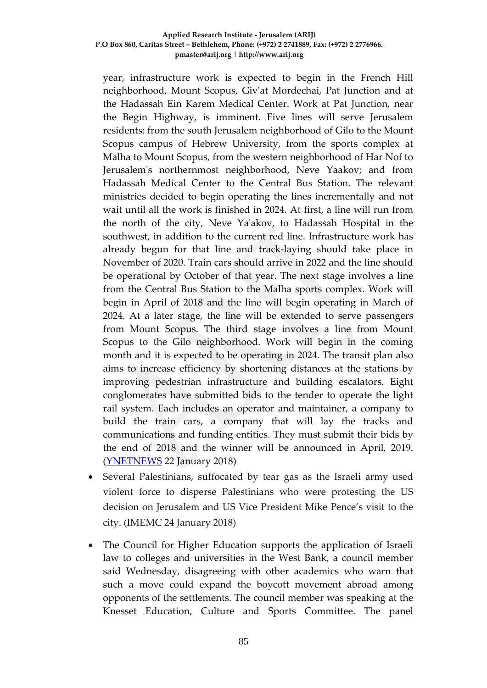year, infrastructure work is expected to begin in the French Hill neighborhood, Mount Scopus, Giv'at Mordechai, Pat Junction and at the Hadassah Ein Karem Medical Center. Work at Pat Junction, near the Begin Highway, is imminent. Five lines will serve Jerusalem residents: from the south Jerusalem neighborhood of Gilo to the Mount Scopus campus of Hebrew University, from the sports complex at Malha to Mount Scopus, from the western neighborhood of Har Nof to Jerusalem's northernmost neighborhood, Neve Yaakov; and from Hadassah Medical Center to the Central Bus Station. The relevant ministries decided to begin operating the lines incrementally and not wait until all the work is finished in 2024. At first, a line will run from the north of the city, Neve Ya'akov, to Hadassah Hospital in the southwest, in addition to the current red line. Infrastructure work has already begun for that line and track-laying should take place in November of 2020. Train cars should arrive in 2022 and the line should be operational by October of that year. The next stage involves a line from the Central Bus Station to the Malha sports complex. Work will begin in April of 2018 and the line will begin operating in March of 2024. At a later stage, the line will be extended to serve passengers from Mount Scopus. The third stage involves a line from Mount Scopus to the Gilo neighborhood. Work will begin in the coming month and it is expected to be operating in 2024. The transit plan also aims to increase efficiency by shortening distances at the stations by improving pedestrian infrastructure and building escalators. Eight conglomerates have submitted bids to the tender to operate the light rail system. Each includes an operator and maintainer, a company to build the train cars, a company that will lay the tracks and communications and funding entities. They must submit their bids by the end of 2018 and the winner will be announced in April, 2019. [\(YNETNEWS](https://www.ynetnews.com/articles/0,7340,L-5074318,00.html) 22 January 2018)

- Several Palestinians, suffocated by tear gas as the Israeli army used violent force to disperse Palestinians who were protesting the US decision on Jerusalem and US Vice President Mike Pence's visit to the city. (IMEMC 24 January 2018)
- The Council for Higher Education supports the application of Israeli law to colleges and universities in the West Bank, a council member said Wednesday, disagreeing with other academics who warn that such a move could expand the boycott movement abroad among opponents of the settlements. The council member was speaking at the Knesset Education, Culture and Sports Committee. The panel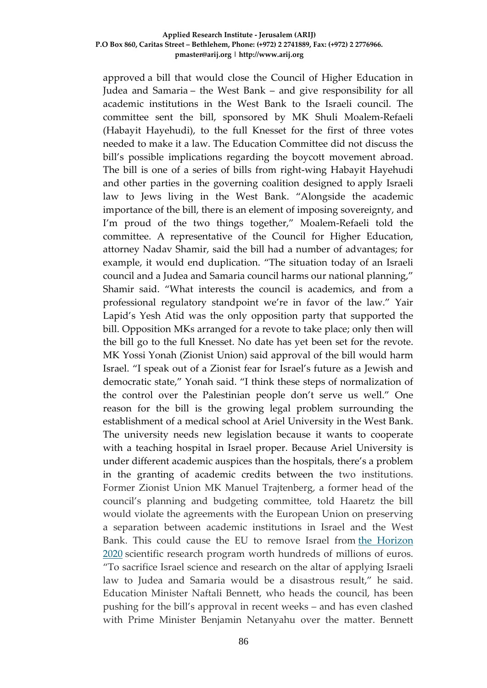approved a bill that would close the Council of Higher Education in Judea and Samaria – the West Bank – and give responsibility for all academic institutions in the West Bank to the Israeli council. The committee sent the bill, sponsored by MK Shuli Moalem-Refaeli (Habayit Hayehudi), to the full Knesset for the first of three votes needed to make it a law. The Education Committee did not discuss the bill's possible implications regarding the boycott movement abroad. The bill is one of a series of bills from right-wing Habayit Hayehudi and other parties in the governing coalition designed to apply Israeli law to Jews living in the West Bank. "Alongside the academic importance of the bill, there is an element of imposing sovereignty, and I'm proud of the two things together," Moalem-Refaeli told the committee. A representative of the Council for Higher Education, attorney Nadav Shamir, said the bill had a number of advantages; for example, it would end duplication. "The situation today of an Israeli council and a Judea and Samaria council harms our national planning," Shamir said. "What interests the council is academics, and from a professional regulatory standpoint we're in favor of the law." Yair Lapid's Yesh Atid was the only opposition party that supported the bill. Opposition MKs arranged for a revote to take place; only then will the bill go to the full Knesset. No date has yet been set for the revote. MK Yossi Yonah (Zionist Union) said approval of the bill would harm Israel. "I speak out of a Zionist fear for Israel's future as a Jewish and democratic state," Yonah said. "I think these steps of normalization of the control over the Palestinian people don't serve us well." One reason for the bill is the growing legal problem surrounding the establishment of a medical school at Ariel University in the West Bank. The university needs new legislation because it wants to cooperate with a teaching hospital in Israel proper. Because Ariel University is under different academic auspices than the hospitals, there's a problem in the granting of academic credits between the two institutions. Former Zionist Union MK Manuel Trajtenberg, a former head of the council's planning and budgeting committee, told Haaretz the bill would violate the agreements with the European Union on preserving a separation between academic institutions in Israel and the West Bank. This could cause the EU to remove Israel from [the Horizon](https://www.haaretz.com/israel-eu-sign-scientific-agreement-1.5251196)  [2020](https://www.haaretz.com/israel-eu-sign-scientific-agreement-1.5251196) scientific research program worth hundreds of millions of euros. "To sacrifice Israel science and research on the altar of applying Israeli law to Judea and Samaria would be a disastrous result," he said. Education Minister Naftali Bennett, who heads the council, has been pushing for the bill's approval in recent weeks – and has even clashed with Prime Minister Benjamin Netanyahu over the matter. Bennett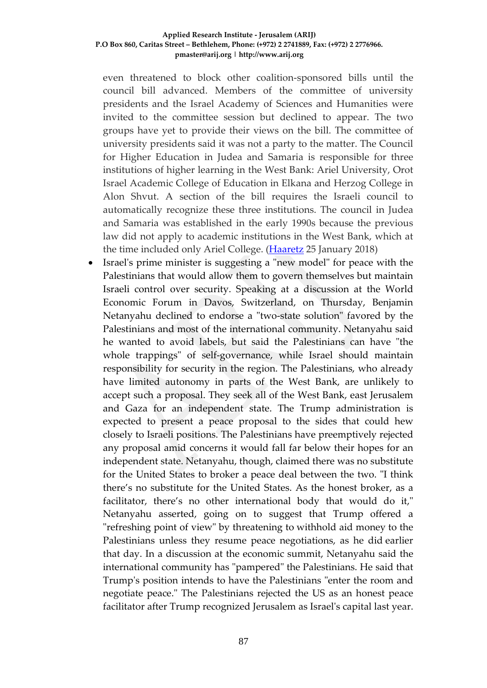even threatened to block other coalition-sponsored bills until the council bill advanced. Members of the committee of university presidents and the Israel Academy of Sciences and Humanities were invited to the committee session but declined to appear. The two groups have yet to provide their views on the bill. The committee of university presidents said it was not a party to the matter. The Council for Higher Education in Judea and Samaria is responsible for three institutions of higher learning in the West Bank: Ariel University, Orot Israel Academic College of Education in Elkana and Herzog College in Alon Shvut. A section of the bill requires the Israeli council to automatically recognize these three institutions. The council in Judea and Samaria was established in the early 1990s because the previous law did not apply to academic institutions in the West Bank, which at the time included only Ariel College. [\(Haaretz](https://www.haaretz.com/israel-news/.premium-education-panel-backs-applying-israeli-law-to-west-bank-universities-1.5764957) 25 January 2018)

• Israel's prime minister is suggesting a "new model" for peace with the Palestinians that would allow them to govern themselves but maintain Israeli control over security. Speaking at a discussion at the World Economic Forum in Davos, Switzerland, on Thursday, Benjamin Netanyahu declined to endorse a "two-state solution" favored by the Palestinians and most of the international community. Netanyahu said he wanted to avoid labels, but said the Palestinians can have "the whole trappings" of self-governance, while Israel should maintain responsibility for security in the region. The Palestinians, who already have limited autonomy in parts of the West Bank, are unlikely to accept such a proposal. They seek all of the West Bank, east Jerusalem and Gaza for an independent state. The Trump administration is expected to present a peace proposal to the sides that could hew closely to Israeli positions. The Palestinians have preemptively rejected any proposal amid concerns it would fall far below their hopes for an independent state. Netanyahu, though, claimed there was no substitute for the United States to broker a peace deal between the two. "I think there's no substitute for the United States. As the honest broker, as a facilitator, there's no other international body that would do it," Netanyahu asserted, going on to suggest that Trump offered a "refreshing point of view" by threatening to withhold aid money to the Palestinians unless they resume peace negotiations, as he did earlier that day. In a discussion at the economic summit, Netanyahu said the international community has "pampered" the Palestinians. He said that Trump's position intends to have the Palestinians "enter the room and negotiate peace." The Palestinians rejected the US as an honest peace facilitator after Trump recognized Jerusalem as Israel's capital last year.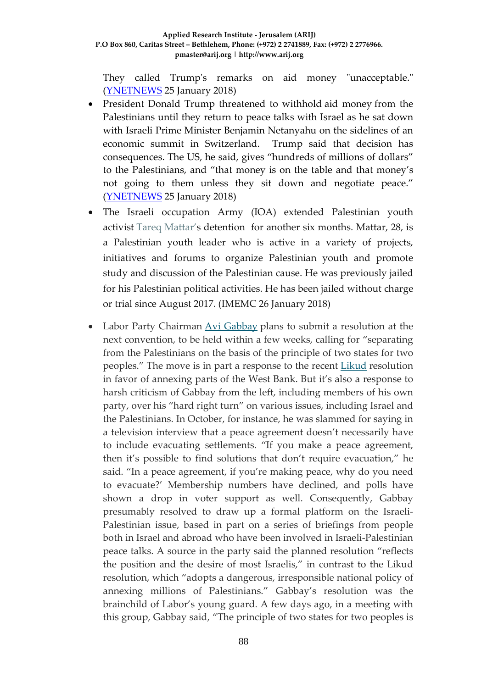They called Trump's remarks on aid money "unacceptable." [\(YNETNEWS](https://www.ynetnews.com/articles/0,7340,L-5076423,00.html) 25 January 2018)

- President Donald Trump threatened to withhold aid money from the Palestinians until they return to peace talks with Israel as he sat down with Israeli Prime Minister Benjamin Netanyahu on the sidelines of an economic summit in Switzerland. Trump said that decision has consequences. The US, he said, gives "hundreds of millions of dollars" to the Palestinians, and "that money is on the table and that money's not going to them unless they sit down and negotiate peace." [\(YNETNEWS](https://www.ynetnews.com/articles/0,7340,L-5076360,00.html) 25 January 2018)
- The Israeli occupation Army (IOA) extended Palestinian youth activist [Tareq Mattar's](http://samidoun.net/2017/08/palestinian-youth-activist-tareq-mattar-ordered-imprisoned-without-charge-or-trial/) detention for another six months. Mattar, 28, is a Palestinian youth leader who is active in a variety of projects, initiatives and forums to organize Palestinian youth and promote study and discussion of the Palestinian cause. He was previously jailed for his Palestinian political activities. He has been jailed without charge or trial since August 2017. (IMEMC 26 January 2018)
- Labor Party Chairman [Avi Gabbay](https://www.haaretz.com/avi-gabbay-1.5606884) plans to submit a resolution at the next convention, to be held within a few weeks, calling for "separating from the Palestinians on the basis of the principle of two states for two peoples." The move is in part a response to the recent [Likud](https://www.haaretz.com/misc/tags/likud-1.5598897) resolution in favor of annexing parts of the West Bank. But it's also a response to harsh criticism of Gabbay from the left, including members of his own party, over his "hard right turn" on various issues, including Israel and the Palestinians. In October, for instance, he was slammed for saying in a television interview that a peace agreement doesn't necessarily have to include evacuating settlements. "If you make a peace agreement, then it's possible to find solutions that don't require evacuation," he said. "In a peace agreement, if you're making peace, why do you need to evacuate?' Membership numbers have declined, and polls have shown a drop in voter support as well. Consequently, Gabbay presumably resolved to draw up a formal platform on the Israeli-Palestinian issue, based in part on a series of briefings from people both in Israel and abroad who have been involved in Israeli-Palestinian peace talks. A source in the party said the planned resolution "reflects the position and the desire of most Israelis," in contrast to the Likud resolution, which "adopts a dangerous, irresponsible national policy of annexing millions of Palestinians." Gabbay's resolution was the brainchild of Labor's young guard. A few days ago, in a meeting with this group, Gabbay said, "The principle of two states for two peoples is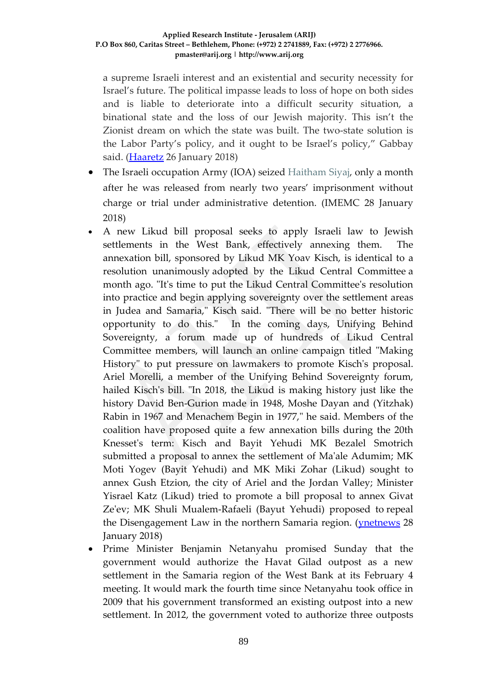a supreme Israeli interest and an existential and security necessity for Israel's future. The political impasse leads to loss of hope on both sides and is liable to deteriorate into a difficult security situation, a binational state and the loss of our Jewish majority. This isn't the Zionist dream on which the state was built. The two-state solution is the Labor Party's policy, and it ought to be Israel's policy," Gabbay said. [\(Haaretz](https://www.haaretz.com/israel-news/.premium-labor-chairman-gabbay-calls-for-separating-from-palestinians-1.5766951) 26 January 2018)

- The Israeli occupation Army (IOA) seized [Haitham Siyaj,](http://samidoun.net/2016/10/two-more-former-pa-prisoners-seized-and-beaten-by-invading-occupation-forces/) only a month after he was released from nearly two years' imprisonment without charge or trial under administrative detention. (IMEMC 28 January 2018)
- A new Likud bill proposal seeks to apply Israeli law to Jewish settlements in the West Bank, effectively annexing them. The annexation bill, sponsored by Likud MK Yoav Kisch, is identical to a resolution unanimously adopted by the Likud Central Committee a month ago. "It's time to put the Likud Central Committee's resolution into practice and begin applying sovereignty over the settlement areas in Judea and Samaria," Kisch said. "There will be no better historic opportunity to do this." In the coming days, Unifying Behind Sovereignty, a forum made up of hundreds of Likud Central Committee members, will launch an online campaign titled "Making History" to put pressure on lawmakers to promote Kisch's proposal. Ariel Morelli, a member of the Unifying Behind Sovereignty forum, hailed Kisch's bill. "In 2018, the Likud is making history just like the history David Ben-Gurion made in 1948, Moshe Dayan and (Yitzhak) Rabin in 1967 and Menachem Begin in 1977," he said. Members of the coalition have proposed quite a few annexation bills during the 20th Knesset's term: Kisch and Bayit Yehudi MK Bezalel Smotrich submitted a proposal to annex the settlement of Ma'ale Adumim; MK Moti Yogev (Bayit Yehudi) and MK Miki Zohar (Likud) sought to annex Gush Etzion, the city of Ariel and the Jordan Valley; Minister Yisrael Katz (Likud) tried to promote a bill proposal to annex Givat Ze'ev; MK Shuli Mualem-Rafaeli (Bayut Yehudi) proposed to repeal the Disengagement Law in the northern Samaria region. [\(ynetnews](https://www.ynetnews.com/articles/0,7340,L-5077220,00.html) 28 January 2018)
- Prime Minister Benjamin Netanyahu promised Sunday that the government would authorize the Havat Gilad outpost as a new settlement in the Samaria region of the West Bank at its February 4 meeting. It would mark the fourth time since Netanyahu took office in 2009 that his government transformed an existing outpost into a new settlement. In 2012, the government voted to authorize three outposts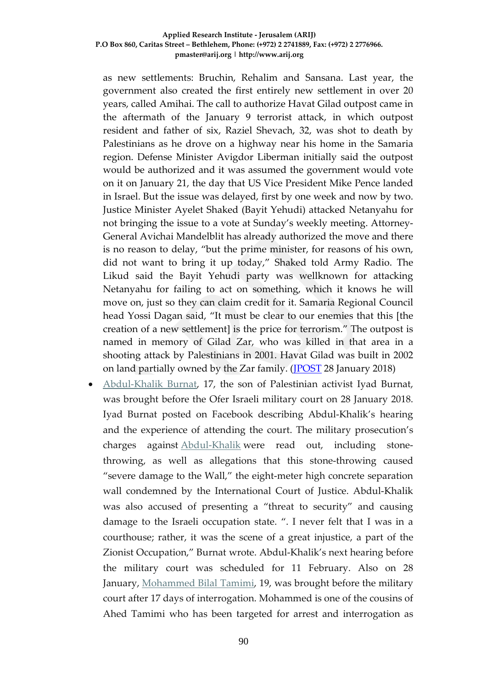as new settlements: Bruchin, Rehalim and Sansana. Last year, the government also created the first entirely new settlement in over 20 years, called Amihai. The call to authorize Havat Gilad outpost came in the aftermath of the January 9 terrorist attack, in which outpost resident and father of six, Raziel Shevach, 32, was shot to death by Palestinians as he drove on a highway near his home in the Samaria region. Defense Minister Avigdor Liberman initially said the outpost would be authorized and it was assumed the government would vote on it on January 21, the day that US Vice President Mike Pence landed in Israel. But the issue was delayed, first by one week and now by two. Justice Minister Ayelet Shaked (Bayit Yehudi) attacked Netanyahu for not bringing the issue to a vote at Sunday's weekly meeting. Attorney-General Avichai Mandelblit has already authorized the move and there is no reason to delay, "but the prime minister, for reasons of his own, did not want to bring it up today," Shaked told Army Radio. The Likud said the Bayit Yehudi party was wellknown for attacking Netanyahu for failing to act on something, which it knows he will move on, just so they can claim credit for it. Samaria Regional Council head Yossi Dagan said, "It must be clear to our enemies that this [the creation of a new settlement] is the price for terrorism." The outpost is named in memory of Gilad Zar, who was killed in that area in a shooting attack by Palestinians in 2001. Havat Gilad was built in 2002 on land partially owned by the Zar family. [\(JPOST](http://www.jpost.com/Israel-News/Netanyahu-promises-Havat-Gilad-outpost-could-become-settlement-next-week-540071) 28 January 2018)

• [Abdul-Khalik Burnat,](http://samidoun.net/2018/01/palestinian-child-prisoner-abdul-khalik-burnat-17-charged-in-occupation-military-court/) 17, the son of Palestinian activist Iyad Burnat, was brought before the Ofer Israeli military court on 28 January 2018. Iyad Burnat posted on Facebook describing Abdul-Khalik's hearing and the experience of attending the court. The military prosecution's charges against [Abdul-Khalik](http://samidoun.net/2017/12/take-action-palestinian-nonviolent-leaders-son-abdul-khalik-burnat-abducted-by-israeli-occupation-forces/) were read out, including stonethrowing, as well as allegations that this stone-throwing caused "severe damage to the Wall," the eight-meter high concrete separation wall condemned by the International Court of Justice. Abdul-Khalik was also accused of presenting a "threat to security" and causing damage to the Israeli occupation state. ". I never felt that I was in a courthouse; rather, it was the scene of a great injustice, a part of the Zionist Occupation," Burnat wrote. Abdul-Khalik's next hearing before the military court was scheduled for 11 February. Also on 28 January, [Mohammed Bilal Tamimi,](http://samidoun.net/2018/01/mohammed-tamimi-19-seized-by-occupation-forces-as-global-solidarity-escalates/) 19, was brought before the military court after 17 days of interrogation. Mohammed is one of the cousins of Ahed Tamimi who has been targeted for arrest and interrogation as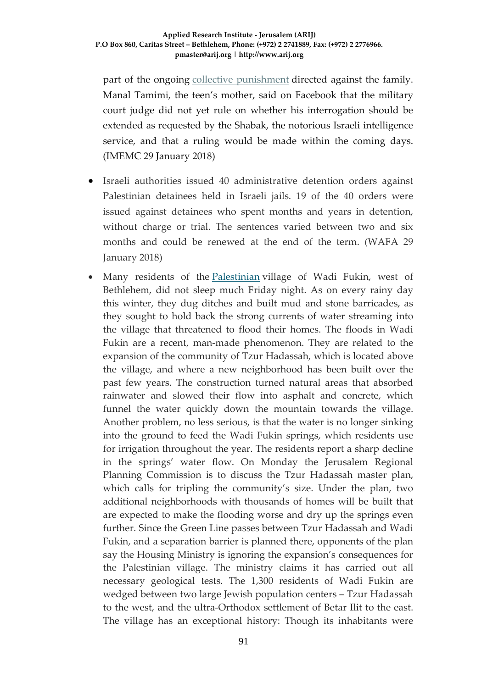part of the ongoing [collective punishment](http://samidoun.net/2018/01/lieberman-imposes-collective-punishment-on-tamimi-family-nabi-saleh-declared-closed-military-zone/) directed against the family. Manal Tamimi, the teen's mother, said on Facebook that the military court judge did not yet rule on whether his interrogation should be extended as requested by the Shabak, the notorious Israeli intelligence service, and that a ruling would be made within the coming days. (IMEMC 29 January 2018)

- Israeli authorities issued 40 administrative detention orders against Palestinian detainees held in Israeli jails. 19 of the 40 orders were issued against detainees who spent months and years in detention, without charge or trial. The sentences varied between two and six months and could be renewed at the end of the term. (WAFA 29 January 2018)
- Many residents of the [Palestinian](https://www.haaretz.com/middle-east-news/palestinians) village of Wadi Fukin, west of Bethlehem, did not sleep much Friday night. As on every rainy day this winter, they dug ditches and built mud and stone barricades, as they sought to hold back the strong currents of water streaming into the village that threatened to flood their homes. The floods in Wadi Fukin are a recent, man-made phenomenon. They are related to the expansion of the community of Tzur Hadassah, which is located above the village, and where a new neighborhood has been built over the past few years. The construction turned natural areas that absorbed rainwater and slowed their flow into asphalt and concrete, which funnel the water quickly down the mountain towards the village. Another problem, no less serious, is that the water is no longer sinking into the ground to feed the Wadi Fukin springs, which residents use for irrigation throughout the year. The residents report a sharp decline in the springs' water flow. On Monday the Jerusalem Regional Planning Commission is to discuss the Tzur Hadassah master plan, which calls for tripling the community's size. Under the plan, two additional neighborhoods with thousands of homes will be built that are expected to make the flooding worse and dry up the springs even further. Since the Green Line passes between Tzur Hadassah and Wadi Fukin, and a separation barrier is planned there, opponents of the plan say the Housing Ministry is ignoring the expansion's consequences for the Palestinian village. The ministry claims it has carried out all necessary geological tests. The 1,300 residents of Wadi Fukin are wedged between two large Jewish population centers – Tzur Hadassah to the west, and the ultra-Orthodox settlement of Betar Ilit to the east. The village has an exceptional history: Though its inhabitants were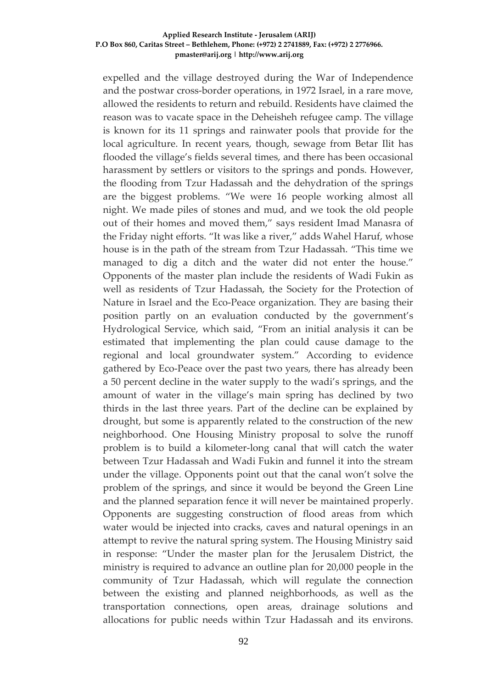expelled and the village destroyed during the War of Independence and the postwar cross-border operations, in 1972 Israel, in a rare move, allowed the residents to return and rebuild. Residents have claimed the reason was to vacate space in the Deheisheh refugee camp. The village is known for its 11 springs and rainwater pools that provide for the local agriculture. In recent years, though, sewage from Betar Ilit has flooded the village's fields several times, and there has been occasional harassment by settlers or visitors to the springs and ponds. However, the flooding from Tzur Hadassah and the dehydration of the springs are the biggest problems. "We were 16 people working almost all night. We made piles of stones and mud, and we took the old people out of their homes and moved them," says resident Imad Manasra of the Friday night efforts. "It was like a river," adds Wahel Haruf, whose house is in the path of the stream from Tzur Hadassah. "This time we managed to dig a ditch and the water did not enter the house." Opponents of the master plan include the residents of Wadi Fukin as well as residents of Tzur Hadassah, the Society for the Protection of Nature in Israel and the Eco-Peace organization. They are basing their position partly on an evaluation conducted by the government's Hydrological Service, which said, "From an initial analysis it can be estimated that implementing the plan could cause damage to the regional and local groundwater system." According to evidence gathered by Eco-Peace over the past two years, there has already been a 50 percent decline in the water supply to the wadi's springs, and the amount of water in the village's main spring has declined by two thirds in the last three years. Part of the decline can be explained by drought, but some is apparently related to the construction of the new neighborhood. One Housing Ministry proposal to solve the runoff problem is to build a kilometer-long canal that will catch the water between Tzur Hadassah and Wadi Fukin and funnel it into the stream under the village. Opponents point out that the canal won't solve the problem of the springs, and since it would be beyond the Green Line and the planned separation fence it will never be maintained properly. Opponents are suggesting construction of flood areas from which water would be injected into cracks, caves and natural openings in an attempt to revive the natural spring system. The Housing Ministry said in response: "Under the master plan for the Jerusalem District, the ministry is required to advance an outline plan for 20,000 people in the community of Tzur Hadassah, which will regulate the connection between the existing and planned neighborhoods, as well as the transportation connections, open areas, drainage solutions and allocations for public needs within Tzur Hadassah and its environs.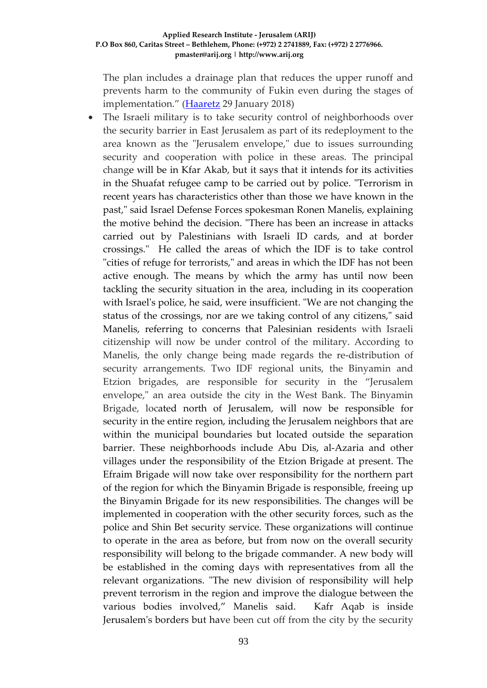The plan includes a drainage plan that reduces the upper runoff and prevents harm to the community of Fukin even during the stages of implementation." [\(Haaretz](https://www.haaretz.com/israel-news/liberal-jerusalem-suburb-s-expansion-is-hurting-a-palestinian-village-1.5769531) 29 January 2018)

The Israeli military is to take security control of neighborhoods over the security barrier in East Jerusalem as part of its redeployment to the area known as the "Jerusalem envelope," due to issues surrounding security and cooperation with police in these areas. The principal change will be in Kfar Akab, but it says that it intends for its activities in the Shuafat refugee camp to be carried out by police. "Terrorism in recent years has characteristics other than those we have known in the past," said Israel Defense Forces spokesman Ronen Manelis, explaining the motive behind the decision. "There has been an increase in attacks carried out by Palestinians with Israeli ID cards, and at border crossings." He called the areas of which the IDF is to take control "cities of refuge for terrorists," and areas in which the IDF has not been active enough. The means by which the army has until now been tackling the security situation in the area, including in its cooperation with Israel's police, he said, were insufficient. "We are not changing the status of the crossings, nor are we taking control of any citizens," said Manelis, referring to concerns that Palesinian residents with Israeli citizenship will now be under control of the military. According to Manelis, the only change being made regards the re-distribution of security arrangements. Two IDF regional units, the Binyamin and Etzion brigades, are responsible for security in the "Jerusalem envelope," an area outside the city in the West Bank. The Binyamin Brigade, located north of Jerusalem, will now be responsible for security in the entire region, including the Jerusalem neighbors that are within the municipal boundaries but located outside the separation barrier. These neighborhoods include Abu Dis, al-Azaria and other villages under the responsibility of the Etzion Brigade at present. The Efraim Brigade will now take over responsibility for the northern part of the region for which the Binyamin Brigade is responsible, freeing up the Binyamin Brigade for its new responsibilities. The changes will be implemented in cooperation with the other security forces, such as the police and Shin Bet security service. These organizations will continue to operate in the area as before, but from now on the overall security responsibility will belong to the brigade commander. A new body will be established in the coming days with representatives from all the relevant organizations. "The new division of responsibility will help prevent terrorism in the region and improve the dialogue between the various bodies involved," Manelis said. Kafr Aqab is inside Jerusalem's borders but have been cut off from the city by the security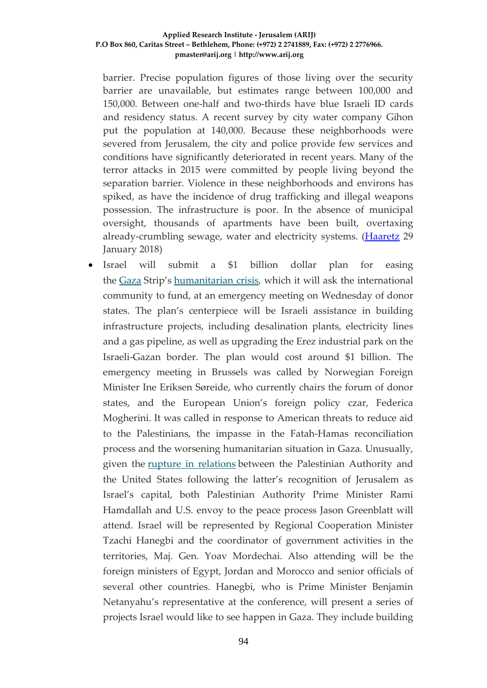barrier. Precise population figures of those living over the security barrier are unavailable, but estimates range between 100,000 and 150,000. Between one-half and two-thirds have blue Israeli ID cards and residency status. A recent survey by city water company Gihon put the population at 140,000. Because these neighborhoods were severed from Jerusalem, the city and police provide few services and conditions have significantly deteriorated in recent years. Many of the terror attacks in 2015 were committed by people living beyond the separation barrier. Violence in these neighborhoods and environs has spiked, as have the incidence of drug trafficking and illegal weapons possession. The infrastructure is poor. In the absence of municipal oversight, thousands of apartments have been built, overtaxing already-crumbling sewage, water and electricity systems. [\(Haaretz](https://www.haaretz.com/israel-news/.premium-israeli-army-to-take-control-of-palestinians-neighborhoods-in-e-j-lem-1.5770730) 29 January 2018)

• Israel will submit a \$1 billion dollar plan for easing the [Gaza](https://www.haaretz.com/misc/tags/gaza-1.5599001) Strip's [humanitarian crisis,](https://www.haaretz.com/middle-east-news/palestinians/.premium-history-will-not-forgive-the-sins-against-gaza-1.5771255) which it will ask the international community to fund, at an emergency meeting on Wednesday of donor states. The plan's centerpiece will be Israeli assistance in building infrastructure projects, including desalination plants, electricity lines and a gas pipeline, as well as upgrading the Erez industrial park on the Israeli-Gazan border. The plan would cost around \$1 billion. The emergency meeting in Brussels was called by Norwegian Foreign Minister Ine Eriksen Søreide, who currently chairs the forum of donor states, and the European Union's foreign policy czar, Federica Mogherini. It was called in response to American threats to reduce aid to the Palestinians, the impasse in the Fatah-Hamas reconciliation process and the worsening humanitarian situation in Gaza. Unusually, given the [rupture in relations](https://www.haaretz.com/middle-east-news/palestinians/abbas-declares-oslo-accords-dead-trump-s-peace-plan-is-a-slap-1.5730759) between the Palestinian Authority and the United States following the latter's recognition of Jerusalem as Israel's capital, both Palestinian Authority Prime Minister Rami Hamdallah and U.S. envoy to the peace process Jason Greenblatt will attend. Israel will be represented by Regional Cooperation Minister Tzachi Hanegbi and the coordinator of government activities in the territories, Maj. Gen. Yoav Mordechai. Also attending will be the foreign ministers of Egypt, Jordan and Morocco and senior officials of several other countries. Hanegbi, who is Prime Minister Benjamin Netanyahu's representative at the conference, will present a series of projects Israel would like to see happen in Gaza. They include building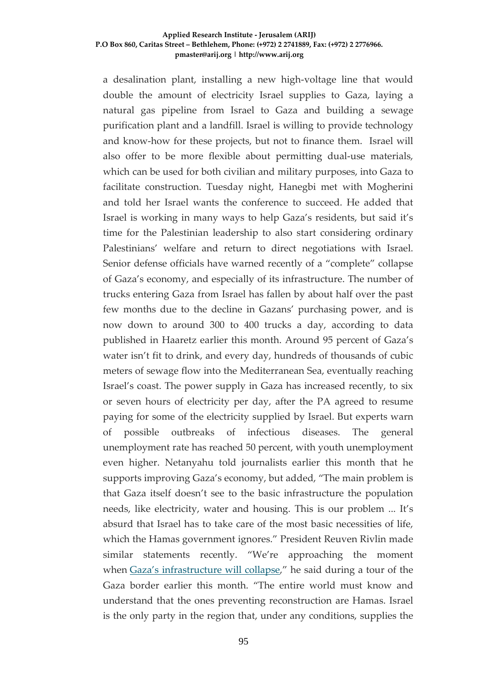a desalination plant, installing a new high-voltage line that would double the amount of electricity Israel supplies to Gaza, laying a natural gas pipeline from Israel to Gaza and building a sewage purification plant and a landfill. Israel is willing to provide technology and know-how for these projects, but not to finance them. Israel will also offer to be more flexible about permitting dual-use materials, which can be used for both civilian and military purposes, into Gaza to facilitate construction. Tuesday night, Hanegbi met with Mogherini and told her Israel wants the conference to succeed. He added that Israel is working in many ways to help Gaza's residents, but said it's time for the Palestinian leadership to also start considering ordinary Palestinians' welfare and return to direct negotiations with Israel. Senior defense officials have warned recently of a "complete" collapse of Gaza's economy, and especially of its infrastructure. The number of trucks entering Gaza from Israel has fallen by about half over the past few months due to the decline in Gazans' purchasing power, and is now down to around 300 to 400 trucks a day, according to data published in Haaretz earlier this month. Around 95 percent of Gaza's water isn't fit to drink, and every day, hundreds of thousands of cubic meters of sewage flow into the Mediterranean Sea, eventually reaching Israel's coast. The power supply in Gaza has increased recently, to six or seven hours of electricity per day, after the PA agreed to resume paying for some of the electricity supplied by Israel. But experts warn of possible outbreaks of infectious diseases. The general unemployment rate has reached 50 percent, with youth unemployment even higher. Netanyahu told journalists earlier this month that he supports improving Gaza's economy, but added, "The main problem is that Gaza itself doesn't see to the basic infrastructure the population needs, like electricity, water and housing. This is our problem ... It's absurd that Israel has to take care of the most basic necessities of life, which the Hamas government ignores." President Reuven Rivlin made similar statements recently. "We're approaching the moment when [Gaza's infrastructure will collapse,](https://www.haaretz.com/israel-news/.premium-rivlin-warns-that-gazan-infrastructure-is-on-verge-of-collapse-1.5749557)" he said during a tour of the Gaza border earlier this month. "The entire world must know and understand that the ones preventing reconstruction are Hamas. Israel is the only party in the region that, under any conditions, supplies the